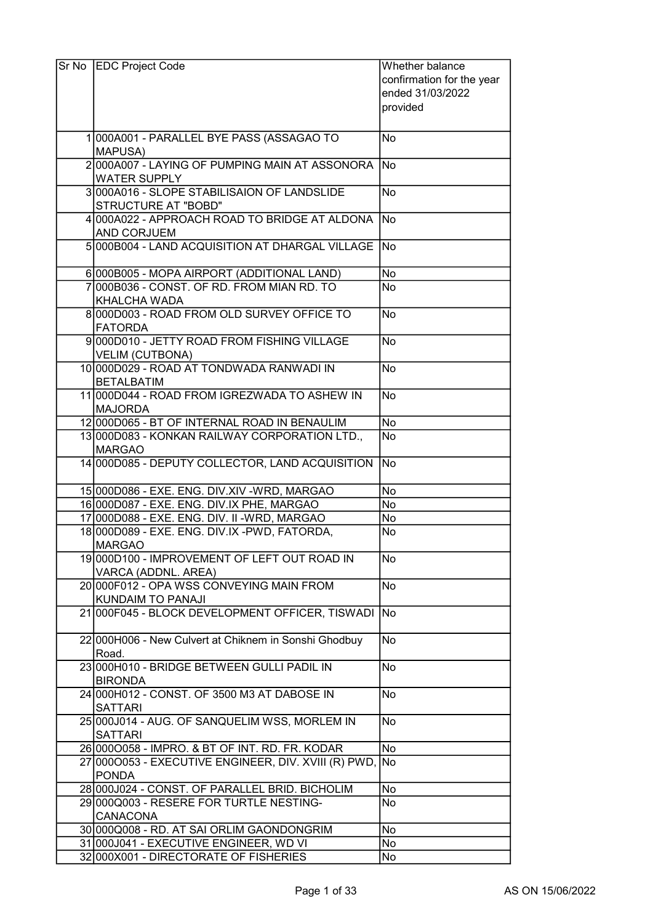| Sr No | <b>EDC Project Code</b>                                                                        | Whether balance           |
|-------|------------------------------------------------------------------------------------------------|---------------------------|
|       |                                                                                                | confirmation for the year |
|       |                                                                                                | ended 31/03/2022          |
|       |                                                                                                | provided                  |
|       |                                                                                                |                           |
|       | 1000A001 - PARALLEL BYE PASS (ASSAGAO TO                                                       | No                        |
|       | <b>MAPUSA)</b>                                                                                 |                           |
|       | 2000A007 - LAYING OF PUMPING MAIN AT ASSONORA                                                  | lNo                       |
|       | <b>WATER SUPPLY</b>                                                                            |                           |
|       | 3000A016 - SLOPE STABILISAION OF LANDSLIDE                                                     | <b>No</b>                 |
|       | STRUCTURE AT "BOBD"                                                                            |                           |
|       | 4 000 A022 - APPROACH ROAD TO BRIDGE AT ALDONA                                                 | lNo                       |
|       | <b>AND CORJUEM</b>                                                                             |                           |
|       | 5000B004 - LAND ACQUISITION AT DHARGAL VILLAGE                                                 | <b>No</b>                 |
|       |                                                                                                |                           |
|       | 6000B005 - MOPA AIRPORT (ADDITIONAL LAND)                                                      | No                        |
|       | 7000B036 - CONST. OF RD. FROM MIAN RD. TO                                                      | <b>No</b>                 |
|       | <b>KHALCHA WADA</b>                                                                            |                           |
|       | 8000D003 - ROAD FROM OLD SURVEY OFFICE TO                                                      | <b>No</b>                 |
|       | <b>FATORDA</b>                                                                                 |                           |
|       | 9000D010 - JETTY ROAD FROM FISHING VILLAGE                                                     | <b>No</b>                 |
|       | <b>VELIM (CUTBONA)</b>                                                                         |                           |
|       | 10 000 D029 - ROAD AT TONDWADA RANWADI IN                                                      | <b>No</b>                 |
|       | <b>BETALBATIM</b>                                                                              |                           |
|       | 11 000 0044 - ROAD FROM IGREZWADA TO ASHEW IN                                                  | No                        |
|       | <b>MAJORDA</b>                                                                                 |                           |
|       | 12 000 D065 - BT OF INTERNAL ROAD IN BENAULIM                                                  | No                        |
|       | 13 000 D083 - KONKAN RAILWAY CORPORATION LTD.,                                                 | $\overline{\textsf{No}}$  |
|       | <b>MARGAO</b>                                                                                  |                           |
|       | 14 000 D085 - DEPUTY COLLECTOR, LAND ACQUISITION                                               | <b>No</b>                 |
|       |                                                                                                |                           |
|       | 15 000 D086 - EXE. ENG. DIV. XIV - WRD, MARGAO                                                 | No                        |
|       | 16 000 D087 - EXE. ENG. DIV.IX PHE, MARGAO                                                     | No                        |
|       | 17 000D088 - EXE. ENG. DIV. II - WRD, MARGAO<br>18 000 D089 - EXE. ENG. DIV.IX - PWD, FATORDA, | No                        |
|       | <b>MARGAO</b>                                                                                  | No                        |
|       |                                                                                                | No                        |
|       | 19 000 D100 - IMPROVEMENT OF LEFT OUT ROAD IN<br>VARCA (ADDNL. AREA)                           |                           |
|       | 20 000 F012 - OPA WSS CONVEYING MAIN FROM                                                      | <b>No</b>                 |
|       | KUNDAIM TO PANAJI                                                                              |                           |
|       | 21 000 F045 - BLOCK DEVELOPMENT OFFICER, TISWADI                                               | No                        |
|       |                                                                                                |                           |
|       | 22 000 H006 - New Culvert at Chiknem in Sonshi Ghodbuy                                         | No                        |
|       | Road.                                                                                          |                           |
|       | 23000H010 - BRIDGE BETWEEN GULLI PADIL IN                                                      | No                        |
|       | <b>BIRONDA</b>                                                                                 |                           |
|       | 24 000 H012 - CONST. OF 3500 M3 AT DABOSE IN                                                   | No                        |
|       | <b>SATTARI</b>                                                                                 |                           |
|       | 25 000 J014 - AUG. OF SANQUELIM WSS, MORLEM IN                                                 | No                        |
|       | <b>SATTARI</b>                                                                                 |                           |
|       | 26 0000058 - IMPRO. & BT OF INT. RD. FR. KODAR                                                 | No                        |
|       | 27 0000053 - EXECUTIVE ENGINEER, DIV. XVIII (R) PWD, No                                        |                           |
|       | <b>PONDA</b>                                                                                   |                           |
|       | 28 000 J024 - CONST. OF PARALLEL BRID. BICHOLIM                                                | No                        |
|       | 29 000 Q003 - RESERE FOR TURTLE NESTING-                                                       | No                        |
|       | <b>CANACONA</b>                                                                                |                           |
|       | 30 000 Q008 - RD. AT SAI ORLIM GAONDONGRIM                                                     | No                        |
|       | 31 000 J041 - EXECUTIVE ENGINEER, WD VI                                                        | No                        |
|       | 32 000X001 - DIRECTORATE OF FISHERIES                                                          | No                        |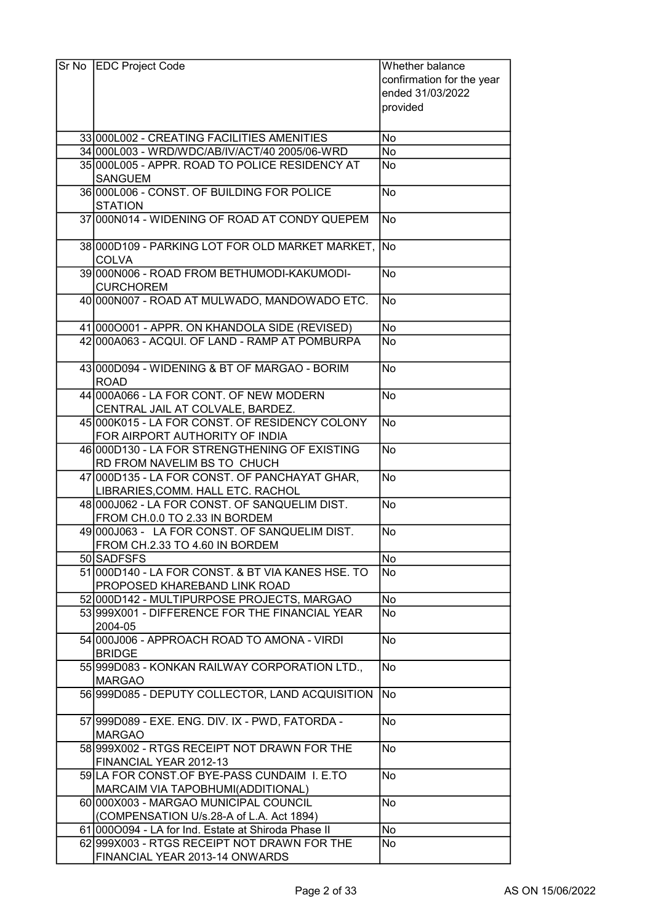| Sr No | <b>EDC Project Code</b>                                                | Whether balance           |
|-------|------------------------------------------------------------------------|---------------------------|
|       |                                                                        | confirmation for the year |
|       |                                                                        | ended 31/03/2022          |
|       |                                                                        | provided                  |
|       |                                                                        |                           |
|       | 33 000 L002 - CREATING FACILITIES AMENITIES                            | No                        |
|       | 34 000L003 - WRD/WDC/AB/IV/ACT/40 2005/06-WRD                          | No                        |
|       | 35 000 L005 - APPR. ROAD TO POLICE RESIDENCY AT                        | No                        |
|       | <b>SANGUEM</b>                                                         |                           |
|       | 36 000 L006 - CONST. OF BUILDING FOR POLICE                            | <b>No</b>                 |
|       | <b>STATION</b>                                                         |                           |
|       | 37 000 N014 - WIDENING OF ROAD AT CONDY QUEPEM                         | No                        |
|       |                                                                        |                           |
|       | 38 000D109 - PARKING LOT FOR OLD MARKET MARKET, No                     |                           |
|       | <b>COLVA</b><br>39 000 NO06 - ROAD FROM BETHUMODI-KAKUMODI-            |                           |
|       |                                                                        | No                        |
|       | <b>CURCHOREM</b>                                                       |                           |
|       | 40 000N007 - ROAD AT MULWADO, MANDOWADO ETC.                           | No                        |
|       | 41 0000001 - APPR. ON KHANDOLA SIDE (REVISED)                          | No                        |
|       | 42 000 A063 - ACQUI. OF LAND - RAMP AT POMBURPA                        | No                        |
|       |                                                                        |                           |
|       | 43 000 D094 - WIDENING & BT OF MARGAO - BORIM                          | <b>No</b>                 |
|       | <b>ROAD</b>                                                            |                           |
|       | 44 000 A066 - LA FOR CONT. OF NEW MODERN                               | No                        |
|       | CENTRAL JAIL AT COLVALE, BARDEZ.                                       |                           |
|       | 45 000 K015 - LA FOR CONST. OF RESIDENCY COLONY                        | No.                       |
|       | FOR AIRPORT AUTHORITY OF INDIA                                         |                           |
|       | 46 000 0130 - LA FOR STRENGTHENING OF EXISTING                         | <b>No</b>                 |
|       | RD FROM NAVELIM BS TO CHUCH                                            |                           |
|       | 47 000 D135 - LA FOR CONST. OF PANCHAYAT GHAR,                         | No                        |
|       | LIBRARIES, COMM. HALL ETC. RACHOL                                      |                           |
|       | 48 000 J062 - LA FOR CONST. OF SANQUELIM DIST.                         | <b>No</b>                 |
|       | FROM CH.0.0 TO 2.33 IN BORDEM                                          |                           |
|       | 49 000 J063 - LA FOR CONST. OF SANQUELIM DIST.                         | <b>No</b>                 |
|       | FROM CH.2.33 TO 4.60 IN BORDEM                                         |                           |
|       | 50 SADFSFS                                                             | No                        |
|       | 51 000 D140 - LA FOR CONST. & BT VIA KANES HSE. TO                     | No                        |
|       | PROPOSED KHAREBAND LINK ROAD                                           |                           |
|       | 52 000 D142 - MULTIPURPOSE PROJECTS, MARGAO                            | No                        |
|       | 53 999X001 - DIFFERENCE FOR THE FINANCIAL YEAR                         | No                        |
|       | 2004-05                                                                |                           |
|       | 54 000 J006 - APPROACH ROAD TO AMONA - VIRDI                           | No.                       |
|       | <b>BRIDGE</b>                                                          |                           |
|       | 55 999 D083 - KONKAN RAILWAY CORPORATION LTD.,                         | <b>No</b>                 |
|       | <b>MARGAO</b>                                                          |                           |
|       | 56 999 D085 - DEPUTY COLLECTOR, LAND ACQUISITION                       | No)                       |
|       |                                                                        |                           |
|       | 57 999 D089 - EXE. ENG. DIV. IX - PWD, FATORDA -                       | No                        |
|       | <b>MARGAO</b>                                                          |                           |
|       | 58 999 X 002 - RTGS RECEIPT NOT DRAWN FOR THE                          | <b>No</b>                 |
|       | FINANCIAL YEAR 2012-13<br>59 LA FOR CONST. OF BYE-PASS CUNDAIM I. E.TO | <b>No</b>                 |
|       |                                                                        |                           |
|       | MARCAIM VIA TAPOBHUMI(ADDITIONAL)                                      | No                        |
|       | 60 000X003 - MARGAO MUNICIPAL COUNCIL                                  |                           |
|       | (COMPENSATION U/s.28-A of L.A. Act 1894)                               |                           |
|       | 61 0000094 - LA for Ind. Estate at Shiroda Phase II                    | No                        |
|       | 62 999 X 003 - RTGS RECEIPT NOT DRAWN FOR THE                          | No                        |
|       | FINANCIAL YEAR 2013-14 ONWARDS                                         |                           |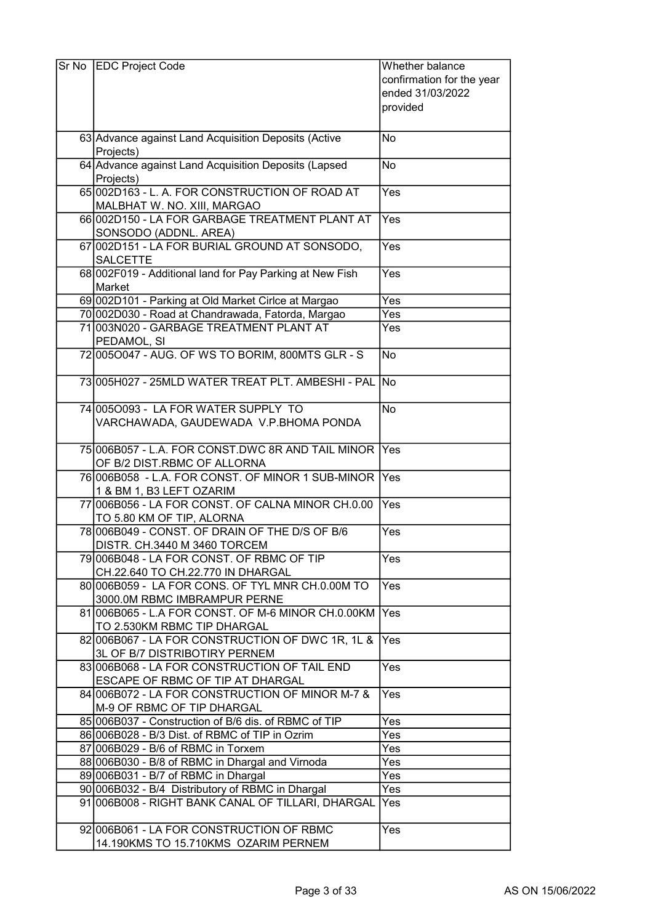| Sr No | <b>EDC Project Code</b>                                                           | Whether balance           |
|-------|-----------------------------------------------------------------------------------|---------------------------|
|       |                                                                                   | confirmation for the year |
|       |                                                                                   | ended 31/03/2022          |
|       |                                                                                   | provided                  |
|       |                                                                                   |                           |
|       | 63 Advance against Land Acquisition Deposits (Active                              | No                        |
|       | Projects)                                                                         |                           |
|       | 64 Advance against Land Acquisition Deposits (Lapsed                              | No                        |
|       | Projects)                                                                         |                           |
|       | 65 002D163 - L. A. FOR CONSTRUCTION OF ROAD AT                                    | Yes                       |
|       | MALBHAT W. NO. XIII, MARGAO<br>66002D150 - LA FOR GARBAGE TREATMENT PLANT AT      |                           |
|       | SONSODO (ADDNL. AREA)                                                             | Yes                       |
|       | 67 002D151 - LA FOR BURIAL GROUND AT SONSODO,                                     | Yes                       |
|       | <b>SALCETTE</b>                                                                   |                           |
|       | 68 002F019 - Additional land for Pay Parking at New Fish                          | Yes                       |
|       | Market                                                                            |                           |
|       | 69 002D101 - Parking at Old Market Cirlce at Margao                               | $\overline{Yes}$          |
|       | 70 002D030 - Road at Chandrawada, Fatorda, Margao                                 | Yes                       |
|       | 71 003 N020 - GARBAGE TREATMENT PLANT AT                                          | Yes                       |
|       | PEDAMOL, SI                                                                       |                           |
|       | 72 005 0047 - AUG. OF WS TO BORIM, 800 MTS GLR - S                                | <b>No</b>                 |
|       | 73 005 H027 - 25 MLD WATER TREAT PLT. AMBESHI- PAL                                | <b>No</b>                 |
|       | 74 005 0093 - LA FOR WATER SUPPLY TO                                              | <b>No</b>                 |
|       | VARCHAWADA, GAUDEWADA V.P.BHOMA PONDA                                             |                           |
|       |                                                                                   |                           |
|       | 75 006 B057 - L.A. FOR CONST.DWC 8R AND TAIL MINOR                                | Yes                       |
|       | OF B/2 DIST.RBMC OF ALLORNA                                                       |                           |
|       | 76 006 B058 - L.A. FOR CONST. OF MINOR 1 SUB-MINOR                                | Yes                       |
|       | 1 & BM 1, B3 LEFT OZARIM                                                          |                           |
|       | 77 006 B056 - LA FOR CONST, OF CALNA MINOR CH.0.00                                | Yes                       |
|       | TO 5.80 KM OF TIP, ALORNA<br>78 006 B049 - CONST. OF DRAIN OF THE D/S OF B/6      | Yes                       |
|       | DISTR. CH.3440 M 3460 TORCEM                                                      |                           |
|       | 79 006 B048 - LA FOR CONST. OF RBMC OF TIP                                        | Yes                       |
|       | CH.22.640 TO CH.22.770 IN DHARGAL                                                 |                           |
|       | 80 006 B059 - LA FOR CONS. OF TYL MNR CH.0.00M TO                                 | Yes                       |
|       | 3000.0M RBMC IMBRAMPUR PERNE                                                      |                           |
|       | 81 006 B065 - L.A FOR CONST. OF M-6 MINOR CH.0.00KM                               | Yes                       |
|       | TO 2.530KM RBMC TIP DHARGAL                                                       |                           |
|       | 82006B067 - LA FOR CONSTRUCTION OF DWC 1R, 1L &                                   | Yes                       |
|       | 3L OF B/7 DISTRIBOTIRY PERNEM                                                     |                           |
|       | 83 006 B068 - LA FOR CONSTRUCTION OF TAIL END<br>ESCAPE OF RBMC OF TIP AT DHARGAL | Yes                       |
|       | 84 006 B072 - LA FOR CONSTRUCTION OF MINOR M-7 &                                  | Yes                       |
|       | M-9 OF RBMC OF TIP DHARGAL                                                        |                           |
|       | 85 006B037 - Construction of B/6 dis. of RBMC of TIP                              | Yes                       |
|       | 86 006 B028 - B/3 Dist. of RBMC of TIP in Ozrim                                   | Yes                       |
|       | 87 006 B029 - B/6 of RBMC in Torxem                                               | Yes                       |
|       | 88 006B030 - B/8 of RBMC in Dhargal and Virnoda                                   | Yes                       |
|       | 89 006 B031 - B/7 of RBMC in Dhargal                                              | Yes                       |
|       | 90 006B032 - B/4 Distributory of RBMC in Dhargal                                  | Yes                       |
|       | 91 006B008 - RIGHT BANK CANAL OF TILLARI, DHARGAL                                 | Yes                       |
|       | 92006B061 - LA FOR CONSTRUCTION OF RBMC                                           | Yes                       |
|       | 14.190KMS TO 15.710KMS OZARIM PERNEM                                              |                           |
|       |                                                                                   |                           |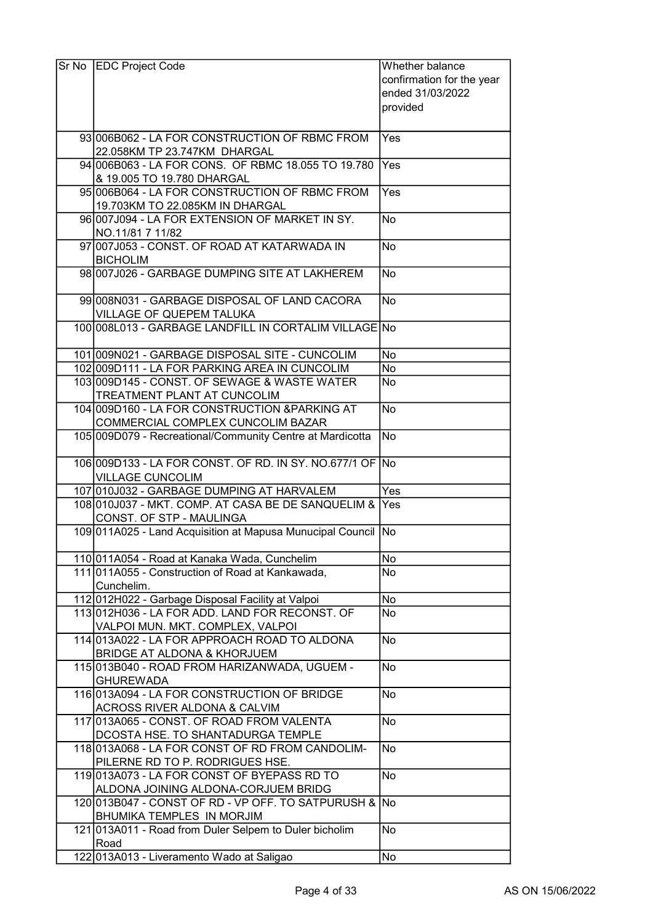| Sr No   EDC Project Code                                       | Whether balance           |
|----------------------------------------------------------------|---------------------------|
|                                                                | confirmation for the year |
|                                                                | ended 31/03/2022          |
|                                                                | provided                  |
|                                                                |                           |
| 93 006 B062 - LA FOR CONSTRUCTION OF RBMC FROM                 | Yes                       |
| 22.058KM TP 23.747KM DHARGAL                                   |                           |
| 94 006B063 - LA FOR CONS. OF RBMC 18.055 TO 19.780             | Yes                       |
| & 19.005 TO 19.780 DHARGAL                                     |                           |
| 95 006B064 - LA FOR CONSTRUCTION OF RBMC FROM                  | Yes                       |
| 19.703KM TO 22.085KM IN DHARGAL                                |                           |
| 96 007 J094 - LA FOR EXTENSION OF MARKET IN SY.                | No                        |
| NO.11/81 7 11/82                                               |                           |
| 97 007 J053 - CONST. OF ROAD AT KATARWADA IN                   | No                        |
| <b>BICHOLIM</b>                                                |                           |
| 98 007 J026 - GARBAGE DUMPING SITE AT LAKHEREM                 | No                        |
|                                                                |                           |
| 99 008 N031 - GARBAGE DISPOSAL OF LAND CACORA                  | No                        |
| VILLAGE OF QUEPEM TALUKA                                       |                           |
| 100 008L013 - GARBAGE LANDFILL IN CORTALIM VILLAGE No          |                           |
|                                                                |                           |
| 101 009N021 - GARBAGE DISPOSAL SITE - CUNCOLIM                 | No                        |
| 102 009 D111 - LA FOR PARKING AREA IN CUNCOLIM                 | No                        |
| 103 009 D145 - CONST. OF SEWAGE & WASTE WATER                  | No                        |
| <b>TREATMENT PLANT AT CUNCOLIM</b>                             |                           |
| 104 009 D160 - LA FOR CONSTRUCTION & PARKING AT                | <b>No</b>                 |
| COMMERCIAL COMPLEX CUNCOLIM BAZAR                              |                           |
| 105 009D079 - Recreational/Community Centre at Mardicotta      | <b>No</b>                 |
|                                                                |                           |
| 106 009 D133 - LA FOR CONST. OF RD. IN SY. NO.677/1 OF No      |                           |
| <b>VILLAGE CUNCOLIM</b>                                        |                           |
| 107 010 032 - GARBAGE DUMPING AT HARVALEM                      | $\bar{Y}$ es              |
| 108 010 J037 - MKT. COMP. AT CASA BE DE SANQUELIM & Yes        |                           |
| CONST. OF STP - MAULINGA                                       |                           |
| 109 011 A025 - Land Acquisition at Mapusa Munucipal Council No |                           |
| 110 011A054 - Road at Kanaka Wada, Cunchelim                   | No                        |
| 111 011 A055 - Construction of Road at Kankawada,              | No                        |
| Cunchelim.                                                     |                           |
| 112 012H022 - Garbage Disposal Facility at Valpoi              | No                        |
| 113012H036 - LA FOR ADD. LAND FOR RECONST. OF                  | No                        |
| VALPOI MUN. MKT. COMPLEX, VALPOI                               |                           |
| 114 013 A022 - LA FOR APPROACH ROAD TO ALDONA                  | No                        |
| <b>BRIDGE AT ALDONA &amp; KHORJUEM</b>                         |                           |
| 115 013 B040 - ROAD FROM HARIZANWADA, UGUEM -                  | <b>No</b>                 |
| <b>GHUREWADA</b>                                               |                           |
| 116 013A094 - LA FOR CONSTRUCTION OF BRIDGE                    | No                        |
| <b>ACROSS RIVER ALDONA &amp; CALVIM</b>                        |                           |
| 117 013 A065 - CONST. OF ROAD FROM VALENTA                     | <b>No</b>                 |
| DCOSTA HSE. TO SHANTADURGA TEMPLE                              |                           |
| 118 013 A068 - LA FOR CONST OF RD FROM CANDOLIM-               | <b>No</b>                 |
| PILERNE RD TO P. RODRIGUES HSE.                                |                           |
| 119 013 A073 - LA FOR CONST OF BYEPASS RD TO                   | <b>No</b>                 |
| ALDONA JOINING ALDONA-CORJUEM BRIDG                            |                           |
| 120 013 B047 - CONST OF RD - VP OFF. TO SATPURUSH & No         |                           |
| BHUMIKA TEMPLES IN MORJIM                                      |                           |
| 121 013A011 - Road from Duler Selpem to Duler bicholim         | <b>No</b>                 |
| Road                                                           |                           |
| 122 013 A013 - Liveramento Wado at Saligao                     | No                        |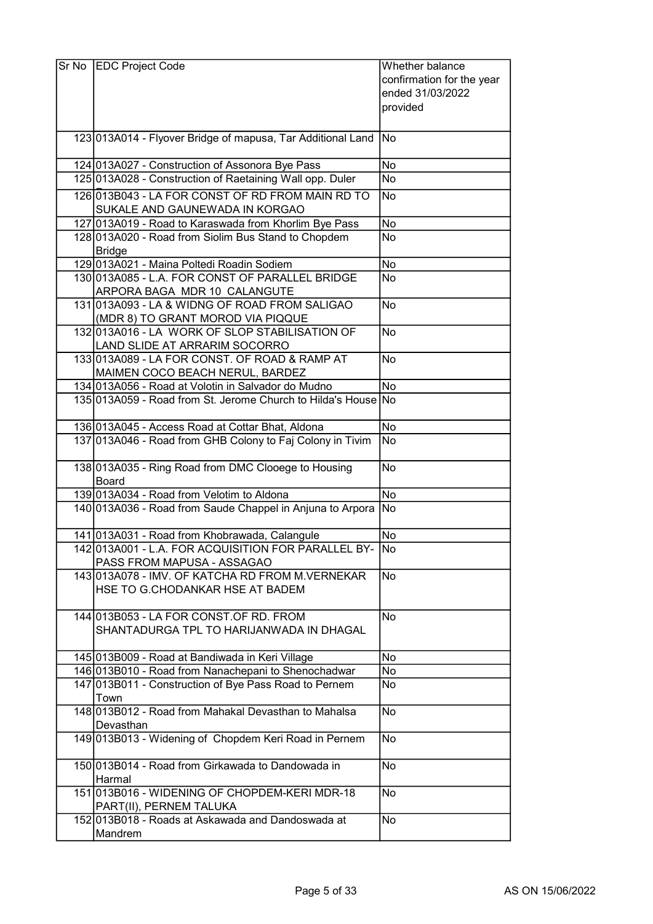| Sr No EDC Project Code                                        | Whether balance           |
|---------------------------------------------------------------|---------------------------|
|                                                               | confirmation for the year |
|                                                               | ended 31/03/2022          |
|                                                               |                           |
|                                                               | provided                  |
|                                                               |                           |
| 123 013A014 - Flyover Bridge of mapusa, Tar Additional Land   | No                        |
|                                                               |                           |
| 124 013 A027 - Construction of Assonora Bye Pass              | No                        |
| 125 013A028 - Construction of Raetaining Wall opp. Duler      | No                        |
|                                                               |                           |
| 126 013 B043 - LA FOR CONST OF RD FROM MAIN RD TO             | No                        |
| SUKALE AND GAUNEWADA IN KORGAO                                |                           |
| 127 013A019 - Road to Karaswada from Khorlim Bye Pass         | No                        |
| 128 013A020 - Road from Siolim Bus Stand to Chopdem           | No                        |
| <b>Bridge</b>                                                 |                           |
| 129 013 A021 - Maina Poltedi Roadin Sodiem                    | No                        |
| 130 013A085 - L.A. FOR CONST OF PARALLEL BRIDGE               | No                        |
|                                                               |                           |
| ARPORA BAGA MDR 10 CALANGUTE                                  |                           |
| 131 013A093 - LA & WIDNG OF ROAD FROM SALIGAO                 | No                        |
| (MDR 8) TO GRANT MOROD VIA PIQQUE                             |                           |
| 132 013A016 - LA WORK OF SLOP STABILISATION OF                | No                        |
| LAND SLIDE AT ARRARIM SOCORRO                                 |                           |
| 133 013A089 - LA FOR CONST. OF ROAD & RAMP AT                 | No                        |
| MAIMEN COCO BEACH NERUL, BARDEZ                               |                           |
| 134 013A056 - Road at Volotin in Salvador do Mudno            | $\overline{No}$           |
| 135 013A059 - Road from St. Jerome Church to Hilda's House No |                           |
|                                                               |                           |
| 136 013 A045 - Access Road at Cottar Bhat, Aldona             | No                        |
|                                                               | No                        |
| 137 013A046 - Road from GHB Colony to Faj Colony in Tivim     |                           |
|                                                               |                           |
| 138 013A035 - Ring Road from DMC Clooege to Housing           | No                        |
| Board                                                         |                           |
| 139 013A034 - Road from Velotim to Aldona                     | <b>No</b>                 |
| 140 013 A036 - Road from Saude Chappel in Anjuna to Arpora    | No                        |
|                                                               |                           |
| 141 013A031 - Road from Khobrawada, Calangule                 | No                        |
| 142 013A001 - L.A. FOR ACQUISITION FOR PARALLEL BY            | No                        |
| PASS FROM MAPUSA - ASSAGAO                                    |                           |
| 143013A078 - IMV. OF KATCHA RD FROM M.VERNEKAR                | <b>No</b>                 |
| HSE TO G.CHODANKAR HSE AT BADEM                               |                           |
|                                                               |                           |
|                                                               |                           |
| 144 013 B053 - LA FOR CONST. OF RD. FROM                      | <b>No</b>                 |
| SHANTADURGA TPL TO HARIJANWADA IN DHAGAL                      |                           |
|                                                               |                           |
| 145 013 B009 - Road at Bandiwada in Keri Village              | No                        |
| 146 013 B010 - Road from Nanachepani to Shenochadwar          | No                        |
| 147 013 B011 - Construction of Bye Pass Road to Pernem        | No                        |
| Town                                                          |                           |
| 148 013 B012 - Road from Mahakal Devasthan to Mahalsa         | No                        |
| Devasthan                                                     |                           |
| 149 013 B013 - Widening of Chopdem Keri Road in Pernem        | No                        |
|                                                               |                           |
|                                                               |                           |
| 150 013 B014 - Road from Girkawada to Dandowada in            | No                        |
| Harmal                                                        |                           |
| 151 013B016 - WIDENING OF CHOPDEM-KERI MDR-18                 | No                        |
| PART(II), PERNEM TALUKA                                       |                           |
| 152 013B018 - Roads at Askawada and Dandoswada at             | No                        |
| Mandrem                                                       |                           |
|                                                               |                           |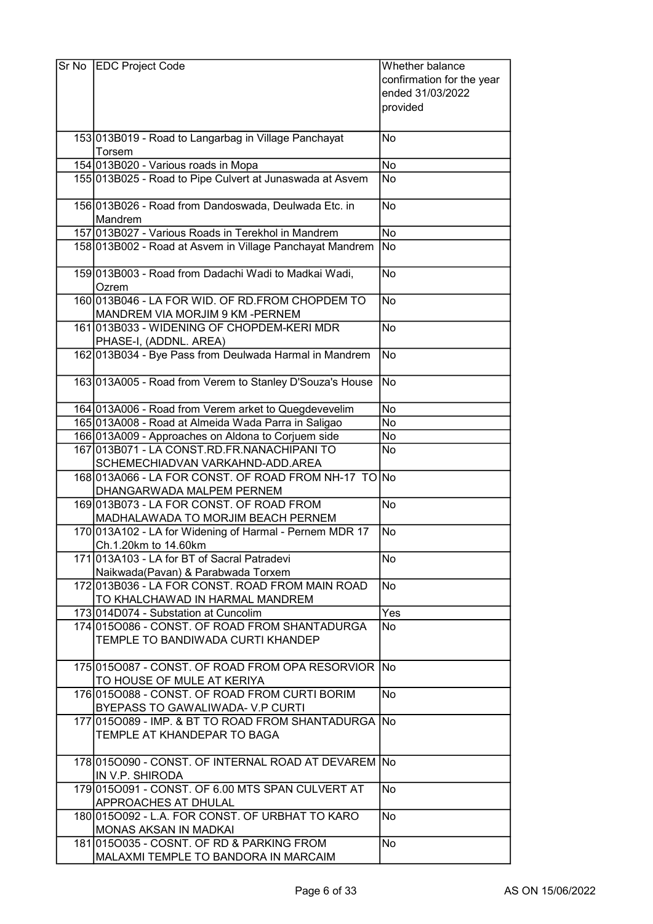| Sr No EDC Project Code                                                                 | Whether balance           |
|----------------------------------------------------------------------------------------|---------------------------|
|                                                                                        | confirmation for the year |
|                                                                                        | ended 31/03/2022          |
|                                                                                        | provided                  |
|                                                                                        |                           |
| 153 013 B019 - Road to Langarbag in Village Panchayat                                  | No                        |
| Torsem                                                                                 |                           |
| 154 013B020 - Various roads in Mopa                                                    | <b>No</b>                 |
| 155 013B025 - Road to Pipe Culvert at Junaswada at Asvem                               | No                        |
|                                                                                        |                           |
| 156 013B026 - Road from Dandoswada, Deulwada Etc. in                                   | No.                       |
| Mandrem                                                                                |                           |
| 157 013B027 - Various Roads in Terekhol in Mandrem                                     | No                        |
| 158 013B002 - Road at Asvem in Village Panchayat Mandrem                               | No                        |
| 159 013 B003 - Road from Dadachi Wadi to Madkai Wadi,                                  | No                        |
| Ozrem                                                                                  |                           |
| 160 013 B046 - LA FOR WID. OF RD. FROM CHOPDEM TO                                      | No                        |
| MANDREM VIA MORJIM 9 KM - PERNEM                                                       |                           |
| 161 013 B033 - WIDENING OF CHOPDEM-KERI MDR                                            | <b>No</b>                 |
| PHASE-I, (ADDNL. AREA)                                                                 |                           |
| 162 013 B034 - Bye Pass from Deulwada Harmal in Mandrem                                | No                        |
|                                                                                        |                           |
| 163 013 A005 - Road from Verem to Stanley D'Souza's House                              | No                        |
|                                                                                        |                           |
| 164 013A006 - Road from Verem arket to Quegdevevelim                                   | No                        |
| 165 013A008 - Road at Almeida Wada Parra in Saligao                                    | No                        |
| 166 013A009 - Approaches on Aldona to Corjuem side                                     | No                        |
| 167 013 B071 - LA CONST.RD.FR.NANA CHIPANITO                                           | No                        |
| SCHEMECHIADVAN VARKAHND-ADD.AREA                                                       |                           |
| 168 013A066 - LA FOR CONST. OF ROAD FROM NH-17 TO No                                   |                           |
| DHANGARWADA MALPEM PERNEM                                                              |                           |
| 169 013 B073 - LA FOR CONST. OF ROAD FROM                                              | No                        |
| MADHALAWADA TO MORJIM BEACH PERNEM                                                     |                           |
| 170 013A102 - LA for Widening of Harmal - Pernem MDR 17                                | No                        |
| Ch.1.20km to 14.60km                                                                   |                           |
| 171 013 A103 - LA for BT of Sacral Patradevi                                           | No                        |
| Naikwada(Pavan) & Parabwada Torxem<br>172 013 B036 - LA FOR CONST. ROAD FROM MAIN ROAD | No                        |
| TO KHALCHAWAD IN HARMAL MANDREM                                                        |                           |
| 173 014 D074 - Substation at Cuncolim                                                  | Yes                       |
| 174 015 0086 - CONST. OF ROAD FROM SHANTADURGA                                         | No                        |
| TEMPLE TO BANDIWADA CURTI KHANDEP                                                      |                           |
|                                                                                        |                           |
| 175 0150087 - CONST. OF ROAD FROM OPA RESORVIOR No                                     |                           |
| TO HOUSE OF MULE AT KERIYA                                                             |                           |
| 176 015 0088 - CONST. OF ROAD FROM CURTI BORIM                                         | No                        |
| BYEPASS TO GAWALIWADA-V.P CURTI                                                        |                           |
| 177 0150089 - IMP. & BT TO ROAD FROM SHANTADURGA No                                    |                           |
| TEMPLE AT KHANDEPAR TO BAGA                                                            |                           |
|                                                                                        |                           |
| 178 0150090 - CONST. OF INTERNAL ROAD AT DEVAREM No                                    |                           |
| IN V.P. SHIRODA                                                                        |                           |
| 179 015 0091 - CONST. OF 6.00 MTS SPAN CULVERT AT                                      | No                        |
| APPROACHES AT DHULAL                                                                   |                           |
| 180 015 0092 - L.A. FOR CONST. OF URBHAT TO KARO                                       | No                        |
| <b>MONAS AKSAN IN MADKAI</b>                                                           |                           |
| 181 015 0035 - COSNT. OF RD & PARKING FROM                                             | No                        |
| MALAXMI TEMPLE TO BANDORA IN MARCAIM                                                   |                           |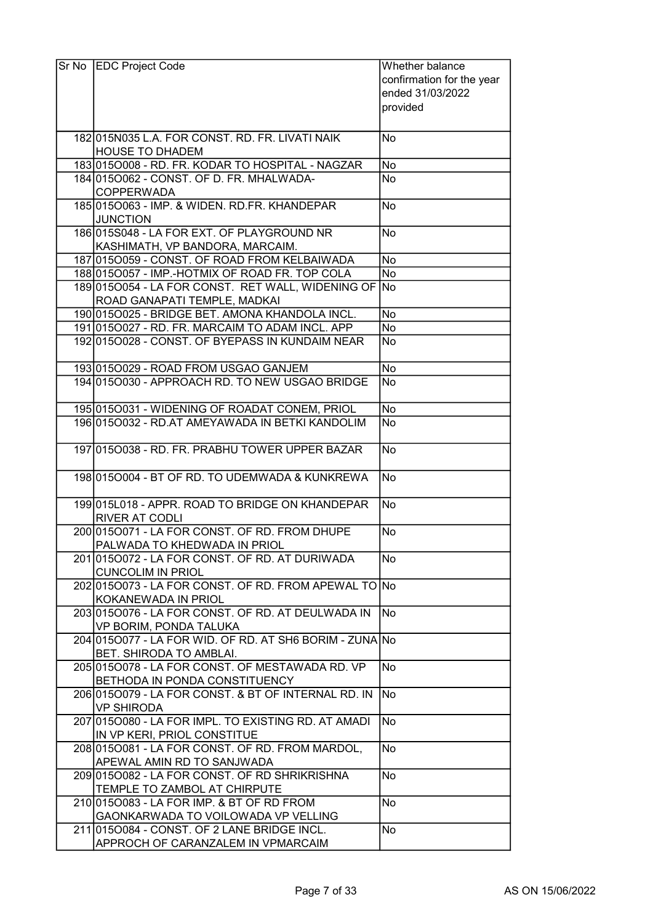| Sr No | <b>EDC Project Code</b>                                                             | Whether balance<br>confirmation for the year<br>ended 31/03/2022<br>provided |
|-------|-------------------------------------------------------------------------------------|------------------------------------------------------------------------------|
|       | 182 015 NO35 L.A. FOR CONST. RD. FR. LIVATI NAIK                                    | No                                                                           |
|       | <b>HOUSE TO DHADEM</b>                                                              |                                                                              |
|       | 183 015 0008 - RD. FR. KODAR TO HOSPITAL - NAGZAR                                   | No                                                                           |
|       | 184 015 0062 - CONST. OF D. FR. MHALWADA-<br><b>COPPERWADA</b>                      | No                                                                           |
|       | 185 015 0063 - IMP. & WIDEN. RD. FR. KHANDEPAR<br><b>JUNCTION</b>                   | No                                                                           |
|       | 186015S048 - LA FOR EXT. OF PLAYGROUND NR<br>KASHIMATH, VP BANDORA, MARCAIM.        | No                                                                           |
|       | 187 0150059 - CONST. OF ROAD FROM KELBAIWADA                                        | <b>No</b>                                                                    |
|       | 188 0150057 - IMP.-HOTMIX OF ROAD FR. TOP COLA                                      | <b>No</b>                                                                    |
|       | 1890150054 - LA FOR CONST. RET WALL, WIDENING OF No<br>ROAD GANAPATI TEMPLE, MADKAI |                                                                              |
|       | 190 015 0025 - BRIDGE BET. AMONA KHANDOLA INCL.                                     | No                                                                           |
|       | 191 0150027 - RD. FR. MARCAIM TO ADAM INCL. APP                                     | No                                                                           |
|       | 192 015 0028 - CONST. OF BYEPASS IN KUNDAIM NEAR                                    | No                                                                           |
|       | 193 015 0029 - ROAD FROM USGAO GANJEM                                               | No                                                                           |
|       | 194 015 0030 - APPROACH RD. TO NEW USGAO BRIDGE                                     | No                                                                           |
|       | 195 015 0031 - WIDENING OF ROADAT CONEM, PRIOL                                      | No                                                                           |
|       | 196 015 0032 - RD.AT AMEYAWADA IN BETKI KANDOLIM                                    | No                                                                           |
|       | 197 015 0038 - RD. FR. PRABHU TOWER UPPER BAZAR                                     | No                                                                           |
|       | 1980150004 - BT OF RD. TO UDEMWADA & KUNKREWA                                       | No                                                                           |
|       | 199 015 L018 - APPR, ROAD TO BRIDGE ON KHANDEPAR<br><b>RIVER AT CODLI</b>           | No                                                                           |
|       | 200 0150071 - LA FOR CONST. OF RD. FROM DHUPE<br>PALWADA TO KHEDWADA IN PRIOL       | <b>No</b>                                                                    |
|       | 20100150072 - LA FOR CONST. OF RD. AT DURIWADA<br><b>CUNCOLIM IN PRIOL</b>          | No                                                                           |
|       | 202 015 0073 - LA FOR CONST. OF RD. FROM APEWAL TO No<br>KOKANEWADA IN PRIOL        |                                                                              |
|       | 2030150076 - LA FOR CONST. OF RD. AT DEULWADA IN<br>VP BORIM, PONDA TALUKA          | No.                                                                          |
|       | 204 015 0077 - LA FOR WID. OF RD. AT SH6 BORIM - ZUNA No<br>BET. SHIRODA TO AMBLAI. |                                                                              |
|       | 205 015 O078 - LA FOR CONST. OF MESTAWADA RD. VP<br>BETHODA IN PONDA CONSTITUENCY   | No                                                                           |
|       | 206 015 0079 - LA FOR CONST. & BT OF INTERNAL RD. IN<br><b>VP SHIRODA</b>           | No                                                                           |
|       | 207 015 0080 - LA FOR IMPL. TO EXISTING RD. AT AMADI<br>IN VP KERI, PRIOL CONSTITUE | No.                                                                          |
|       | 208 015 0081 - LA FOR CONST. OF RD. FROM MARDOL,<br>APEWAL AMIN RD TO SANJWADA      | <b>No</b>                                                                    |
|       | 209 015 0082 - LA FOR CONST. OF RD SHRIKRISHNA                                      | <b>No</b>                                                                    |
|       | TEMPLE TO ZAMBOL AT CHIRPUTE<br>210 015 0083 - LA FOR IMP. & BT OF RD FROM          | No                                                                           |
|       | GAONKARWADA TO VOILOWADA VP VELLING                                                 |                                                                              |
|       | 211 015 0084 - CONST. OF 2 LANE BRIDGE INCL.<br>APPROCH OF CARANZALEM IN VPMARCAIM  | No                                                                           |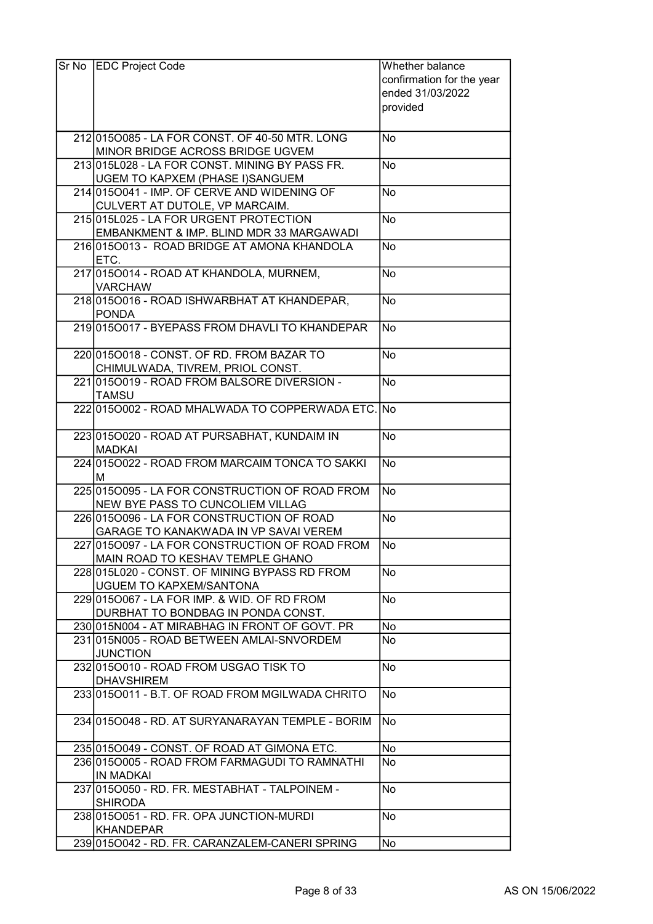| Sr No EDC Project Code                             | Whether balance           |
|----------------------------------------------------|---------------------------|
|                                                    | confirmation for the year |
|                                                    | ended 31/03/2022          |
|                                                    | provided                  |
|                                                    |                           |
| 212 015 0085 - LA FOR CONST. OF 40-50 MTR. LONG    | No                        |
| MINOR BRIDGE ACROSS BRIDGE UGVEM                   |                           |
| 213 015 L028 - LA FOR CONST. MINING BY PASS FR.    | No                        |
| UGEM TO KAPXEM (PHASE I)SANGUEM                    |                           |
| 214 015 0041 - IMP. OF CERVE AND WIDENING OF       | No                        |
| CULVERT AT DUTOLE, VP MARCAIM.                     |                           |
| 215 015 L025 - LA FOR URGENT PROTECTION            | No                        |
| EMBANKMENT & IMP. BLIND MDR 33 MARGAWADI           |                           |
| 2160150013 - ROAD BRIDGE AT AMONA KHANDOLA         | No                        |
| ETC.                                               |                           |
| 217 0150014 - ROAD AT KHANDOLA, MURNEM,            | No                        |
| <b>VARCHAW</b>                                     |                           |
| 218 015 0016 - ROAD ISHWARBHAT AT KHANDEPAR,       | No                        |
| <b>PONDA</b>                                       |                           |
| 219 015 0017 - BYEPASS FROM DHAVLI TO KHANDEPAR    | No                        |
|                                                    |                           |
| 220 015 0018 - CONST, OF RD, FROM BAZAR TO         | <b>No</b>                 |
| CHIMULWADA, TIVREM, PRIOL CONST.                   |                           |
| 221 015 0019 - ROAD FROM BALSORE DIVERSION -       | No                        |
| <b>TAMSU</b>                                       |                           |
| 222 015 0002 - ROAD MHALWADA TO COPPERWADA ETC. No |                           |
|                                                    |                           |
| 223 015 0020 - ROAD AT PURSABHAT, KUNDAIM IN       | No.                       |
| <b>MADKAI</b>                                      |                           |
| 224 015 0022 - ROAD FROM MARCAIM TONCA TO SAKKI    | No                        |
| м                                                  |                           |
| 225 015 0095 - LA FOR CONSTRUCTION OF ROAD FROM    | No.                       |
| NEW BYE PASS TO CUNCOLIEM VILLAG                   |                           |
| 226 015 0096 - LA FOR CONSTRUCTION OF ROAD         | No                        |
| GARAGE TO KANAKWADA IN VP SAVAI VEREM              |                           |
| 227 0150097 - LA FOR CONSTRUCTION OF ROAD FROM     | lNo                       |
| MAIN ROAD TO KESHAV TEMPLE GHANO                   |                           |
| 2281015L020 - CONST. OF MINING BYPASS RD FROM      | No                        |
| UGUEM TO KAPXEM/SANTONA                            |                           |
| 229 015 0067 - LA FOR IMP. & WID. OF RD FROM       | lNo.                      |
| DURBHAT TO BONDBAG IN PONDA CONST.                 |                           |
| 230 015 NOO4 - AT MIRABHAG IN FRONT OF GOVT. PR    | No                        |
| 231 015 NO05 - ROAD BETWEEN AMLAI-SNVORDEM         | No.                       |
| <b>JUNCTION</b>                                    |                           |
| 232 015 0010 - ROAD FROM USGAO TISK TO             | No                        |
| <b>DHAVSHIREM</b>                                  |                           |
| 233 015 0011 - B.T. OF ROAD FROM MGILWADA CHRITO   | No                        |
|                                                    |                           |
| 2341015O048 - RD. AT SURYANARAYAN TEMPLE - BORIM   | No.                       |
|                                                    |                           |
| 235 015 0049 - CONST. OF ROAD AT GIMONA ETC.       | No                        |
| 236 015 0005 - ROAD FROM FARMAGUDI TO RAMNATHI     | No.                       |
| <b>IN MADKAI</b>                                   |                           |
| 237 015 0050 - RD. FR. MESTABHAT - TALPOINEM -     | No                        |
| <b>SHIRODA</b>                                     |                           |
| 238 015 0051 - RD. FR. OPA JUNCTION-MURDI          | No                        |
| <b>KHANDEPAR</b>                                   |                           |
| 239 015 0042 - RD. FR. CARANZALEM-CANERISPRING     | No                        |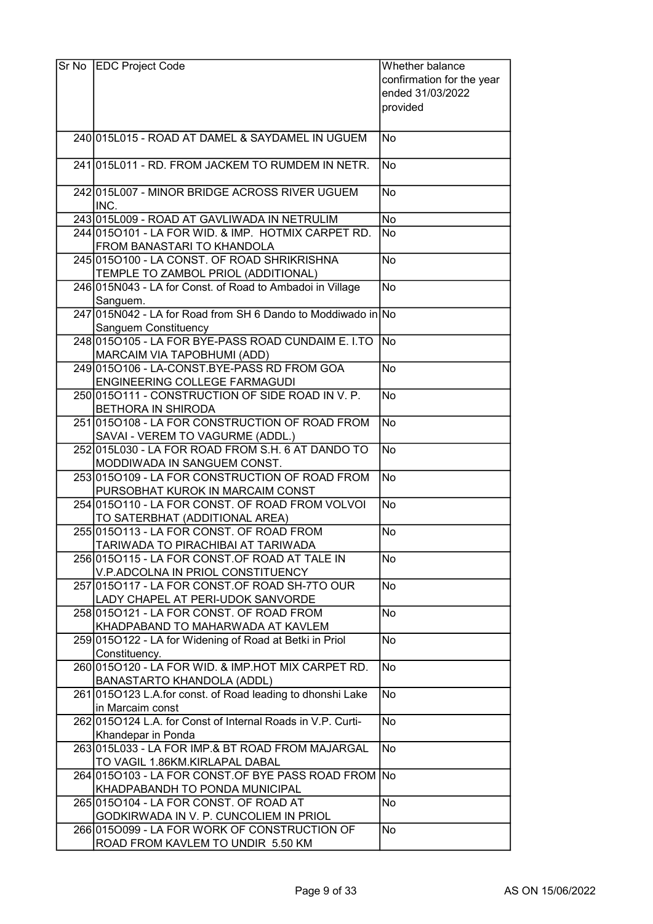| Sr No EDC Project Code                                                              | Whether balance           |
|-------------------------------------------------------------------------------------|---------------------------|
|                                                                                     | confirmation for the year |
|                                                                                     | ended 31/03/2022          |
|                                                                                     | provided                  |
|                                                                                     |                           |
| 240 015 L015 - ROAD AT DAMEL & SAYDAMEL IN UGUEM                                    | <b>No</b>                 |
| 241 015 L011 - RD. FROM JACKEM TO RUMDEM IN NETR.                                   | No                        |
| 242 015 L007 - MINOR BRIDGE ACROSS RIVER UGUEM<br>INC.                              | No                        |
| 243 015 L009 - ROAD AT GAVLIWADA IN NETRULIM                                        | <b>No</b>                 |
| 244 015 0101 - LA FOR WID. & IMP. HOTMIX CARPET RD.<br>FROM BANASTARI TO KHANDOLA   | <b>No</b>                 |
| 245 015 0100 - LA CONST. OF ROAD SHRIKRISHNA<br>TEMPLE TO ZAMBOL PRIOL (ADDITIONAL) | No                        |
| 246 015 N043 - LA for Const. of Road to Ambadoi in Village                          | <b>No</b>                 |
| Sanguem.                                                                            |                           |
| 247 015 N042 - LA for Road from SH 6 Dando to Moddiwado in No                       |                           |
| Sanguem Constituency                                                                |                           |
| 248 015 0105 - LA FOR BYE-PASS ROAD CUNDAIM E. I.TO                                 | <b>INo</b>                |
| MARCAIM VIA TAPOBHUMI (ADD)                                                         |                           |
| 249 015 0106 - LA-CONST.BYE-PASS RD FROM GOA<br>ENGINEERING COLLEGE FARMAGUDI       | No                        |
| 250 0150111 - CONSTRUCTION OF SIDE ROAD IN V. P.                                    | No                        |
| <b>BETHORA IN SHIRODA</b>                                                           |                           |
| 251 0150108 - LA FOR CONSTRUCTION OF ROAD FROM                                      | No                        |
| SAVAI - VEREM TO VAGURME (ADDL.)                                                    |                           |
| 252 015 L030 - LA FOR ROAD FROM S.H. 6 AT DANDO TO                                  | $\overline{No}$           |
| MODDIWADA IN SANGUEM CONST.                                                         |                           |
| 253 015 0109 - LA FOR CONSTRUCTION OF ROAD FROM                                     | No                        |
| PURSOBHAT KUROK IN MARCAIM CONST                                                    |                           |
| 254 0150110 - LA FOR CONST. OF ROAD FROM VOLVOI                                     | <b>No</b>                 |
| TO SATERBHAT (ADDITIONAL AREA)                                                      |                           |
| 255 015 0113 - LA FOR CONST. OF ROAD FROM                                           | No                        |
| TARIWADA TO PIRACHIBAI AT TARIWADA                                                  |                           |
| 256 0150115 - LA FOR CONST.OF ROAD AT TALE IN                                       | No                        |
| V.P.ADCOLNA IN PRIOL CONSTITUENCY                                                   |                           |
| 257 0150117 - LA FOR CONST.OF ROAD SH-7TO OUR                                       | No                        |
| LADY CHAPEL AT PERI-UDOK SANVORDE<br>258 015 0121 - LA FOR CONST. OF ROAD FROM      | No                        |
| KHADPABAND TO MAHARWADA AT KAVLEM                                                   |                           |
| 259 015 O122 - LA for Widening of Road at Betki in Priol                            | No                        |
| Constituency.                                                                       |                           |
| 260 015 0120 - LA FOR WID. & IMP. HOT MIX CARPET RD.                                | <b>No</b>                 |
| BANASTARTO KHANDOLA (ADDL)                                                          |                           |
| 261 015 O123 L.A. for const. of Road leading to dhonshi Lake<br>in Marcaim const    | No                        |
| 262 015 0124 L.A. for Const of Internal Roads in V.P. Curti-                        | <b>No</b>                 |
| Khandepar in Ponda                                                                  |                           |
| 263 015 L033 - LA FOR IMP.& BT ROAD FROM MAJARGAL                                   | <b>No</b>                 |
| TO VAGIL 1.86KM.KIRLAPAL DABAL                                                      |                           |
| 264 015 0103 - LA FOR CONST. OF BYE PASS ROAD FROM No                               |                           |
| KHADPABANDH TO PONDA MUNICIPAL                                                      |                           |
| 265 015 0104 - LA FOR CONST. OF ROAD AT                                             | No                        |
| GODKIRWADA IN V. P. CUNCOLIEM IN PRIOL                                              |                           |
| 266 0150099 - LA FOR WORK OF CONSTRUCTION OF                                        | No                        |
| ROAD FROM KAVLEM TO UNDIR 5.50 KM                                                   |                           |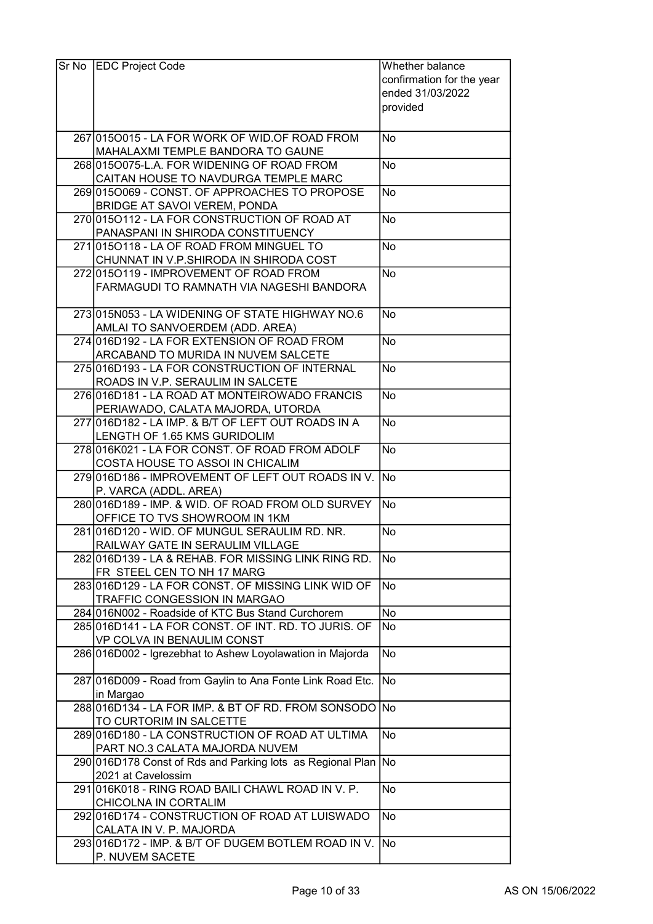| Sr No EDC Project Code                                                             | Whether balance           |
|------------------------------------------------------------------------------------|---------------------------|
|                                                                                    | confirmation for the year |
|                                                                                    | ended 31/03/2022          |
|                                                                                    | provided                  |
|                                                                                    |                           |
| 267 015 0015 - LA FOR WORK OF WID. OF ROAD FROM                                    | No                        |
| MAHALAXMI TEMPLE BANDORA TO GAUNE                                                  |                           |
| 268 015 0075-L.A. FOR WIDENING OF ROAD FROM                                        | No                        |
| CAITAN HOUSE TO NAVDURGA TEMPLE MARC                                               |                           |
| 269 015 0069 - CONST. OF APPROACHES TO PROPOSE                                     | No.                       |
| BRIDGE AT SAVOI VEREM, PONDA                                                       |                           |
| 270 015 0112 - LA FOR CONSTRUCTION OF ROAD AT                                      | No                        |
| PANASPANI IN SHIRODA CONSTITUENCY                                                  |                           |
| 2710150118 - LA OF ROAD FROM MINGUEL TO                                            | No                        |
| CHUNNAT IN V.P.SHIRODA IN SHIRODA COST                                             |                           |
| 272 015 0119 - IMPROVEMENT OF ROAD FROM                                            | No                        |
| FARMAGUDI TO RAMNATH VIA NAGESHI BANDORA                                           |                           |
|                                                                                    |                           |
| 273 015 NOS3 - LA WIDENING OF STATE HIGHWAY NO.6                                   | No.                       |
| AMLAI TO SANVOERDEM (ADD. AREA)                                                    |                           |
| 274 016 D192 - LA FOR EXTENSION OF ROAD FROM                                       | No                        |
| ARCABAND TO MURIDA IN NUVEM SALCETE                                                |                           |
| 275 016 D193 - LA FOR CONSTRUCTION OF INTERNAL                                     | No                        |
| ROADS IN V.P. SERAULIM IN SALCETE                                                  |                           |
| 276 016 D181 - LA ROAD AT MONTEIROWADO FRANCIS                                     | No.                       |
| PERIAWADO, CALATA MAJORDA, UTORDA                                                  |                           |
| 277 016 D182 - LA IMP. & B/T OF LEFT OUT ROADS IN A                                | No                        |
| LENGTH OF 1.65 KMS GURIDOLIM<br>278 016 K021 - LA FOR CONST. OF ROAD FROM ADOLF    | No                        |
| COSTA HOUSE TO ASSOI IN CHICALIM                                                   |                           |
| 279 016 D186 - IMPROVEMENT OF LEFT OUT ROADS IN V. No                              |                           |
| P. VARCA (ADDL. AREA)                                                              |                           |
| 280 016 D189 - IMP. & WID. OF ROAD FROM OLD SURVEY                                 | No                        |
| OFFICE TO TVS SHOWROOM IN 1KM                                                      |                           |
| 281 016 D120 - WID. OF MUNGUL SERAULIM RD. NR.                                     | No                        |
| RAILWAY GATE IN SERAULIM VILLAGE                                                   |                           |
| 282 016 D139 - LA & REHAB. FOR MISSING LINK RING RD.                               | No                        |
| FR STEEL CEN TO NH 17 MARG                                                         |                           |
| 283 016 D129 - LA FOR CONST. OF MISSING LINK WID OF                                | No                        |
| TRAFFIC CONGESSION IN MARGAO                                                       |                           |
| 284 016 NOO2 - Roadside of KTC Bus Stand Curchorem                                 | No                        |
| 285 016 D141 - LA FOR CONST. OF INT. RD. TO JURIS. OF                              | No                        |
| VP COLVA IN BENAULIM CONST                                                         |                           |
| 286 016 D002 - Igrezebhat to Ashew Loyolawation in Majorda                         | No                        |
|                                                                                    |                           |
| 287 016 D009 - Road from Gaylin to Ana Fonte Link Road Etc.                        | No)                       |
| in Margao                                                                          |                           |
| 288 016 D134 - LA FOR IMP. & BT OF RD. FROM SONSODO No                             |                           |
| TO CURTORIM IN SALCETTE                                                            |                           |
| 289 016 D180 - LA CONSTRUCTION OF ROAD AT ULTIMA                                   | No                        |
| PART NO.3 CALATA MAJORDA NUVEM                                                     |                           |
| 290 016 D178 Const of Rds and Parking lots as Regional Plan No                     |                           |
| 2021 at Cavelossim                                                                 |                           |
| 291 016K018 - RING ROAD BAILI CHAWL ROAD IN V. P.                                  | No                        |
| CHICOLNA IN CORTALIM                                                               |                           |
| 292 016 D174 - CONSTRUCTION OF ROAD AT LUISWADO                                    | No                        |
| CALATA IN V. P. MAJORDA<br>293 016 D172 - IMP. & B/T OF DUGEM BOTLEM ROAD IN V. No |                           |
|                                                                                    |                           |
| P. NUVEM SACETE                                                                    |                           |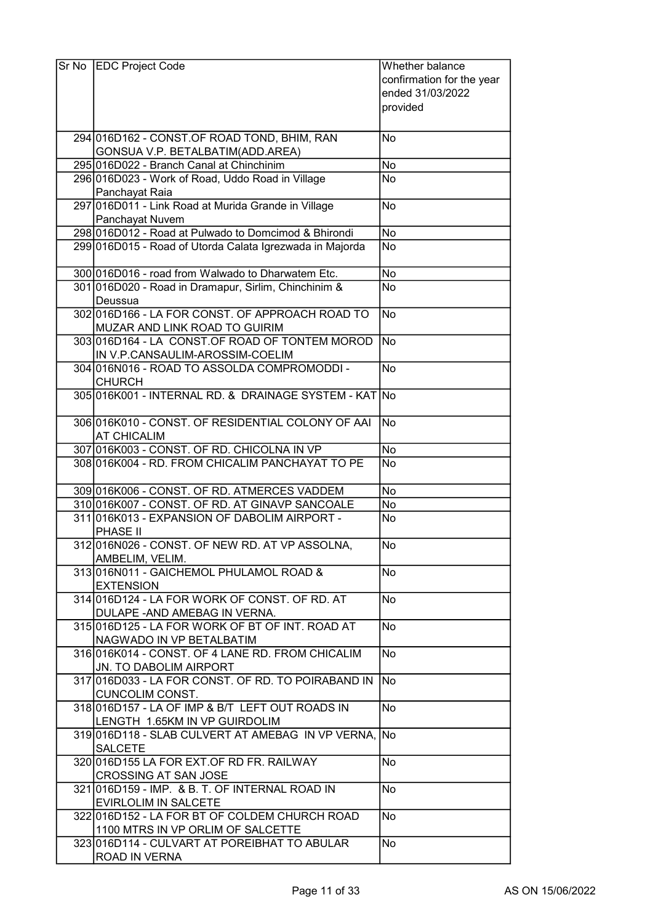| Sr No EDC Project Code                                                     | Whether balance           |
|----------------------------------------------------------------------------|---------------------------|
|                                                                            | confirmation for the year |
|                                                                            | ended 31/03/2022          |
|                                                                            | provided                  |
|                                                                            |                           |
| 294 016 D162 - CONST. OF ROAD TOND, BHIM, RAN                              | No                        |
| GONSUA V.P. BETALBATIM(ADD.AREA)                                           |                           |
| 295 016 D022 - Branch Canal at Chinchinim                                  | No                        |
| 296 016 D023 - Work of Road, Uddo Road in Village                          | No                        |
| Panchayat Raia                                                             |                           |
| 297 016 D011 - Link Road at Murida Grande in Village                       | No.                       |
| Panchayat Nuvem                                                            |                           |
| 298 016 D012 - Road at Pulwado to Domcimod & Bhirondi                      | No                        |
| 299 016 D015 - Road of Utorda Calata Igrezwada in Majorda                  | No.                       |
| 300 016 D016 - road from Walwado to Dharwatem Etc.                         | <b>No</b>                 |
| 301 016 D020 - Road in Dramapur, Sirlim, Chinchinim &                      | No                        |
| Deussua                                                                    |                           |
| 302 016 D166 - LA FOR CONST. OF APPROACH ROAD TO                           | No                        |
| MUZAR AND LINK ROAD TO GUIRIM                                              |                           |
| 303 016 D164 - LA CONST. OF ROAD OF TONTEM MOROD                           | No                        |
| IN V.P.CANSAULIM-AROSSIM-COELIM                                            |                           |
| 304 016 NO16 - ROAD TO ASSOLDA COMPROMODDI -                               | No                        |
| <b>CHURCH</b>                                                              |                           |
| 305 016K001 - INTERNAL RD. & DRAINAGE SYSTEM - KAT No                      |                           |
|                                                                            |                           |
| 306 016K010 - CONST. OF RESIDENTIAL COLONY OF AAI                          | No.                       |
| <b>AT CHICALIM</b>                                                         |                           |
| 307 016K003 - CONST. OF RD. CHICOLNA IN VP                                 | No                        |
| 308 016K004 - RD. FROM CHICALIM PANCHAYAT TO PE                            | No                        |
| 309 016 K006 - CONST. OF RD. ATMERCES VADDEM                               | <b>No</b>                 |
| 310 016 K007 - CONST. OF RD. AT GINAVP SANCOALE                            | No                        |
| 311 016 K013 - EXPANSION OF DABOLIM AIRPORT -                              | No                        |
| PHASE II                                                                   |                           |
| 312 016 NO26 - CONST. OF NEW RD. AT VP ASSOLNA.                            | <b>No</b>                 |
| AMBELIM, VELIM.                                                            |                           |
| 313 016 NO11 - GAICHEMOL PHULAMOL ROAD &                                   | No                        |
| <b>EXTENSION</b>                                                           |                           |
| 314 016 D124 - LA FOR WORK OF CONST. OF RD. AT                             | No                        |
| DULAPE - AND AMEBAG IN VERNA.                                              |                           |
| 315 016 D125 - LA FOR WORK OF BT OF INT. ROAD AT                           | No                        |
| NAGWADO IN VP BETALBATIM                                                   |                           |
| 316 016 K014 - CONST. OF 4 LANE RD. FROM CHICALIM                          | No                        |
| JN. TO DABOLIM AIRPORT                                                     |                           |
| 317 016 D033 - LA FOR CONST. OF RD. TO POIRABAND IN                        | No                        |
| <b>CUNCOLIM CONST.</b><br>318 016 D157 - LA OF IMP & B/T LEFT OUT ROADS IN | No                        |
| LENGTH 1.65KM IN VP GUIRDOLIM                                              |                           |
| 319 016 D118 - SLAB CULVERT AT AMEBAG IN VP VERNA, No                      |                           |
| <b>SALCETE</b>                                                             |                           |
| 320 016 D155 LA FOR EXT. OF RD FR. RAILWAY                                 | No.                       |
| CROSSING AT SAN JOSE                                                       |                           |
| 321 016 D159 - IMP. & B. T. OF INTERNAL ROAD IN                            | No                        |
| <b>EVIRLOLIM IN SALCETE</b>                                                |                           |
| 322 016 D152 - LA FOR BT OF COLDEM CHURCH ROAD                             | No                        |
| 1100 MTRS IN VP ORLIM OF SALCETTE                                          |                           |
| 323 016 D114 - CULVART AT POREIBHAT TO ABULAR                              | No                        |
| ROAD IN VERNA                                                              |                           |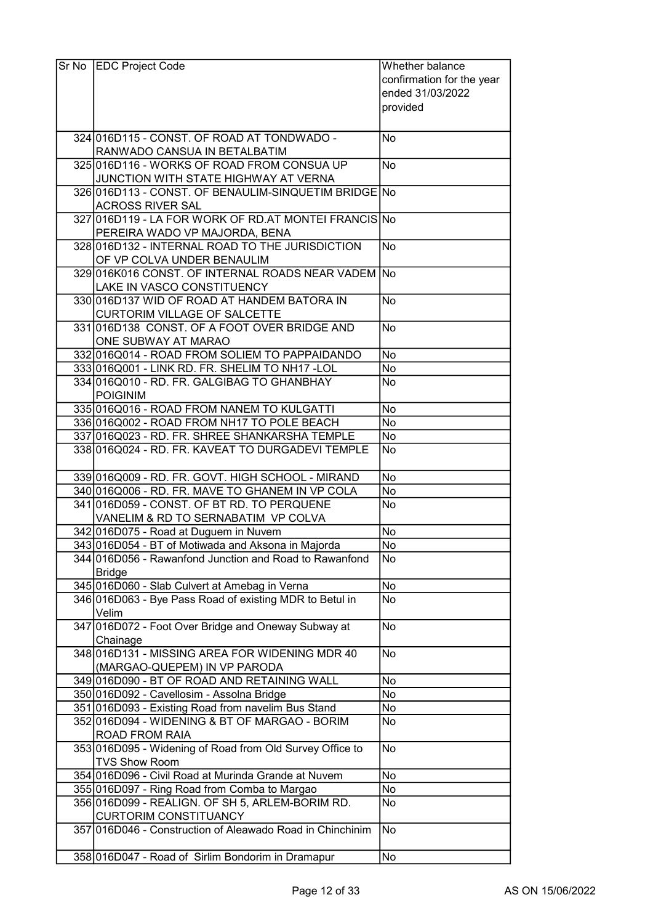| Sr No EDC Project Code                                     | Whether balance           |
|------------------------------------------------------------|---------------------------|
|                                                            | confirmation for the year |
|                                                            | ended 31/03/2022          |
|                                                            | provided                  |
|                                                            |                           |
| 324 016 D115 - CONST. OF ROAD AT TONDWADO -                | No                        |
| RANWADO CANSUA IN BETALBATIM                               |                           |
| 325 016 D116 - WORKS OF ROAD FROM CONSUA UP                | <b>No</b>                 |
| JUNCTION WITH STATE HIGHWAY AT VERNA                       |                           |
| 326 016 D113 - CONST. OF BENAULIM-SINQUETIM BRIDGE No      |                           |
| <b>ACROSS RIVER SAL</b>                                    |                           |
| 327 016 D119 - LA FOR WORK OF RD.AT MONTEL FRANCIS No      |                           |
| PEREIRA WADO VP MAJORDA, BENA                              |                           |
| 328 016 D132 - INTERNAL ROAD TO THE JURISDICTION           | <b>No</b>                 |
| OF VP COLVA UNDER BENAULIM                                 |                           |
| 329 016K016 CONST. OF INTERNAL ROADS NEAR VADEM No         |                           |
| LAKE IN VASCO CONSTITUENCY                                 |                           |
| 330 016 D137 WID OF ROAD AT HANDEM BATORA IN               | <b>No</b>                 |
| CURTORIM VILLAGE OF SALCETTE                               |                           |
| 331 016 D138 CONST. OF A FOOT OVER BRIDGE AND              | $\overline{N}$ o          |
| ONE SUBWAY AT MARAO                                        |                           |
| 332 016 Q014 - ROAD FROM SOLIEM TO PAPPAIDANDO             | <b>No</b>                 |
| 333 016 Q 001 - LINK RD. FR. SHELIM TO NH17 - LOL          | No                        |
| 334 016 Q 010 - RD. FR. GALGIBAG TO GHAN BHAY              | No                        |
| <b>POIGINIM</b>                                            |                           |
| 335 016 Q016 - ROAD FROM NANEM TO KULGATTI                 | No                        |
| 336 016 Q002 - ROAD FROM NH17 TO POLE BEACH                | No                        |
| 337 016 Q 023 - RD. FR. SHREE SHANKARSHA TEMPLE            | No                        |
| 338 016 Q024 - RD. FR. KAVEAT TO DURGADEVI TEMPLE          | No                        |
|                                                            |                           |
| 339 016 Q009 - RD. FR. GOVT. HIGH SCHOOL - MIRAND          | No                        |
| 340 016 Q006 - RD. FR. MAVE TO GHANEM IN VP COLA           | No                        |
| 341 016 D059 - CONST. OF BT RD. TO PERQUENE                | No                        |
| VANELIM & RD TO SERNABATIM VP COLVA                        |                           |
| 342 016 D075 - Road at Duguem in Nuvem                     | No                        |
| 343 016 D054 - BT of Motiwada and Aksona in Majorda        | No                        |
| 344 016 D056 - Rawanfond Junction and Road to Rawanfond    | No                        |
| <b>Bridge</b>                                              |                           |
| 345 016 D060 - Slab Culvert at Amebag in Verna             | No                        |
| 346 016 D063 - Bye Pass Road of existing MDR to Betul in   | No                        |
| Velim                                                      |                           |
| 347 016 D072 - Foot Over Bridge and Oneway Subway at       | No                        |
| Chainage                                                   |                           |
| 348 016 D131 - MISSING AREA FOR WIDENING MDR 40            | No                        |
| (MARGAO-QUEPEM) IN VP PARODA                               |                           |
| 349 016 D090 - BT OF ROAD AND RETAINING WALL               | No                        |
| 350 016D092 - Cavellosim - Assolna Bridge                  | No                        |
| 351 016D093 - Existing Road from navelim Bus Stand         | No                        |
| 352 016 D094 - WIDENING & BT OF MARGAO - BORIM             | No                        |
| ROAD FROM RAIA                                             |                           |
| 353 016 D095 - Widening of Road from Old Survey Office to  | <b>No</b>                 |
| <b>TVS Show Room</b>                                       |                           |
| 354 016 D096 - Civil Road at Murinda Grande at Nuvem       | No                        |
| 355 016 D097 - Ring Road from Comba to Margao              | No                        |
| 356 016 D099 - REALIGN. OF SH 5, ARLEM-BORIM RD.           | No                        |
| <b>CURTORIM CONSTITUANCY</b>                               |                           |
| 357 016 D046 - Construction of Aleawado Road in Chinchinim | <b>No</b>                 |
|                                                            |                           |
| 358 016 D047 - Road of Sirlim Bondorim in Dramapur         | <b>No</b>                 |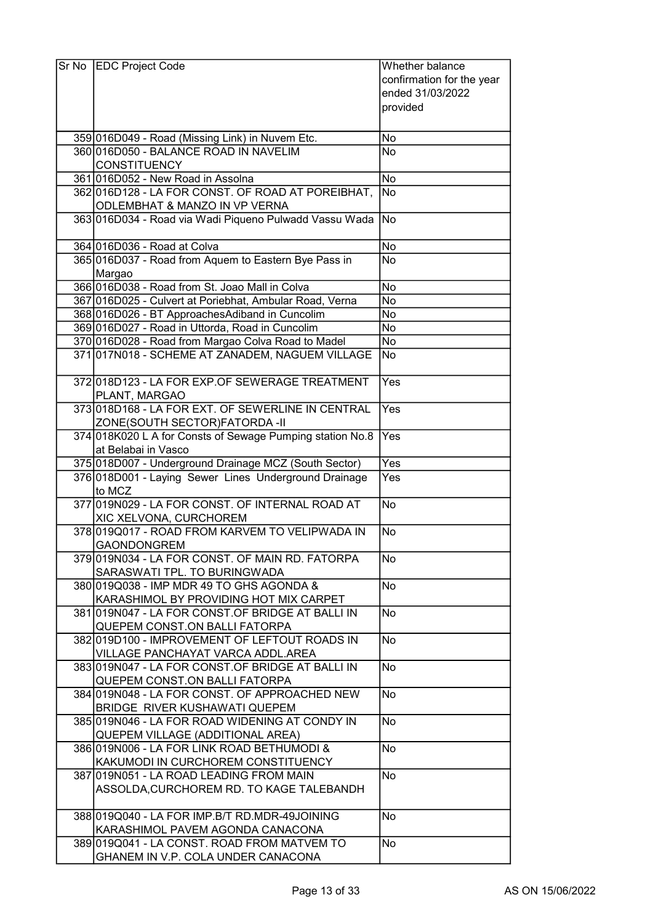| Sr No | <b>EDC Project Code</b>                                                                    | Whether balance           |
|-------|--------------------------------------------------------------------------------------------|---------------------------|
|       |                                                                                            | confirmation for the year |
|       |                                                                                            | ended 31/03/2022          |
|       |                                                                                            | provided                  |
|       |                                                                                            |                           |
|       |                                                                                            | No                        |
|       | 359 016 D049 - Road (Missing Link) in Nuvem Etc.<br>360 016 D050 - BALANCE ROAD IN NAVELIM | <b>No</b>                 |
|       | <b>CONSTITUENCY</b>                                                                        |                           |
|       | 361 016 D052 - New Road in Assolna                                                         | No                        |
|       | 362 016 D128 - LA FOR CONST. OF ROAD AT POREIBHAT,                                         | No                        |
|       | ODLEMBHAT & MANZO IN VP VERNA                                                              |                           |
|       | 363 016 D034 - Road via Wadi Piqueno Pulwadd Vassu Wada                                    | <b>No</b>                 |
|       |                                                                                            |                           |
|       | 364 016 D036 - Road at Colva                                                               | No                        |
|       | 365 016 D037 - Road from Aquem to Eastern Bye Pass in                                      | No                        |
|       | Margao                                                                                     |                           |
|       | 366 016 D038 - Road from St. Joao Mall in Colva                                            | <b>No</b>                 |
|       | 367 016D025 - Culvert at Poriebhat, Ambular Road, Verna                                    | No                        |
|       | 368 016 D026 - BT Approaches Adiband in Cuncolim                                           | <b>No</b>                 |
|       | 369 016 D027 - Road in Uttorda, Road in Cuncolim                                           | No                        |
|       | 370 016 D028 - Road from Margao Colva Road to Madel                                        | No                        |
|       |                                                                                            |                           |
|       | 371 017N018 - SCHEME AT ZANADEM, NAGUEM VILLAGE                                            | No                        |
|       | 372 018 D123 - LA FOR EXP. OF SEWERAGE TREATMENT                                           | Yes                       |
|       | PLANT, MARGAO                                                                              |                           |
|       | 373 018 D168 - LA FOR EXT. OF SEWERLINE IN CENTRAL                                         | Yes                       |
|       | ZONE(SOUTH SECTOR)FATORDA -II                                                              |                           |
|       | 374 018K020 L A for Consts of Sewage Pumping station No.8                                  | Yes                       |
|       | at Belabai in Vasco                                                                        |                           |
|       | 375 018 D007 - Underground Drainage MCZ (South Sector)                                     | Yes                       |
|       | 376 018 D001 - Laying Sewer Lines Underground Drainage<br>to MCZ                           | Yes                       |
|       | 377 019 NO29 - LA FOR CONST. OF INTERNAL ROAD AT                                           | No                        |
|       | XIC XELVONA, CURCHOREM                                                                     |                           |
|       | 378 019 Q017 - ROAD FROM KARVEM TO VELIPWADA IN                                            | No                        |
|       | <b>GAONDONGREM</b>                                                                         |                           |
|       | 379 019 NO34 - LA FOR CONST. OF MAIN RD. FATORPA                                           | No                        |
|       | SARASWATI TPL. TO BURINGWADA                                                               |                           |
|       | 3801019Q038 - IMP MDR 49 TO GHS AGONDA &                                                   | No                        |
|       | KARASHIMOL BY PROVIDING HOT MIX CARPET                                                     |                           |
|       | 381 019 NO47 - LA FOR CONST. OF BRIDGE AT BALLI IN                                         | No                        |
|       | QUEPEM CONST.ON BALLI FATORPA                                                              |                           |
|       | 382 019 D100 - IMPROVEMENT OF LEFTOUT ROADS IN                                             | No                        |
|       | VILLAGE PANCHAYAT VARCA ADDL.AREA                                                          |                           |
|       | 383 019 N047 - LA FOR CONST. OF BRIDGE AT BALLI IN                                         | No                        |
|       | QUEPEM CONST.ON BALLI FATORPA                                                              |                           |
|       | 384 019 NO48 - LA FOR CONST. OF APPROACHED NEW                                             | No                        |
|       | BRIDGE RIVER KUSHAWATI QUEPEM                                                              |                           |
|       | 385 019 N046 - LA FOR ROAD WIDENING AT CONDY IN                                            | No                        |
|       | QUEPEM VILLAGE (ADDITIONAL AREA)                                                           |                           |
|       | 386 019 NO06 - LA FOR LINK ROAD BETHUMODI &                                                | <b>No</b>                 |
|       | KAKUMODI IN CURCHOREM CONSTITUENCY                                                         |                           |
|       | 387 019 N051 - LA ROAD LEADING FROM MAIN                                                   | <b>No</b>                 |
|       | ASSOLDA, CURCHOREM RD. TO KAGE TALEBANDH                                                   |                           |
|       |                                                                                            |                           |
|       | 388 019 Q 040 - LA FOR IMP. B/T RD. MDR-49 JOINING                                         | No                        |
|       | KARASHIMOL PAVEM AGONDA CANACONA                                                           |                           |
|       | 389 019 Q 041 - LA CONST. ROAD FROM MATVEM TO                                              | No                        |
|       | GHANEM IN V.P. COLA UNDER CANACONA                                                         |                           |
|       |                                                                                            |                           |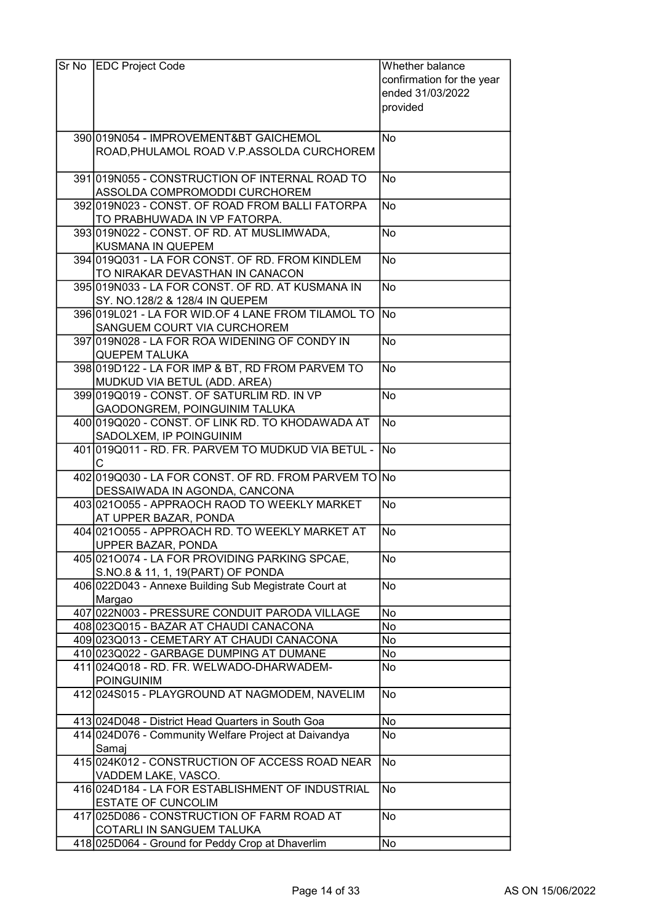| Sr No EDC Project Code                                                        | Whether balance           |
|-------------------------------------------------------------------------------|---------------------------|
|                                                                               | confirmation for the year |
|                                                                               | ended 31/03/2022          |
|                                                                               | provided                  |
|                                                                               |                           |
| 3901019N054 - IMPROVEMENT&BT GAICHEMOL                                        | No.                       |
| ROAD, PHULAMOL ROAD V.P.ASSOLDA CURCHOREM                                     |                           |
|                                                                               |                           |
| 391 019 N055 - CONSTRUCTION OF INTERNAL ROAD TO                               | No                        |
| ASSOLDA COMPROMODDI CURCHOREM                                                 |                           |
| 392 019 NO23 - CONST. OF ROAD FROM BALLI FATORPA                              | No.                       |
| TO PRABHUWADA IN VP FATORPA.                                                  |                           |
| 393 019 NO22 - CONST. OF RD. AT MUSLIMWADA,<br>KUSMANA IN QUEPEM              | No                        |
| 394 019 Q031 - LA FOR CONST. OF RD. FROM KINDLEM                              | No.                       |
| TO NIRAKAR DEVASTHAN IN CANACON                                               |                           |
| 395 019 NO33 - LA FOR CONST. OF RD. AT KUSMANA IN                             | No                        |
| SY. NO.128/2 & 128/4 IN QUEPEM                                                |                           |
| 396 019 L021 - LA FOR WID. OF 4 LANE FROM TILAMOL TO No                       |                           |
| SANGUEM COURT VIA CURCHOREM                                                   |                           |
| 397 019 NO28 - LA FOR ROA WIDENING OF CONDY IN                                | No                        |
| <b>QUEPEM TALUKA</b>                                                          |                           |
| 398 019 D122 - LA FOR IMP & BT, RD FROM PARVEM TO                             | No.                       |
| MUDKUD VIA BETUL (ADD. AREA)                                                  |                           |
| 399 019 Q 019 - CONST. OF SATURLIM RD. IN VP                                  | No                        |
| GAODONGREM, POINGUINIM TALUKA                                                 |                           |
| 400 019 Q 020 - CONST. OF LINK RD. TO KHODAWADA AT                            | No                        |
| SADOLXEM, IP POINGUINIM                                                       |                           |
| 401 019 Q 011 - RD. FR. PARVEM TO MUDKUD VIA BETUL -                          | No.                       |
| С                                                                             |                           |
| 402 019 Q030 - LA FOR CONST. OF RD. FROM PARVEM TO No                         |                           |
| DESSAIWADA IN AGONDA, CANCONA<br>403 0210055 - APPRAOCH RAOD TO WEEKLY MARKET | No                        |
| AT UPPER BAZAR, PONDA                                                         |                           |
| 404 021 0055 - APPROACH RD. TO WEEKLY MARKET AT                               | No                        |
| <b>UPPER BAZAR, PONDA</b>                                                     |                           |
| 405 0210074 - LA FOR PROVIDING PARKING SPCAE,                                 | <b>No</b>                 |
| S.NO.8 & 11, 1, 19 (PART) OF PONDA                                            |                           |
| 406 022D043 - Annexe Building Sub Megistrate Court at                         | No                        |
| Margao                                                                        |                           |
| 407 022N003 - PRESSURE CONDUIT PARODA VILLAGE                                 | No                        |
| 408 023 Q 015 - BAZAR AT CHAUDI CANACONA                                      | No                        |
| 409 023 Q 013 - CEMETARY AT CHAUDI CANACONA                                   | No                        |
| 410 023 Q 022 - GARBAGE DUMPING AT DUMANE                                     | No                        |
| 411 024 Q 018 - RD. FR. WELWADO-DHARWADEM-                                    | No                        |
| <b>POINGUINIM</b>                                                             |                           |
| 412 024 S015 - PLAYGROUND AT NAGMODEM, NAVELIM                                | No                        |
|                                                                               |                           |
| 413 024 D048 - District Head Quarters in South Goa                            | No                        |
| 414 024 D076 - Community Welfare Project at Daivandya                         | No                        |
| Samaj<br>415 024K012 - CONSTRUCTION OF ACCESS ROAD NEAR                       | No                        |
| VADDEM LAKE, VASCO.                                                           |                           |
| 416 024 D184 - LA FOR ESTABLISHMENT OF INDUSTRIAL                             | No                        |
| ESTATE OF CUNCOLIM                                                            |                           |
| 417 025 D086 - CONSTRUCTION OF FARM ROAD AT                                   | No                        |
| COTARLI IN SANGUEM TALUKA                                                     |                           |
| 418 025 D064 - Ground for Peddy Crop at Dhaverlim                             | No                        |
|                                                                               |                           |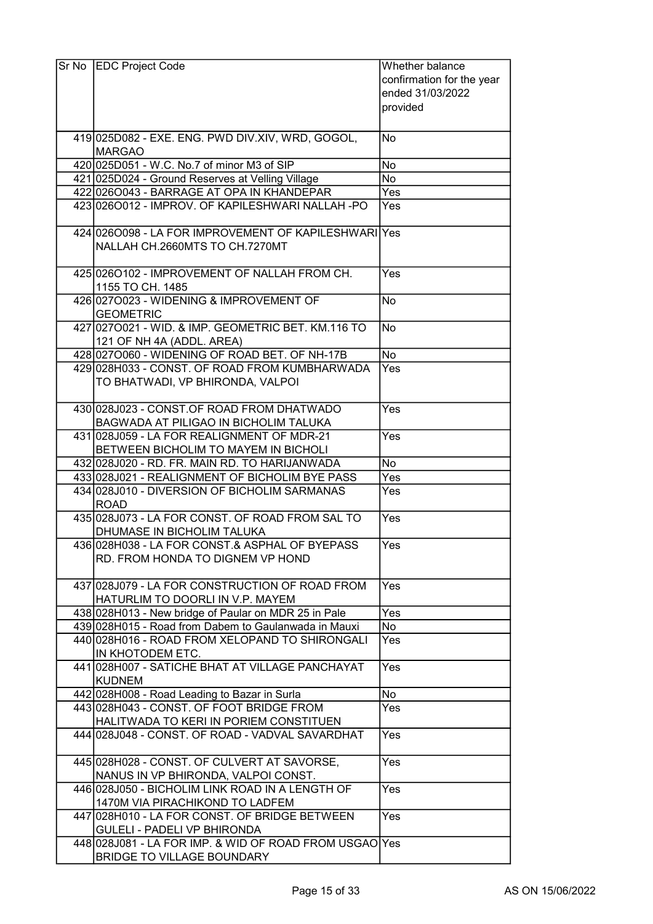| Sr No   EDC Project Code                                                                   | Whether balance<br>confirmation for the year<br>ended 31/03/2022<br>provided |
|--------------------------------------------------------------------------------------------|------------------------------------------------------------------------------|
|                                                                                            |                                                                              |
| 419 025 D082 - EXE. ENG. PWD DIV. XIV, WRD, GOGOL,<br><b>MARGAO</b>                        | No                                                                           |
| 420 025 D051 - W.C. No.7 of minor M3 of SIP                                                | No                                                                           |
| 421 025 D024 - Ground Reserves at Velling Village                                          | No                                                                           |
| 422 026 0043 - BARRAGE AT OPA IN KHANDEPAR                                                 | Yes                                                                          |
| 423 0260012 - IMPROV. OF KAPILESHWARI NALLAH -PO                                           | Yes                                                                          |
| 424 026 0098 - LA FOR IMPROVEMENT OF KAPILESHWARI Yes<br>NALLAH CH.2660MTS TO CH.7270MT    |                                                                              |
| 425 026 0102 - IMPROVEMENT OF NALLAH FROM CH.<br>1155 TO CH. 1485                          | Yes                                                                          |
| 426 027 0023 - WIDENING & IMPROVEMENT OF<br><b>GEOMETRIC</b>                               | <b>No</b>                                                                    |
| 427 027 0021 - WID. & IMP. GEOMETRIC BET. KM.116 TO<br>121 OF NH 4A (ADDL. AREA)           | No.                                                                          |
| 428 0270060 - WIDENING OF ROAD BET. OF NH-17B                                              | <b>No</b>                                                                    |
| 429 028 H033 - CONST. OF ROAD FROM KUMBHARWADA                                             | Yes                                                                          |
| TO BHATWADI, VP BHIRONDA, VALPOI                                                           |                                                                              |
| 430 028 J023 - CONST.OF ROAD FROM DHATWADO<br><b>BAGWADA AT PILIGAO IN BICHOLIM TALUKA</b> | Yes                                                                          |
| 431 028 J059 - LA FOR REALIGNMENT OF MDR-21<br>BETWEEN BICHOLIM TO MAYEM IN BICHOLI        | Yes                                                                          |
| 432 028 J020 - RD. FR. MAIN RD. TO HARIJANWADA                                             | No                                                                           |
| 433 028 J021 - REALIGNMENT OF BICHOLIM BYE PASS                                            | Yes                                                                          |
| 434 028 J010 - DIVERSION OF BICHOLIM SARMANAS<br><b>ROAD</b>                               | Yes                                                                          |
| 435 028 J073 - LA FOR CONST. OF ROAD FROM SAL TO<br>DHUMASE IN BICHOLIM TALUKA             | Yes                                                                          |
| 436 028 H038 - LA FOR CONST.& ASPHAL OF BYEPASS<br>RD. FROM HONDA TO DIGNEM VP HOND        | Yes                                                                          |
| 437 028 J079 - LA FOR CONSTRUCTION OF ROAD FROM<br>HATURLIM TO DOORLI IN V.P. MAYEM        | Yes                                                                          |
| 438 028 H013 - New bridge of Paular on MDR 25 in Pale                                      | Yes                                                                          |
| 439 028 H015 - Road from Dabem to Gaulanwada in Mauxi                                      | No                                                                           |
| 440 028 H016 - ROAD FROM XELOPAND TO SHIRONGALI<br>IN KHOTODEM ETC.                        | Yes                                                                          |
| 441 028 H007 - SATICHE BHAT AT VILLAGE PANCHAYAT<br><b>KUDNEM</b>                          | Yes                                                                          |
| 442 028 H008 - Road Leading to Bazar in Surla                                              | No                                                                           |
| 443 028 H043 - CONST. OF FOOT BRIDGE FROM                                                  | Yes                                                                          |
| HALITWADA TO KERI IN PORIEM CONSTITUEN<br>444 028 J048 - CONST. OF ROAD - VADVAL SAVARDHAT | Yes                                                                          |
|                                                                                            |                                                                              |
| 445 028 H028 - CONST. OF CULVERT AT SAVORSE,<br>NANUS IN VP BHIRONDA, VALPOI CONST.        | Yes                                                                          |
| 446 028 J050 - BICHOLIM LINK ROAD IN A LENGTH OF<br>1470M VIA PIRACHIKOND TO LADFEM        | Yes                                                                          |
| 447 028 HO10 - LA FOR CONST. OF BRIDGE BETWEEN<br><b>GULELI - PADELI VP BHIRONDA</b>       | Yes                                                                          |
| 448 028 J081 - LA FOR IMP. & WID OF ROAD FROM USGAO Yes<br>BRIDGE TO VILLAGE BOUNDARY      |                                                                              |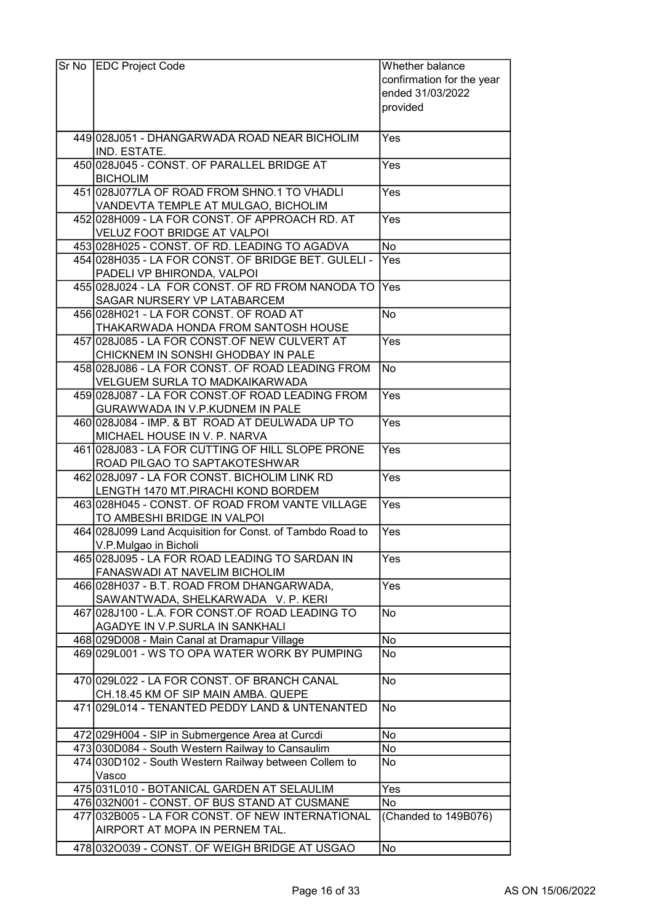| Sr No | <b>EDC Project Code</b>                                                                                     | Whether balance           |
|-------|-------------------------------------------------------------------------------------------------------------|---------------------------|
|       |                                                                                                             | confirmation for the year |
|       |                                                                                                             | ended 31/03/2022          |
|       |                                                                                                             | provided                  |
|       |                                                                                                             |                           |
|       | 449 028 J051 - DHANGARWADA ROAD NEAR BICHOLIM                                                               | Yes                       |
|       | IND. ESTATE.                                                                                                |                           |
|       | 450 028 J045 - CONST. OF PARALLEL BRIDGE AT                                                                 | Yes                       |
|       | <b>BICHOLIM</b>                                                                                             |                           |
|       | 451 028 J077LA OF ROAD FROM SHNO.1 TO VHADLI                                                                | Yes                       |
|       | VANDEVTA TEMPLE AT MULGAO, BICHOLIM                                                                         |                           |
|       | 452 028 H009 - LA FOR CONST. OF APPROACH RD. AT                                                             | Yes                       |
|       | VELUZ FOOT BRIDGE AT VALPOI                                                                                 |                           |
|       | 453 028 H025 - CONST. OF RD. LEADING TO AGADVA                                                              | <b>No</b>                 |
|       | 454 028 H035 - LA FOR CONST. OF BRIDGE BET. GULELI -                                                        | Yes                       |
|       | PADELI VP BHIRONDA, VALPOI                                                                                  |                           |
|       | 455 028 J024 - LA FOR CONST. OF RD FROM NANODA TO                                                           | Yes                       |
|       | SAGAR NURSERY VP LATABARCEM                                                                                 |                           |
|       | 456 028 H021 - LA FOR CONST. OF ROAD AT                                                                     | <b>No</b>                 |
|       | THAKARWADA HONDA FROM SANTOSH HOUSE                                                                         |                           |
|       | 457 028 J085 - LA FOR CONST.OF NEW CULVERT AT                                                               | Yes                       |
|       | CHICKNEM IN SONSHI GHODBAY IN PALE                                                                          |                           |
|       | 458 028 J086 - LA FOR CONST. OF ROAD LEADING FROM                                                           | No                        |
|       | <b>VELGUEM SURLA TO MADKAIKARWADA</b><br>459 028 J087 - LA FOR CONST. OF ROAD LEADING FROM                  | Yes                       |
|       | GURAWWADA IN V.P.KUDNEM IN PALE                                                                             |                           |
|       | 460 028 J084 - IMP. & BT ROAD AT DEULWADA UP TO                                                             | Yes                       |
|       | MICHAEL HOUSE IN V. P. NARVA                                                                                |                           |
|       | 461 028 J083 - LA FOR CUTTING OF HILL SLOPE PRONE                                                           | Yes                       |
|       | ROAD PILGAO TO SAPTAKOTESHWAR                                                                               |                           |
|       | 462 028 J097 - LA FOR CONST. BICHOLIM LINK RD                                                               | Yes                       |
|       | LENGTH 1470 MT.PIRACHI KOND BORDEM                                                                          |                           |
|       | 463 028 H045 - CONST, OF ROAD FROM VANTE VILLAGE                                                            | Yes                       |
|       | TO AMBESHI BRIDGE IN VALPOI                                                                                 |                           |
|       | 464 028 J099 Land Acquisition for Const. of Tambdo Road to                                                  | $\overline{Yes}$          |
|       | V.P.Mulgao in Bicholi                                                                                       |                           |
|       | 465 028 J095 - LA FOR ROAD LEADING TO SARDAN IN                                                             | Yes                       |
|       | FANASWADI AT NAVELIM BICHOLIM                                                                               |                           |
|       | 466 028 H037 - B.T. ROAD FROM DHANGARWADA,                                                                  | Yes                       |
|       | SAWANTWADA, SHELKARWADA V. P. KERI                                                                          |                           |
|       | 467 028 J100 - L.A. FOR CONST.OF ROAD LEADING TO                                                            | No                        |
|       | AGADYE IN V.P.SURLA IN SANKHALI                                                                             |                           |
|       | 468 029 D008 - Main Canal at Dramapur Village                                                               | <b>No</b>                 |
|       | 469 029 L001 - WS TO OPA WATER WORK BY PUMPING                                                              | <b>No</b>                 |
|       |                                                                                                             |                           |
|       | 470 029 L022 - LA FOR CONST. OF BRANCH CANAL                                                                | <b>No</b>                 |
|       | CH.18.45 KM OF SIP MAIN AMBA. QUEPE                                                                         |                           |
|       | 471 029 L014 - TENANTED PEDDY LAND & UNTENANTED                                                             | No                        |
|       |                                                                                                             |                           |
|       | 472 029 H004 - SIP in Submergence Area at Curcdi                                                            | No                        |
|       | 473 030 D084 - South Western Railway to Cansaulim<br>474 030 D102 - South Western Railway between Collem to | No<br>No                  |
|       | Vasco                                                                                                       |                           |
|       | 475 031 L010 - BOTANICAL GARDEN AT SELAULIM                                                                 | Yes                       |
|       | 476 032N001 - CONST. OF BUS STAND AT CUSMANE                                                                | No                        |
|       | 477 032B005 - LA FOR CONST. OF NEW INTERNATIONAL                                                            | (Chanded to 149B076)      |
|       | AIRPORT AT MOPA IN PERNEM TAL.                                                                              |                           |
|       |                                                                                                             |                           |
|       | 478 0320039 - CONST. OF WEIGH BRIDGE AT USGAO                                                               | No                        |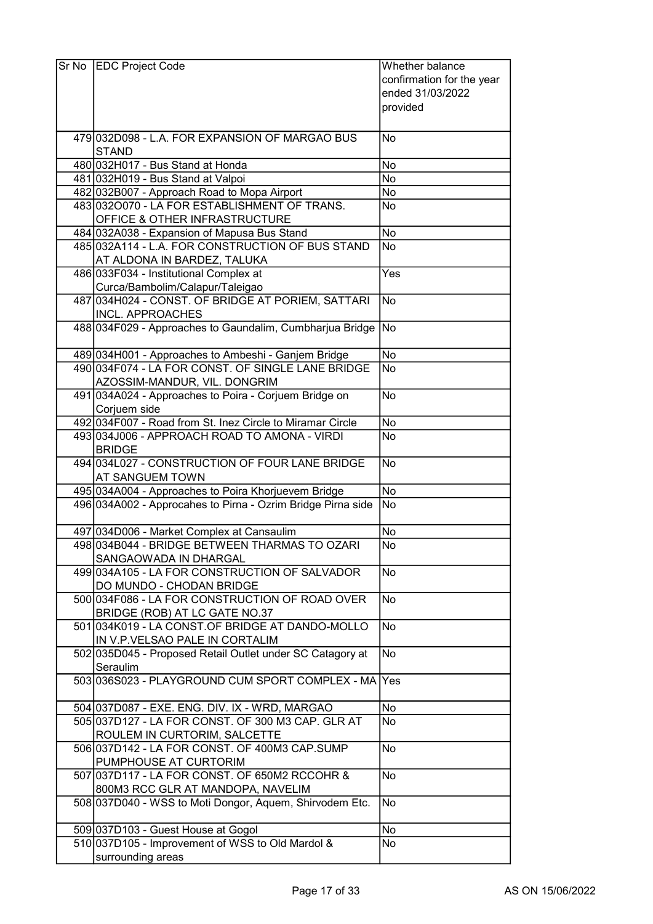| Sr No EDC Project Code                                      | Whether balance           |
|-------------------------------------------------------------|---------------------------|
|                                                             | confirmation for the year |
|                                                             | ended 31/03/2022          |
|                                                             | provided                  |
|                                                             |                           |
|                                                             |                           |
| 479 032 D098 - L.A. FOR EXPANSION OF MARGAO BUS             | No                        |
| <b>STAND</b>                                                |                           |
| 480 032 H017 - Bus Stand at Honda                           | No                        |
| 481 032 H019 - Bus Stand at Valpoi                          | No                        |
| 482 032 B007 - Approach Road to Mopa Airport                | No                        |
| 483 0320070 - LA FOR ESTABLISHMENT OF TRANS.                | No                        |
| <b>OFFICE &amp; OTHER INFRASTRUCTURE</b>                    |                           |
| 484 032A038 - Expansion of Mapusa Bus Stand                 | No                        |
| 485 032A114 - L.A. FOR CONSTRUCTION OF BUS STAND            | No                        |
| AT ALDONA IN BARDEZ, TALUKA                                 |                           |
| 486 033F034 - Institutional Complex at                      | Yes                       |
| Curca/Bambolim/Calapur/Taleigao                             |                           |
|                                                             |                           |
| 487 034 H024 - CONST. OF BRIDGE AT PORIEM, SATTARI          | No                        |
| <b>INCL. APPROACHES</b>                                     |                           |
| 488 034 F029 - Approaches to Gaundalim, Cumbharjua Bridge   | <b>No</b>                 |
|                                                             |                           |
| 489 034 H001 - Approaches to Ambeshi - Ganjem Bridge        | No                        |
| 490 034 F074 - LA FOR CONST. OF SINGLE LANE BRIDGE          | No                        |
| AZOSSIM-MANDUR, VIL. DONGRIM                                |                           |
| 491 034A024 - Approaches to Poira - Corjuem Bridge on       | No                        |
| Corjuem side                                                |                           |
| 492 034 F007 - Road from St. Inez Circle to Miramar Circle  | No                        |
| 493 034 J006 - APPROACH ROAD TO AMONA - VIRDI               | <b>No</b>                 |
| <b>BRIDGE</b>                                               |                           |
| 494 034 L027 - CONSTRUCTION OF FOUR LANE BRIDGE             | No                        |
| <b>AT SANGUEM TOWN</b>                                      |                           |
|                                                             |                           |
| 495 034 A004 - Approaches to Poira Khorjuevem Bridge        | <b>No</b>                 |
| 496 034A002 - Approcahes to Pirna - Ozrim Bridge Pirna side | No                        |
|                                                             |                           |
| 497 034 D006 - Market Complex at Cansaulim                  | No                        |
| 498 034 B044 - BRIDGE BETWEEN THARMAS TO OZARI              | No                        |
| SANGAOWADA IN DHARGAL                                       |                           |
| 499 034A105 - LA FOR CONSTRUCTION OF SALVADOR               | No                        |
| DO MUNDO - CHODAN BRIDGE                                    |                           |
| 500 034 F086 - LA FOR CONSTRUCTION OF ROAD OVER             | <b>No</b>                 |
| BRIDGE (ROB) AT LC GATE NO.37                               |                           |
| 501 034K019 - LA CONST.OF BRIDGE AT DANDO-MOLLO             | No                        |
| IN V.P.VELSAO PALE IN CORTALIM                              |                           |
| 502 035 D045 - Proposed Retail Outlet under SC Catagory at  | No                        |
| Seraulim                                                    |                           |
| 503 036 S023 - PLAYGROUND CUM SPORT COMPLEX - MA Yes        |                           |
|                                                             |                           |
| 504 037 D087 - EXE. ENG. DIV. IX - WRD, MARGAO              | No                        |
| 505 037 D127 - LA FOR CONST. OF 300 M3 CAP. GLR AT          | No                        |
|                                                             |                           |
| ROULEM IN CURTORIM, SALCETTE                                |                           |
| 506 037 D142 - LA FOR CONST. OF 400M3 CAP.SUMP              | No                        |
| PUMPHOUSE AT CURTORIM                                       |                           |
| 507 037 D117 - LA FOR CONST. OF 650M2 RCCOHR &              | No                        |
| 800M3 RCC GLR AT MANDOPA, NAVELIM                           |                           |
| 508 037 D040 - WSS to Moti Dongor, Aquem, Shirvodem Etc.    | No                        |
|                                                             |                           |
| 509 037D103 - Guest House at Gogol                          | No                        |
| 510 037D105 - Improvement of WSS to Old Mardol &            | No                        |
| surrounding areas                                           |                           |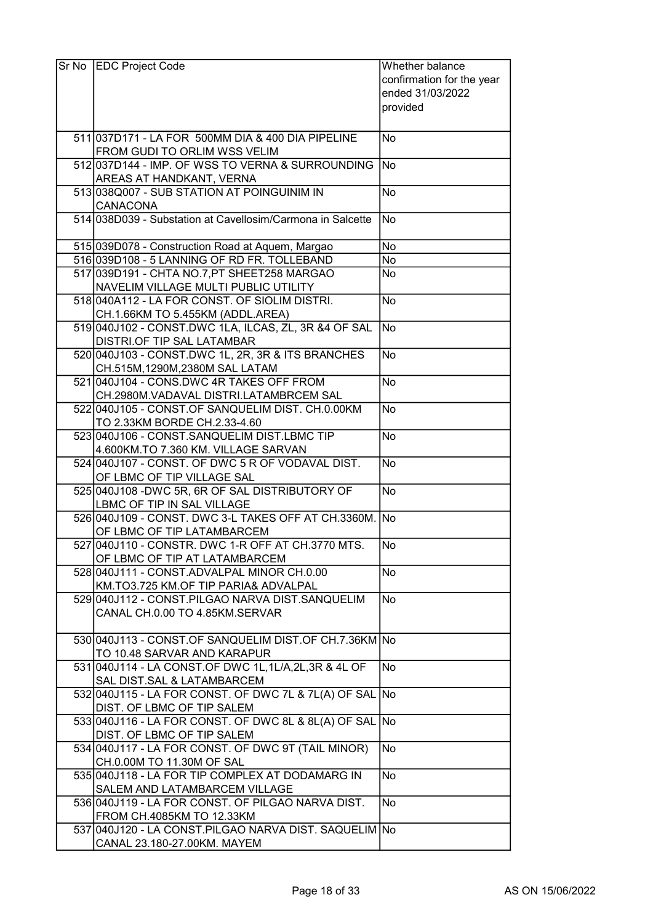| $\operatorname{\mathsf{Sr~No}}$ | <b>EDC Project Code</b>                                                                    | Whether balance           |
|---------------------------------|--------------------------------------------------------------------------------------------|---------------------------|
|                                 |                                                                                            | confirmation for the year |
|                                 |                                                                                            | ended 31/03/2022          |
|                                 |                                                                                            | provided                  |
|                                 |                                                                                            |                           |
|                                 | 511 037 D171 - LA FOR 500 MM DIA & 400 DIA PIPELINE                                        | No                        |
|                                 | FROM GUDI TO ORLIM WSS VELIM                                                               |                           |
|                                 | 512 037 D144 - IMP. OF WSS TO VERNA & SURROUNDING                                          | No.                       |
|                                 | AREAS AT HANDKANT, VERNA                                                                   |                           |
|                                 | 513 038 Q 007 - SUB STATION AT POINGUINIM IN                                               | <b>No</b>                 |
|                                 | <b>CANACONA</b>                                                                            |                           |
|                                 | 514 038 D039 - Substation at Cavellosim/Carmona in Salcette                                | No.                       |
|                                 | 515 039 D078 - Construction Road at Aquem, Margao                                          | No                        |
|                                 | 516 039D108 - 5 LANNING OF RD FR. TOLLEBAND                                                | No                        |
|                                 | 517 039 D191 - CHTA NO.7, PT SHEET 258 MARGAO                                              | No                        |
|                                 | NAVELIM VILLAGE MULTI PUBLIC UTILITY                                                       |                           |
|                                 | 518 040 A 112 - LA FOR CONST. OF SIOLIM DISTRI.                                            | No                        |
|                                 | CH.1.66KM TO 5.455KM (ADDL.AREA)                                                           |                           |
|                                 | 519 040 J102 - CONST.DWC 1LA, ILCAS, ZL, 3R & 4 OF SAL                                     | lNo                       |
|                                 | DISTRI.OF TIP SAL LATAMBAR                                                                 |                           |
|                                 | 520 040 J103 - CONST.DWC 1L, 2R, 3R & ITS BRANCHES                                         | No                        |
|                                 | CH.515M,1290M,2380M SAL LATAM                                                              |                           |
|                                 | 521 040 J104 - CONS.DWC 4R TAKES OFF FROM                                                  | No                        |
|                                 | CH.2980M.VADAVAL DISTRI.LATAMBRCEM SAL                                                     |                           |
|                                 | 522 040 J105 - CONST.OF SANQUELIM DIST. CH.0.00KM<br>TO 2.33KM BORDE CH.2.33-4.60          | No                        |
|                                 | 523 040 J106 - CONST. SANQUELIM DIST. LBMC TIP                                             | No.                       |
|                                 | 4.600KM.TO 7.360 KM. VILLAGE SARVAN                                                        |                           |
|                                 | 524 040 J107 - CONST. OF DWC 5 R OF VODAVAL DIST.                                          | No                        |
|                                 | OF LBMC OF TIP VILLAGE SAL                                                                 |                           |
|                                 | 525 040J108 - DWC 5R, 6R OF SAL DISTRIBUTORY OF                                            | No                        |
|                                 | LBMC OF TIP IN SAL VILLAGE                                                                 |                           |
|                                 | 526 040 J109 - CONST. DWC 3-L TAKES OFF AT CH.3360M. No                                    |                           |
|                                 | OF LBMC OF TIP LATAMBARCEM                                                                 |                           |
|                                 | 527 040 J110 - CONSTR. DWC 1-R OFF AT CH.3770 MTS.                                         | No                        |
|                                 | OF LBMC OF TIP AT LATAMBARCEM                                                              |                           |
|                                 | 528 040 J111 - CONST. ADVALPAL MINOR CH.0.00                                               | No                        |
|                                 | KM.TO3.725 KM.OF TIP PARIA& ADVALPAL<br>529 040 J112 - CONST. PILGAO NARVA DIST. SANQUELIM | No                        |
|                                 | CANAL CH.0.00 TO 4.85KM.SERVAR                                                             |                           |
|                                 |                                                                                            |                           |
|                                 | 530 040 J113 - CONST.OF SANQUELIM DIST.OF CH.7.36KM No                                     |                           |
|                                 | TO 10.48 SARVAR AND KARAPUR                                                                |                           |
|                                 | 531 040 J114 - LA CONST.OF DWC 1L, 1L/A, 2L, 3R & 4L OF                                    | No                        |
|                                 | SAL DIST.SAL & LATAMBARCEM                                                                 |                           |
|                                 | 532 040 J115 - LA FOR CONST. OF DWC 7L & 7L(A) OF SAL No                                   |                           |
|                                 | DIST. OF LBMC OF TIP SALEM                                                                 |                           |
|                                 | 533 040 J116 - LA FOR CONST. OF DWC 8L & 8L(A) OF SAL No                                   |                           |
|                                 | DIST. OF LBMC OF TIP SALEM                                                                 |                           |
|                                 | 534 040 J117 - LA FOR CONST. OF DWC 9T (TAIL MINOR)                                        | No                        |
|                                 | CH.0.00M TO 11.30M OF SAL<br>535 040 J118 - LA FOR TIP COMPLEX AT DODAMARG IN              | No                        |
|                                 | SALEM AND LATAMBARCEM VILLAGE                                                              |                           |
|                                 | 536 040 J119 - LA FOR CONST. OF PILGAO NARVA DIST.                                         | No                        |
|                                 | FROM CH.4085KM TO 12.33KM                                                                  |                           |
|                                 | 537 040 J120 - LA CONST.PILGAO NARVA DIST. SAQUELIM No                                     |                           |
|                                 | CANAL 23.180-27.00KM. MAYEM                                                                |                           |
|                                 |                                                                                            |                           |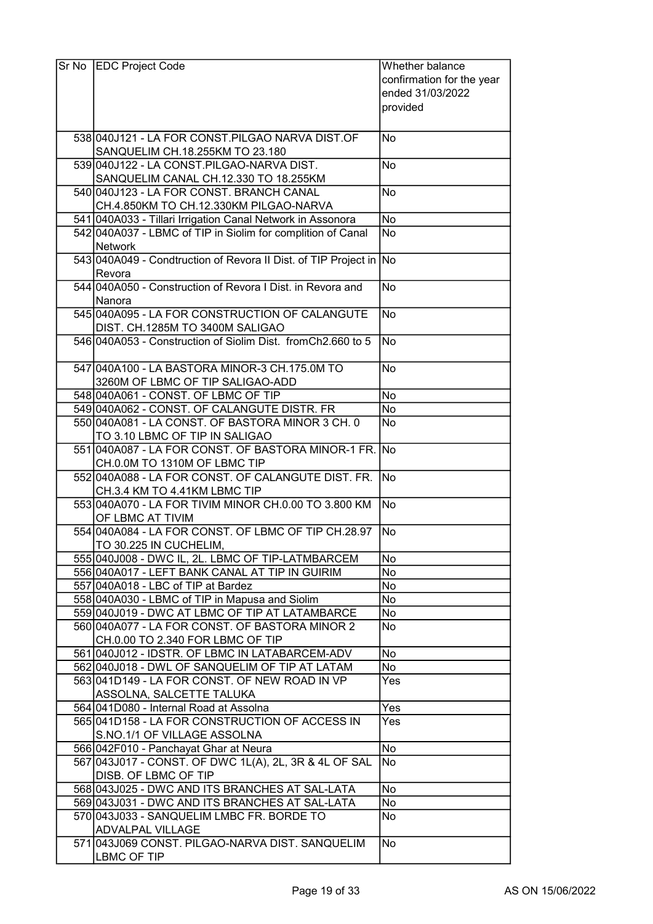| Sr No | <b>EDC Project Code</b>                                                               | Whether balance           |
|-------|---------------------------------------------------------------------------------------|---------------------------|
|       |                                                                                       | confirmation for the year |
|       |                                                                                       | ended 31/03/2022          |
|       |                                                                                       | provided                  |
|       |                                                                                       |                           |
|       | 538 040 J121 - LA FOR CONST. PILGAO NARVA DIST. OF                                    | No                        |
|       | SANQUELIM CH.18.255KM TO 23.180                                                       |                           |
|       | 539 040 J122 - LA CONST. PILGAO-NARVA DIST.                                           | No                        |
|       | SANQUELIM CANAL CH.12.330 TO 18.255KM                                                 |                           |
|       | 540 040 J123 - LA FOR CONST. BRANCH CANAL                                             | No                        |
|       | CH.4.850KM TO CH.12.330KM PILGAO-NARVA                                                |                           |
|       | 541 040 A033 - Tillari Irrigation Canal Network in Assonora                           | No                        |
|       | 542 040 A037 - LBMC of TIP in Siolim for complition of Canal                          | No                        |
|       | <b>Network</b>                                                                        |                           |
|       | 543 040A049 - Condtruction of Revora II Dist. of TIP Project in No                    |                           |
|       | Revora                                                                                |                           |
|       | 544 040 A050 - Construction of Revora I Dist. in Revora and                           | No                        |
|       | Nanora                                                                                |                           |
|       | 545 040 A095 - LA FOR CONSTRUCTION OF CALANGUTE                                       | No                        |
|       | DIST. CH.1285M TO 3400M SALIGAO                                                       |                           |
|       | 546 040 A053 - Construction of Siolim Dist. from Ch2.660 to 5                         | No                        |
|       |                                                                                       |                           |
|       | 547 040A100 - LA BASTORA MINOR-3 CH.175.0M TO                                         | No                        |
|       | 3260M OF LBMC OF TIP SALIGAO-ADD                                                      |                           |
|       | 548 040 A061 - CONST. OF LBMC OF TIP                                                  | No                        |
|       | 549 040 A062 - CONST. OF CALANGUTE DISTR. FR                                          | <b>No</b>                 |
|       | 550 040 A081 - LA CONST. OF BASTORA MINOR 3 CH. 0                                     | <b>No</b>                 |
|       | TO 3.10 LBMC OF TIP IN SALIGAO                                                        |                           |
|       | 551 040A087 - LA FOR CONST. OF BASTORA MINOR-1 FR. No                                 |                           |
|       | CH.0.0M TO 1310M OF LBMC TIP                                                          |                           |
|       | 552 040A088 - LA FOR CONST. OF CALANGUTE DIST. FR.                                    | No                        |
|       | CH.3.4 KM TO 4.41KM LBMC TIP<br>553 040 A070 - LA FOR TIVIM MINOR CH.0.00 TO 3.800 KM | No)                       |
|       | OF LBMC AT TIVIM                                                                      |                           |
|       | 554 040 A084 - LA FOR CONST. OF LBMC OF TIP CH.28.97                                  | No                        |
|       | TO 30.225 IN CUCHELIM,                                                                |                           |
|       | 555 040 J008 - DWC IL, 2L. LBMC OF TIP-LATMBARCEM                                     | No                        |
|       | 556 040A017 - LEFT BANK CANAL AT TIP IN GUIRIM                                        | No                        |
|       | 557 040A018 - LBC of TIP at Bardez                                                    | No                        |
|       | 558 040A030 - LBMC of TIP in Mapusa and Siolim                                        | No                        |
|       | 559 040 J019 - DWC AT LBMC OF TIP AT LATAMBARCE                                       | No                        |
|       | 560 040 A077 - LA FOR CONST. OF BASTORA MINOR 2                                       | No                        |
|       | CH.0.00 TO 2.340 FOR LBMC OF TIP                                                      |                           |
|       | 561 040 J012 - IDSTR. OF LBMC IN LATABARCEM-ADV                                       | No                        |
|       | 562 040 J018 - DWL OF SANQUELIM OF TIP AT LATAM                                       | No                        |
|       | 563 041 D149 - LA FOR CONST. OF NEW ROAD IN VP                                        | Yes                       |
|       | ASSOLNA, SALCETTE TALUKA                                                              |                           |
|       | 564 041 D080 - Internal Road at Assolna                                               | Yes                       |
|       | 565 041 D158 - LA FOR CONSTRUCTION OF ACCESS IN                                       | Yes                       |
|       | S.NO.1/1 OF VILLAGE ASSOLNA                                                           |                           |
|       | 566 042 F010 - Panchayat Ghar at Neura                                                | No)                       |
|       | 567 043 J017 - CONST. OF DWC 1L(A), 2L, 3R & 4L OF SAL                                | No.                       |
|       | DISB. OF LBMC OF TIP                                                                  |                           |
|       | 568 043 J025 - DWC AND ITS BRANCHES AT SAL-LATA                                       | No                        |
|       | 569 043 J031 - DWC AND ITS BRANCHES AT SAL-LATA                                       | No                        |
|       | 570 043 J033 - SANQUELIM LMBC FR. BORDE TO                                            | No                        |
|       | <b>ADVALPAL VILLAGE</b>                                                               |                           |
|       | 571 043 J069 CONST. PILGAO-NARVA DIST. SANQUELIM                                      | No                        |
|       | LBMC OF TIP                                                                           |                           |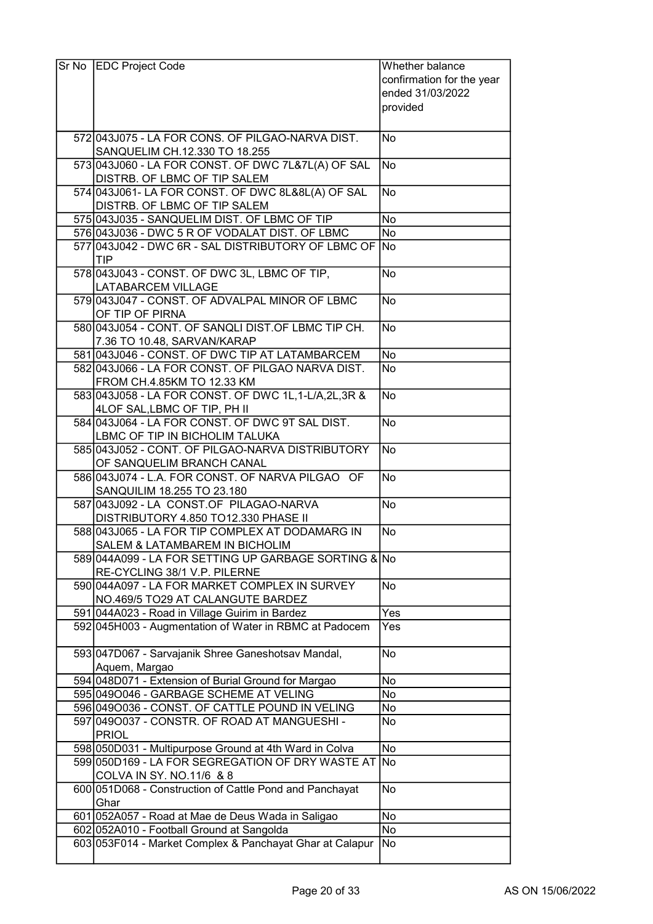| Sr No | <b>EDC Project Code</b>                                                                                         | Whether balance           |
|-------|-----------------------------------------------------------------------------------------------------------------|---------------------------|
|       |                                                                                                                 | confirmation for the year |
|       |                                                                                                                 | ended 31/03/2022          |
|       |                                                                                                                 | provided                  |
|       |                                                                                                                 |                           |
|       | 572 043 J075 - LA FOR CONS. OF PILGAO-NARVA DIST.                                                               | No                        |
|       | SANQUELIM CH.12.330 TO 18.255                                                                                   |                           |
|       | 573 043 060 - LA FOR CONST. OF DWC 7L&7L(A) OF SAL                                                              | No                        |
|       | DISTRB. OF LBMC OF TIP SALEM                                                                                    |                           |
|       | 574 043 J061 - LA FOR CONST. OF DWC 8L&8L(A) OF SAL                                                             | N <sub>o</sub>            |
|       | DISTRB. OF LBMC OF TIP SALEM                                                                                    |                           |
|       | 575 043 J035 - SANQUELIM DIST. OF LBMC OF TIP                                                                   | <b>No</b>                 |
|       | 576 043 036 - DWC 5 R OF VODALAT DIST. OF LBMC                                                                  | No                        |
|       | 577 043 J042 - DWC 6R - SAL DISTRIBUTORY OF LBMC OF No<br>TIP                                                   |                           |
|       | 578 043 J043 - CONST. OF DWC 3L, LBMC OF TIP,                                                                   | No                        |
|       | <b>LATABARCEM VILLAGE</b>                                                                                       |                           |
|       | 579 043 J047 - CONST. OF ADVALPAL MINOR OF LBMC                                                                 | <b>No</b>                 |
|       | OF TIP OF PIRNA                                                                                                 |                           |
|       | 580 043 J054 - CONT. OF SANQLI DIST. OF LBMC TIP CH.                                                            | No                        |
|       | 7.36 TO 10.48, SARVAN/KARAP                                                                                     |                           |
|       | 581 043 J046 - CONST. OF DWC TIP AT LATAMBARCEM                                                                 | No                        |
|       | 582 043 J066 - LA FOR CONST. OF PILGAO NARVA DIST.                                                              | No                        |
|       | FROM CH.4.85KM TO 12.33 KM                                                                                      |                           |
|       | 583 043 058 - LA FOR CONST. OF DWC 1L, 1-L/A, 2L, 3R &                                                          | No                        |
|       | 4LOF SAL, LBMC OF TIP, PH II                                                                                    |                           |
|       | 584 043 J064 - LA FOR CONST. OF DWC 9T SAL DIST.                                                                | No                        |
|       | LBMC OF TIP IN BICHOLIM TALUKA                                                                                  |                           |
|       | 585 043 J052 - CONT. OF PILGAO-NARVA DISTRIBUTORY                                                               | No                        |
|       | OF SANQUELIM BRANCH CANAL                                                                                       |                           |
|       | 586 043 J074 - L.A. FOR CONST. OF NARVA PILGAO OF                                                               | No                        |
|       | SANQUILIM 18.255 TO 23.180<br>587 043 J092 - LA CONST.OF PILAGAO-NARVA                                          | <b>No</b>                 |
|       | DISTRIBUTORY 4.850 TO12.330 PHASE II                                                                            |                           |
|       | 588 043 J065 - LA FOR TIP COMPLEX AT DODAMARG IN                                                                | No                        |
|       | SALEM & LATAMBAREM IN BICHOLIM                                                                                  |                           |
|       | 589 044A099 - LA FOR SETTING UP GARBAGE SORTING & No                                                            |                           |
|       | RE-CYCLING 38/1 V.P. PILERNE                                                                                    |                           |
|       | 590 044A097 - LA FOR MARKET COMPLEX IN SURVEY                                                                   | No                        |
|       | NO.469/5 TO29 AT CALANGUTE BARDEZ                                                                               |                           |
|       | 591 044A023 - Road in Village Guirim in Bardez                                                                  | Yes                       |
|       | 592 045 H003 - Augmentation of Water in RBMC at Padocem                                                         | Yes                       |
|       |                                                                                                                 |                           |
|       | 593 047 D067 - Sarvajanik Shree Ganeshotsav Mandal,                                                             | <b>No</b>                 |
|       | Aquem, Margao                                                                                                   |                           |
|       | 594 048 D071 - Extension of Burial Ground for Margao                                                            | No                        |
|       | 595 0490046 - GARBAGE SCHEME AT VELING                                                                          | No                        |
|       | 596 049 0036 - CONST. OF CATTLE POUND IN VELING                                                                 | No                        |
|       | 597 0490037 - CONSTR. OF ROAD AT MANGUESHI -                                                                    | No                        |
|       | <b>PRIOL</b>                                                                                                    | No                        |
|       | 598 050 D031 - Multipurpose Ground at 4th Ward in Colva<br>599 050 D169 - LA FOR SEGREGATION OF DRY WASTE AT No |                           |
|       | COLVA IN SY. NO.11/6 & 8                                                                                        |                           |
|       | 600 051 D068 - Construction of Cattle Pond and Panchayat                                                        | <b>No</b>                 |
|       | Ghar                                                                                                            |                           |
|       | 601 052A057 - Road at Mae de Deus Wada in Saligao                                                               | No                        |
|       | 602 052A010 - Football Ground at Sangolda                                                                       | No                        |
|       | 603 053 F014 - Market Complex & Panchayat Ghar at Calapur                                                       | No                        |
|       |                                                                                                                 |                           |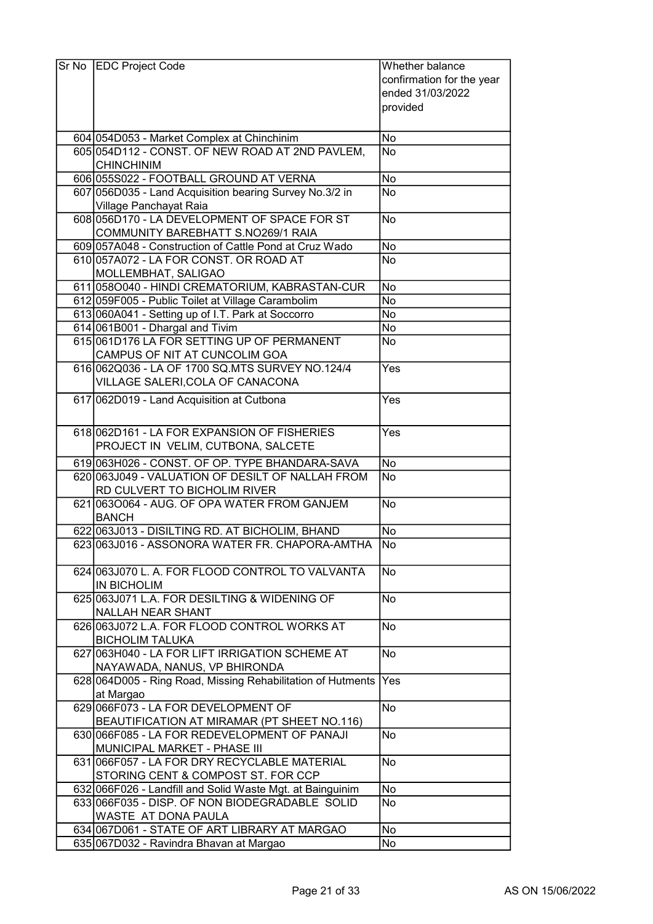| Sr No EDC Project Code                                       | Whether balance           |
|--------------------------------------------------------------|---------------------------|
|                                                              | confirmation for the year |
|                                                              | ended 31/03/2022          |
|                                                              | provided                  |
|                                                              |                           |
| 604 054 D053 - Market Complex at Chinchinim                  | No                        |
| 605 054 D112 - CONST. OF NEW ROAD AT 2ND PAVLEM,             | <b>No</b>                 |
| <b>CHINCHINIM</b>                                            |                           |
| 606 055 S022 - FOOTBALL GROUND AT VERNA                      | No                        |
| 607 056 D035 - Land Acquisition bearing Survey No.3/2 in     | <b>No</b>                 |
| Village Panchayat Raia                                       |                           |
| 608 056 D170 - LA DEVELOPMENT OF SPACE FOR ST                | No                        |
| COMMUNITY BAREBHATT S.NO269/1 RAIA                           |                           |
| 609 057A048 - Construction of Cattle Pond at Cruz Wado       | <b>No</b>                 |
| 610 057A072 - LA FOR CONST. OR ROAD AT                       | <b>No</b>                 |
| MOLLEMBHAT, SALIGAO                                          |                           |
| 611 0580040 - HINDI CREMATORIUM, KABRASTAN-CUR               | No                        |
| 612 059 F005 - Public Toilet at Village Carambolim           | No                        |
| 613 060A041 - Setting up of I.T. Park at Soccorro            | No                        |
| 614 061 B001 - Dhargal and Tivim                             | No                        |
| 615 061 D176 LA FOR SETTING UP OF PERMANENT                  | No                        |
| CAMPUS OF NIT AT CUNCOLIM GOA                                |                           |
| 616 062 Q 036 - LA OF 1700 SQ. MTS SURVEY NO. 124/4          | Yes                       |
| VILLAGE SALERI, COLA OF CANACONA                             |                           |
| 617 062D019 - Land Acquisition at Cutbona                    | Yes                       |
|                                                              |                           |
| 618 062D161 - LA FOR EXPANSION OF FISHERIES                  | Yes                       |
| PROJECT IN VELIM, CUTBONA, SALCETE                           |                           |
| 619 063 H026 - CONST. OF OP. TYPE BHANDARA-SAVA              | No                        |
| 620 063 J049 - VALUATION OF DESILT OF NALLAH FROM            | <b>No</b>                 |
| RD CULVERT TO BICHOLIM RIVER                                 |                           |
| 621 0630064 - AUG. OF OPA WATER FROM GANJEM                  | N <sub>o</sub>            |
| <b>BANCH</b>                                                 |                           |
| 622 063 J013 - DISILTING RD. AT BICHOLIM, BHAND              | <b>No</b>                 |
| 623 063 J016 - ASSONORA WATER FR. CHAPORA-AMTHA              | No)                       |
|                                                              |                           |
| 624 063 J070 L. A. FOR FLOOD CONTROL TO VALVANTA             | <b>No</b>                 |
| <b>IN BICHOLIM</b>                                           |                           |
| 625 063 J071 L.A. FOR DESILTING & WIDENING OF                | No                        |
| NALLAH NEAR SHANT                                            |                           |
| 626 063 J072 L.A. FOR FLOOD CONTROL WORKS AT                 | No                        |
| <b>BICHOLIM TALUKA</b>                                       |                           |
| 627 063 H040 - LA FOR LIFT IRRIGATION SCHEME AT              | <b>No</b>                 |
| NAYAWADA, NANUS, VP BHIRONDA                                 |                           |
| 628 064 D005 - Ring Road, Missing Rehabilitation of Hutments | Yes                       |
| at Margao                                                    |                           |
| 629 066 F073 - LA FOR DEVELOPMENT OF                         | No                        |
| BEAUTIFICATION AT MIRAMAR (PT SHEET NO.116)                  |                           |
| 630 066 F085 - LA FOR REDEVELOPMENT OF PANAJI                | No                        |
| MUNICIPAL MARKET - PHASE III                                 |                           |
| 631 066 F057 - LA FOR DRY RECYCLABLE MATERIAL                | <b>No</b>                 |
| STORING CENT & COMPOST ST. FOR CCP                           |                           |
| 632 066 F026 - Landfill and Solid Waste Mgt. at Bainguinim   | No                        |
| 633 066 F035 - DISP. OF NON BIODEGRADABLE SOLID              | No                        |
| WASTE AT DONA PAULA                                          |                           |
| 634 067 D061 - STATE OF ART LIBRARY AT MARGAO                | No                        |
| 635 067 D032 - Ravindra Bhavan at Margao                     | No                        |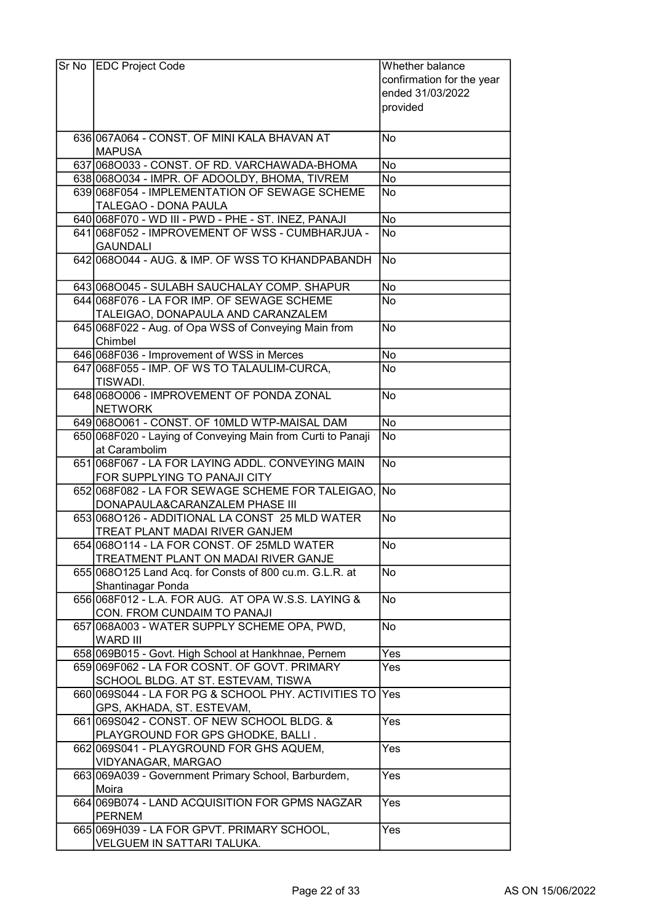| Sr No EDC Project Code                                                                      | Whether balance                               |
|---------------------------------------------------------------------------------------------|-----------------------------------------------|
|                                                                                             | confirmation for the year<br>ended 31/03/2022 |
|                                                                                             | provided                                      |
|                                                                                             |                                               |
| 636 067A064 - CONST. OF MINI KALA BHAVAN AT                                                 | No                                            |
| <b>MAPUSA</b>                                                                               |                                               |
| 637 0680033 - CONST. OF RD. VARCHAWADA-BHOMA                                                | <b>No</b>                                     |
| 638 0680034 - IMPR. OF ADOOLDY, BHOMA, TIVREM                                               | No                                            |
| 639 068 F054 - IMPLEMENTATION OF SEWAGE SCHEME                                              | No                                            |
| <b>TALEGAO - DONA PAULA</b>                                                                 |                                               |
| 640 068 F070 - WD III - PWD - PHE - ST. INEZ, PANAJI                                        | No                                            |
| 641 068 F052 - IMPROVEMENT OF WSS - CUMBHARJUA -<br><b>GAUNDALI</b>                         | No                                            |
| 642 068 0044 - AUG. & IMP. OF WSS TO KHANDPABANDH                                           | No                                            |
|                                                                                             |                                               |
| 643 068 0045 - SULABH SAUCHALAY COMP. SHAPUR                                                | No                                            |
| 644 068 F076 - LA FOR IMP. OF SEWAGE SCHEME                                                 | <b>No</b>                                     |
| TALEIGAO, DONAPAULA AND CARANZALEM                                                          |                                               |
| 645 068 F022 - Aug. of Opa WSS of Conveying Main from                                       | <b>No</b>                                     |
| Chimbel                                                                                     |                                               |
| 646 068 F036 - Improvement of WSS in Merces<br>647 068 F055 - IMP. OF WS TO TALAULIM-CURCA, | No<br>No                                      |
| TISWADI.                                                                                    |                                               |
| 648 068 0006 - IMPROVEMENT OF PONDA ZONAL                                                   | No                                            |
| <b>NETWORK</b>                                                                              |                                               |
| 649 068 0061 - CONST. OF 10 MLD WTP-MAISAL DAM                                              | No                                            |
| 650 068 F020 - Laying of Conveying Main from Curti to Panaji                                | No                                            |
| at Carambolim                                                                               |                                               |
| 651 068 F067 - LA FOR LAYING ADDL. CONVEYING MAIN                                           | No                                            |
| FOR SUPPLYING TO PANAJI CITY<br>652 068 F082 - LA FOR SEWAGE SCHEME FOR TALEIGAO, No        |                                               |
| DONAPAULA&CARANZALEM PHASE III                                                              |                                               |
| 653 068 0126 - ADDITIONAL LA CONST 25 MLD WATER                                             | No                                            |
| TREAT PLANT MADAI RIVER GANJEM                                                              |                                               |
| 654 068 0114 - LA FOR CONST. OF 25 MLD WATER                                                | lNo                                           |
| TREATMENT PLANT ON MADAI RIVER GANJE                                                        |                                               |
| 655 068 0125 Land Acq. for Consts of 800 cu.m. G.L.R. at                                    | No                                            |
| Shantinagar Ponda                                                                           |                                               |
| 656 068 F012 - L.A. FOR AUG. AT OPA W.S.S. LAYING &                                         | No                                            |
| CON. FROM CUNDAIM TO PANAJI                                                                 |                                               |
| 657 068A003 - WATER SUPPLY SCHEME OPA, PWD,                                                 | No                                            |
| <b>WARD III</b><br>658 069 B015 - Govt. High School at Hankhnae, Pernem                     | Yes                                           |
| 659 069 F062 - LA FOR COSNT. OF GOVT. PRIMARY                                               | Yes                                           |
| SCHOOL BLDG. AT ST. ESTEVAM, TISWA                                                          |                                               |
| 660 069 S044 - LA FOR PG & SCHOOL PHY. ACTIVITIES TO                                        | <b>Yes</b>                                    |
| GPS, AKHADA, ST. ESTEVAM,                                                                   |                                               |
| 661 069 S042 - CONST. OF NEW SCHOOL BLDG. &                                                 | Yes                                           |
| PLAYGROUND FOR GPS GHODKE, BALLI.                                                           |                                               |
| 662 069 S041 - PLAYGROUND FOR GHS AQUEM,                                                    | Yes                                           |
| VIDYANAGAR, MARGAO                                                                          |                                               |
| 663 069 A039 - Government Primary School, Barburdem,                                        | Yes                                           |
| Moira                                                                                       |                                               |
| 664 069 B074 - LAND ACQUISITION FOR GPMS NAGZAR                                             | Yes                                           |
| <b>PERNEM</b>                                                                               |                                               |
| 665 069 H039 - LA FOR GPVT. PRIMARY SCHOOL,<br>VELGUEM IN SATTARI TALUKA.                   | Yes                                           |
|                                                                                             |                                               |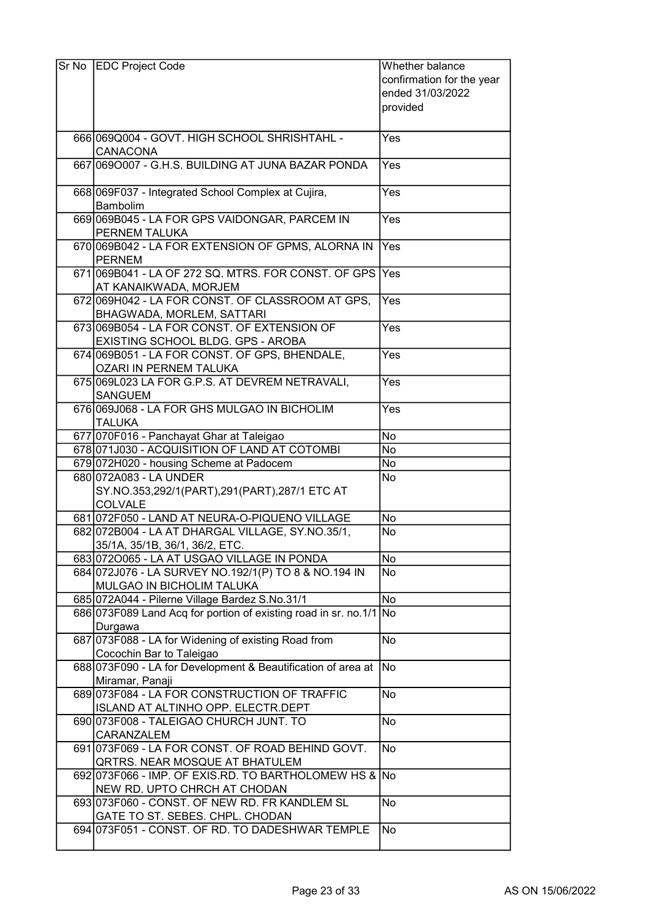| Sr No EDC Project Code                                              | Whether balance           |
|---------------------------------------------------------------------|---------------------------|
|                                                                     | confirmation for the year |
|                                                                     | ended 31/03/2022          |
|                                                                     | provided                  |
|                                                                     |                           |
| 666 069 Q004 - GOVT. HIGH SCHOOL SHRISHTAHL -                       | Yes                       |
| <b>CANACONA</b>                                                     |                           |
| 667 0690007 - G.H.S. BUILDING AT JUNA BAZAR PONDA                   | Yes                       |
| 668 069 F037 - Integrated School Complex at Cujira,<br>Bambolim     | Yes                       |
| 669 069 B045 - LA FOR GPS VAIDONGAR, PARCEM IN                      | Yes                       |
| PERNEM TALUKA                                                       |                           |
| 670 069 B042 - LA FOR EXTENSION OF GPMS, ALORNA IN                  | Yes                       |
| <b>PERNEM</b>                                                       |                           |
| 671 069 B041 - LA OF 272 SQ. MTRS. FOR CONST. OF GPS                | Yes                       |
| AT KANAIKWADA, MORJEM                                               |                           |
| 672 069 H042 - LA FOR CONST. OF CLASSROOM AT GPS,                   | Yes                       |
| BHAGWADA, MORLEM, SATTARI                                           |                           |
| 673 069 B054 - LA FOR CONST. OF EXTENSION OF                        | Yes                       |
| EXISTING SCHOOL BLDG. GPS - AROBA                                   |                           |
| 674 069 B051 - LA FOR CONST. OF GPS, BHENDALE,                      | Yes                       |
| <b>OZARI IN PERNEM TALUKA</b>                                       |                           |
| 675 069 L023 LA FOR G.P.S. AT DEVREM NETRAVALI,                     | Yes                       |
| <b>SANGUEM</b><br>676 069 J068 - LA FOR GHS MULGAO IN BICHOLIM      | Yes                       |
| <b>TALUKA</b>                                                       |                           |
| 677 070 F016 - Panchayat Ghar at Taleigao                           | No                        |
| 678 071 J030 - ACQUISITION OF LAND AT COTOMBI                       | No                        |
| 679 072 H020 - housing Scheme at Padocem                            | No                        |
| 680 072 A 083 - LA UNDER                                            | No                        |
| SY.NO.353,292/1(PART),291(PART),287/1 ETC AT                        |                           |
| <b>COLVALE</b>                                                      |                           |
| 681 072 F050 - LAND AT NEURA-O-PIQUENO VILLAGE                      | No                        |
| 682 072B004 - LA AT DHARGAL VILLAGE, SY.NO.35/1,                    | No                        |
| 35/1A, 35/1B, 36/1, 36/2, ETC.                                      |                           |
| 683 0720065 - LA AT USGAO VILLAGE IN PONDA                          | No                        |
| 684 072J076 - LA SURVEY NO.192/1(P) TO 8 & NO.194 IN                | No                        |
| MULGAO IN BICHOLIM TALUKA                                           |                           |
| 685 072A044 - Pilerne Village Bardez S.No.31/1                      | No                        |
| 686 073 F089 Land Acq for portion of existing road in sr. no.1/1 No |                           |
| Durgawa<br>687 073 F088 - LA for Widening of existing Road from     | No.                       |
| Cocochin Bar to Taleigao                                            |                           |
| 688 073 F090 - LA for Development & Beautification of area at       | No                        |
| Miramar, Panaji                                                     |                           |
| 689 073 F084 - LA FOR CONSTRUCTION OF TRAFFIC                       | No                        |
| ISLAND AT ALTINHO OPP. ELECTR.DEPT                                  |                           |
| 690 073 F008 - TALEIGAO CHURCH JUNT. TO                             | <b>No</b>                 |
| CARANZALEM                                                          |                           |
| 691 073 F069 - LA FOR CONST. OF ROAD BEHIND GOVT.                   | No                        |
| QRTRS. NEAR MOSQUE AT BHATULEM                                      |                           |
| 692 073 F066 - IMP. OF EXIS.RD. TO BARTHOLOMEW HS & No              |                           |
| NEW RD. UPTO CHRCH AT CHODAN                                        |                           |
| 693 073 F060 - CONST. OF NEW RD. FR KANDLEM SL                      | <b>No</b>                 |
| GATE TO ST. SEBES. CHPL. CHODAN                                     |                           |
| 694 073 F051 - CONST. OF RD. TO DADESHWAR TEMPLE                    | <b>No</b>                 |
|                                                                     |                           |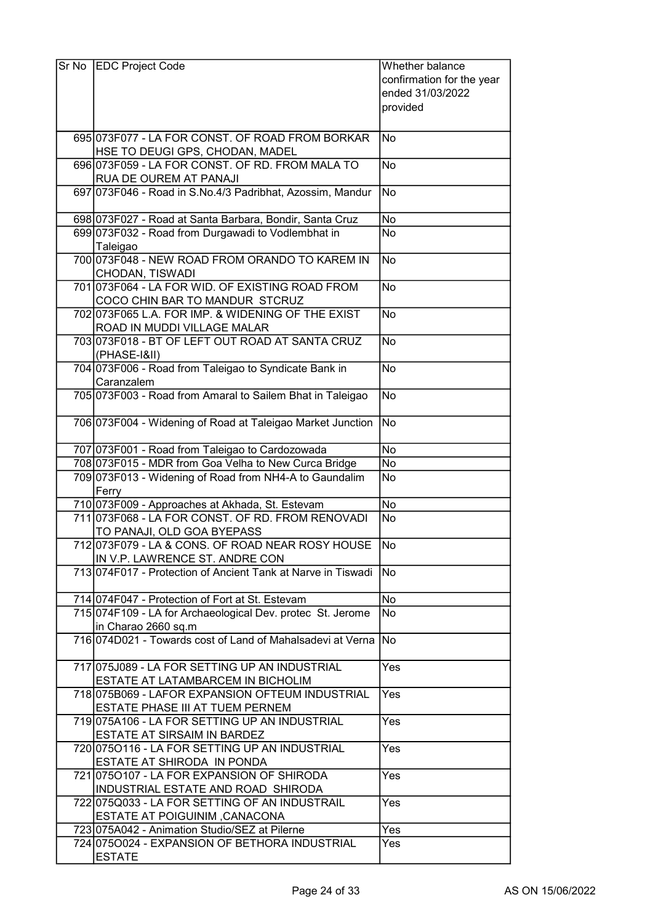| Sr No | <b>EDC Project Code</b>                                                       | Whether balance           |
|-------|-------------------------------------------------------------------------------|---------------------------|
|       |                                                                               | confirmation for the year |
|       |                                                                               | ended 31/03/2022          |
|       |                                                                               | provided                  |
|       |                                                                               |                           |
|       | 695 073 F077 - LA FOR CONST. OF ROAD FROM BORKAR                              | No                        |
|       | HSE TO DEUGI GPS, CHODAN, MADEL                                               |                           |
|       | 696 073 F059 - LA FOR CONST. OF RD. FROM MALA TO                              | <b>No</b>                 |
|       | RUA DE OUREM AT PANAJI                                                        |                           |
|       | 697 073 F046 - Road in S.No.4/3 Padribhat, Azossim, Mandur                    | No                        |
|       |                                                                               |                           |
|       | 698 073 F027 - Road at Santa Barbara, Bondir, Santa Cruz                      | No                        |
|       | 699 073 F032 - Road from Durgawadi to Vodlembhat in                           | No                        |
|       | Taleigao<br>700 073F048 - NEW ROAD FROM ORANDO TO KAREM IN                    | No                        |
|       | CHODAN, TISWADI                                                               |                           |
|       | 701 073 F064 - LA FOR WID. OF EXISTING ROAD FROM                              | <b>No</b>                 |
|       | COCO CHIN BAR TO MANDUR STCRUZ                                                |                           |
|       | 702 073 F065 L.A. FOR IMP. & WIDENING OF THE EXIST                            | <b>No</b>                 |
|       | ROAD IN MUDDI VILLAGE MALAR                                                   |                           |
|       | 703 073 F018 - BT OF LEFT OUT ROAD AT SANTA CRUZ                              | No                        |
|       | (PHASE-I&II)                                                                  |                           |
|       | 704 073 F006 - Road from Taleigao to Syndicate Bank in                        | No                        |
|       | Caranzalem                                                                    |                           |
|       | 705 073 F003 - Road from Amaral to Sailem Bhat in Taleigao                    | No                        |
|       |                                                                               |                           |
|       | 706 073 F004 - Widening of Road at Taleigao Market Junction                   | No                        |
|       | 707 073 F001 - Road from Taleigao to Cardozowada                              | No                        |
|       | 708 073 F015 - MDR from Goa Velha to New Curca Bridge                         | No                        |
|       | 709 073 F013 - Widening of Road from NH4-A to Gaundalim                       | No                        |
|       | Ferry                                                                         |                           |
|       | 710 073 F009 - Approaches at Akhada, St. Estevam                              | No                        |
|       | 711 073 F068 - LA FOR CONST. OF RD. FROM RENOVADI                             | $\overline{\mathsf{No}}$  |
|       | TO PANAJI, OLD GOA BYEPASS                                                    |                           |
|       | 712 073 F079 - LA & CONS. OF ROAD NEAR ROSY HOUSE                             | <b>No</b>                 |
|       | IN V.P. LAWRENCE ST. ANDRE CON                                                |                           |
|       | 713 074 F017 - Protection of Ancient Tank at Narve in Tiswadi                 | lNo                       |
|       | 714 074 F047 - Protection of Fort at St. Estevam                              | No                        |
|       | 715 074 F109 - LA for Archaeological Dev. protec St. Jerome                   | No                        |
|       | in Charao 2660 sq.m                                                           |                           |
|       | 716 074 D021 - Towards cost of Land of Mahalsadevi at Verna                   | No                        |
|       |                                                                               |                           |
|       | 717 075 J089 - LA FOR SETTING UP AN INDUSTRIAL                                | Yes                       |
|       | ESTATE AT LATAMBARCEM IN BICHOLIM                                             |                           |
|       | 718 075 B069 - LAFOR EXPANSION OFTEUM INDUSTRIAL                              | Yes                       |
|       | ESTATE PHASE III AT TUEM PERNEM                                               |                           |
|       | 719 075 A106 - LA FOR SETTING UP AN INDUSTRIAL                                | Yes                       |
|       | ESTATE AT SIRSAIM IN BARDEZ<br>720 075 0116 - LA FOR SETTING UP AN INDUSTRIAL | Yes                       |
|       | ESTATE AT SHIRODA IN PONDA                                                    |                           |
|       | 721 0750107 - LA FOR EXPANSION OF SHIRODA                                     | Yes                       |
|       | INDUSTRIAL ESTATE AND ROAD SHIRODA                                            |                           |
|       | 722 075 Q033 - LA FOR SETTING OF AN INDUSTRAIL                                | Yes                       |
|       | <b>ESTATE AT POIGUINIM, CANACONA</b>                                          |                           |
|       | 723 075A042 - Animation Studio/SEZ at Pilerne                                 | Yes                       |
|       | 724 0750024 - EXPANSION OF BETHORA INDUSTRIAL                                 | Yes                       |
|       | <b>ESTATE</b>                                                                 |                           |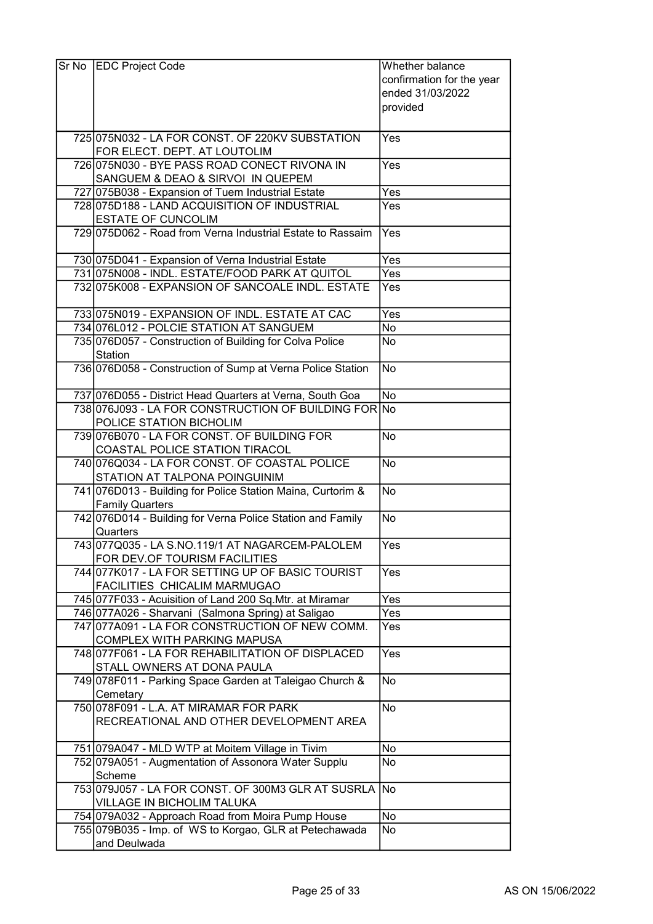| Sr No | <b>EDC Project Code</b>                                              | Whether balance           |
|-------|----------------------------------------------------------------------|---------------------------|
|       |                                                                      | confirmation for the year |
|       |                                                                      | ended 31/03/2022          |
|       |                                                                      | provided                  |
|       |                                                                      |                           |
|       |                                                                      | Yes                       |
|       | 725 075 N032 - LA FOR CONST. OF 220 KV SUBSTATION                    |                           |
|       | FOR ELECT. DEPT. AT LOUTOLIM                                         |                           |
|       | 726 075 NO30 - BYE PASS ROAD CONECT RIVONA IN                        | Yes                       |
|       | SANGUEM & DEAO & SIRVOI IN QUEPEM                                    |                           |
|       | 727 075B038 - Expansion of Tuem Industrial Estate                    | Yes                       |
|       | 728 075D188 - LAND ACQUISITION OF INDUSTRIAL                         | Yes                       |
|       | <b>ESTATE OF CUNCOLIM</b>                                            |                           |
|       | 729 075 D062 - Road from Verna Industrial Estate to Rassaim          | Yes                       |
|       |                                                                      |                           |
|       | 730 075 D041 - Expansion of Verna Industrial Estate                  | Yes                       |
|       | 731 075N008 - INDL. ESTATE/FOOD PARK AT QUITOL                       | Yes                       |
|       | 732 075 K008 - EXPANSION OF SANCOALE INDL. ESTATE                    | Yes                       |
|       | 733 075 N019 - EXPANSION OF INDL. ESTATE AT CAC                      | Yes                       |
|       | 734 076L012 - POLCIE STATION AT SANGUEM                              | No                        |
|       | 735 076 D057 - Construction of Building for Colva Police             | No                        |
|       | Station                                                              |                           |
|       | 736 076 D058 - Construction of Sump at Verna Police Station          | No.                       |
|       | 737 076D055 - District Head Quarters at Verna, South Goa             | <b>No</b>                 |
|       | 738 076 J093 - LA FOR CONSTRUCTION OF BUILDING FOR No                |                           |
|       | POLICE STATION BICHOLIM                                              |                           |
|       | 739 076 B070 - LA FOR CONST. OF BUILDING FOR                         | $\overline{No}$           |
|       | COASTAL POLICE STATION TIRACOL                                       |                           |
|       | 740 076 Q034 - LA FOR CONST. OF COASTAL POLICE                       | <b>No</b>                 |
|       | STATION AT TALPONA POINGUINIM                                        |                           |
|       | 741 076 D013 - Building for Police Station Maina, Curtorim &         | <b>No</b>                 |
|       | <b>Family Quarters</b>                                               |                           |
|       | 742 076 D014 - Building for Verna Police Station and Family          | <b>No</b>                 |
|       | Quarters                                                             |                           |
|       | 743 077 Q 035 - LA S.NO.119/1 AT NAGARCEM-PALOLEM                    | $\bar{Y}$ es              |
|       | FOR DEV.OF TOURISM FACILITIES                                        |                           |
|       | 744 077K017 - LA FOR SETTING UP OF BASIC TOURIST                     | Yes                       |
|       | FACILITIES CHICALIM MARMUGAO                                         |                           |
|       | 745 077 F033 - Acuisition of Land 200 Sq. Mtr. at Miramar            | Yes                       |
|       | 746 077A026 - Sharvani (Salmona Spring) at Saligao                   | Yes                       |
|       | 747 077 A091 - LA FOR CONSTRUCTION OF NEW COMM.                      | Yes                       |
|       | COMPLEX WITH PARKING MAPUSA                                          |                           |
|       | 748 077 F061 - LA FOR REHABILITATION OF DISPLACED                    | Yes                       |
|       | STALL OWNERS AT DONA PAULA                                           |                           |
|       |                                                                      |                           |
|       | 749 078 F011 - Parking Space Garden at Taleigao Church &<br>Cemetary | No                        |
|       | 750 078 F091 - L.A. AT MIRAMAR FOR PARK                              |                           |
|       |                                                                      | No                        |
|       | RECREATIONAL AND OTHER DEVELOPMENT AREA                              |                           |
|       | 751 079A047 - MLD WTP at Moitem Village in Tivim                     | <b>No</b>                 |
|       | 752 079A051 - Augmentation of Assonora Water Supplu                  | No                        |
|       | Scheme                                                               |                           |
|       | 753 079 J057 - LA FOR CONST. OF 300M3 GLR AT SUSRLA No               |                           |
|       | VILLAGE IN BICHOLIM TALUKA                                           |                           |
|       |                                                                      | No                        |
|       | 754 079 A032 - Approach Road from Moira Pump House                   |                           |
|       | 755 079 B035 - Imp. of WS to Korgao, GLR at Petechawada              | No                        |
|       | and Deulwada                                                         |                           |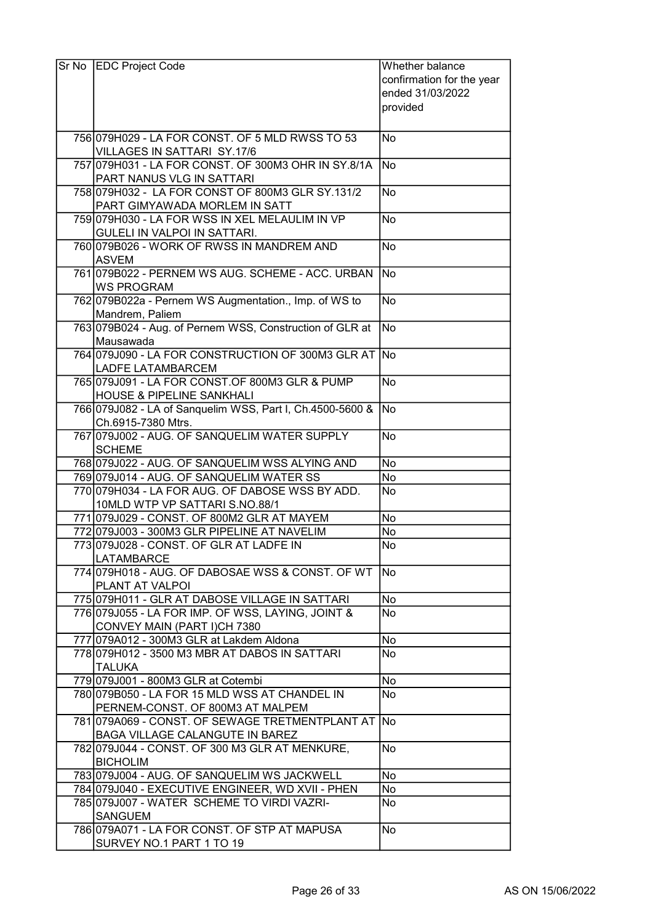| Sr No EDC Project Code                                                                           | Whether balance           |
|--------------------------------------------------------------------------------------------------|---------------------------|
|                                                                                                  | confirmation for the year |
|                                                                                                  | ended 31/03/2022          |
|                                                                                                  | provided                  |
|                                                                                                  |                           |
| 756 079 H029 - LA FOR CONST. OF 5 MLD RWSS TO 53                                                 | No                        |
| VILLAGES IN SATTARI SY.17/6                                                                      |                           |
| 757 079 H031 - LA FOR CONST. OF 300M3 OHR IN SY.8/1A                                             | No                        |
| PART NANUS VLG IN SATTARI                                                                        |                           |
| 758 079 H032 - LA FOR CONST OF 800M3 GLR SY.131/2                                                | <b>No</b>                 |
| PART GIMYAWADA MORLEM IN SATT                                                                    |                           |
| 759 079 H030 - LA FOR WSS IN XEL MELAULIM IN VP                                                  | No                        |
| GULELI IN VALPOI IN SATTARI.                                                                     |                           |
| 760 079 B026 - WORK OF RWSS IN MANDREM AND                                                       | <b>No</b>                 |
| <b>ASVEM</b><br>761 079 B022 - PERNEM WS AUG. SCHEME - ACC. URBAN                                | No)                       |
| <b>WS PROGRAM</b>                                                                                |                           |
| 762 079 B022a - Pernem WS Augmentation., Imp. of WS to                                           | <b>No</b>                 |
| Mandrem, Paliem                                                                                  |                           |
| 763 079 B024 - Aug. of Pernem WSS, Construction of GLR at                                        | $\overline{\mathsf{No}}$  |
| Mausawada                                                                                        |                           |
| 764 079 J090 - LA FOR CONSTRUCTION OF 300M3 GLR AT                                               | lNo                       |
| <b>LADFE LATAMBARCEM</b>                                                                         |                           |
| 765 079 J091 - LA FOR CONST.OF 800M3 GLR & PUMP                                                  | <b>No</b>                 |
| HOUSE & PIPELINE SANKHALI                                                                        |                           |
| 766 079 J082 - LA of Sanquelim WSS, Part I, Ch.4500-5600 &                                       | No.                       |
| Ch.6915-7380 Mtrs.                                                                               |                           |
| 767 079 J002 - AUG. OF SANQUELIM WATER SUPPLY                                                    | <b>No</b>                 |
| <b>SCHEME</b>                                                                                    |                           |
| 768 079 J022 - AUG. OF SANQUELIM WSS ALYING AND                                                  | <b>No</b>                 |
| 769 079 J014 - AUG. OF SANQUELIM WATER SS                                                        | No                        |
| 770 079 H034 - LA FOR AUG. OF DABOSE WSS BY ADD.                                                 | No                        |
| 10MLD WTP VP SATTARI S.NO.88/1                                                                   |                           |
| 771 079 J029 - CONST. OF 800M2 GLR AT MAYEM                                                      | No<br><b>No</b>           |
| 772 079 J003 - 300 M3 GLR PIPELINE AT NAVELIM<br>773 079 J028 - CONST. OF GLR AT LADFE IN        | No                        |
| <b>LATAMBARCE</b>                                                                                |                           |
| 774 079 H018 - AUG. OF DABOSAE WSS & CONST. OF WT                                                | No                        |
| PLANT AT VALPOI                                                                                  |                           |
| 775 079 H011 - GLR AT DABOSE VILLAGE IN SATTARI                                                  | No                        |
| 776 079 J055 - LA FOR IMP. OF WSS, LAYING, JOINT &                                               | No                        |
| CONVEY MAIN (PART I)CH 7380                                                                      |                           |
| 777 079A012 - 300M3 GLR at Lakdem Aldona                                                         | <b>No</b>                 |
| 778 079 H012 - 3500 M3 MBR AT DABOS IN SATTARI                                                   | No                        |
| <b>TALUKA</b>                                                                                    |                           |
| 779 079 J001 - 800 M3 GLR at Cotembi                                                             | No                        |
| 780 079 B050 - LA FOR 15 MLD WSS AT CHANDEL IN                                                   | No                        |
| PERNEM-CONST. OF 800M3 AT MALPEM                                                                 |                           |
| 781 079A069 - CONST. OF SEWAGE TRETMENTPLANT AT No                                               |                           |
| BAGA VILLAGE CALANGUTE IN BAREZ                                                                  |                           |
| 782 079 J044 - CONST. OF 300 M3 GLR AT MENKURE,                                                  | <b>No</b>                 |
| <b>BICHOLIM</b>                                                                                  |                           |
| 783 079 J004 - AUG. OF SANQUELIM WS JACKWELL                                                     | No                        |
| 784 079 J040 - EXECUTIVE ENGINEER, WD XVII - PHEN<br>785 079 J007 - WATER SCHEME TO VIRDI VAZRI- | No                        |
| <b>SANGUEM</b>                                                                                   | No                        |
| 786 079 A071 - LA FOR CONST. OF STP AT MAPUSA                                                    | <b>No</b>                 |
| SURVEY NO.1 PART 1 TO 19                                                                         |                           |
|                                                                                                  |                           |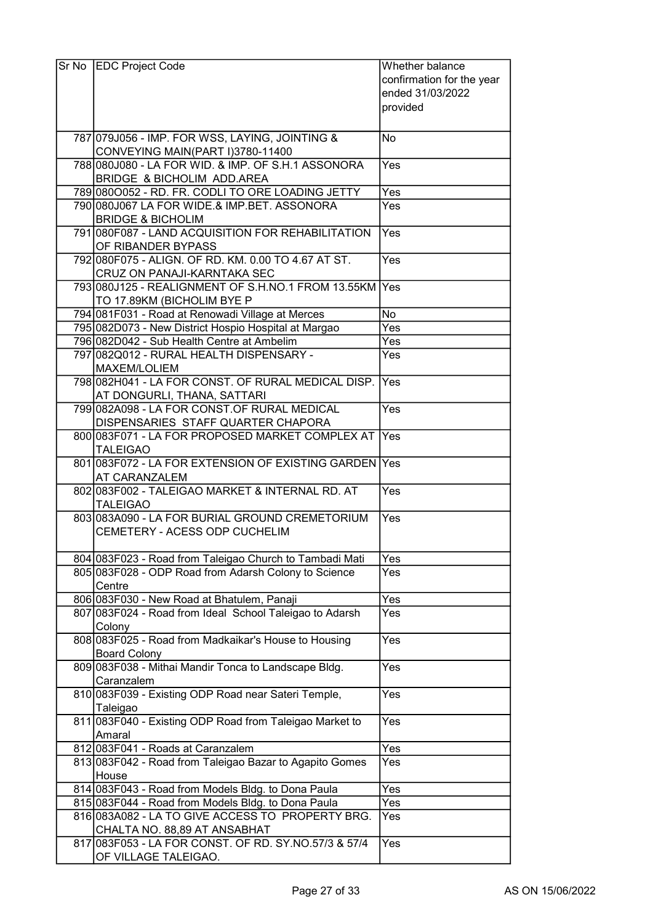| Sr No | <b>EDC Project Code</b>                                                                | Whether balance           |
|-------|----------------------------------------------------------------------------------------|---------------------------|
|       |                                                                                        | confirmation for the year |
|       |                                                                                        | ended 31/03/2022          |
|       |                                                                                        | provided                  |
|       |                                                                                        |                           |
|       | 787 079 056 - IMP. FOR WSS, LAYING, JOINTING &                                         | No                        |
|       | CONVEYING MAIN(PART I)3780-11400                                                       |                           |
|       | 788 080 J080 - LA FOR WID. & IMP. OF S.H.1 ASSONORA                                    | Yes                       |
|       | <b>BRIDGE &amp; BICHOLIM ADD.AREA</b>                                                  |                           |
|       | 789 080 0052 - RD. FR. CODLITO ORE LOADING JETTY                                       | Yes                       |
|       | 790 080 J067 LA FOR WIDE.& IMP.BET. ASSONORA                                           | Yes                       |
|       | <b>BRIDGE &amp; BICHOLIM</b>                                                           |                           |
|       | 791 080 F087 - LAND ACQUISITION FOR REHABILITATION                                     | Yes                       |
|       | OF RIBANDER BYPASS                                                                     |                           |
|       | 792 080 F075 - ALIGN. OF RD. KM. 0.00 TO 4.67 AT ST.                                   | Yes                       |
|       | <b>CRUZ ON PANAJI-KARNTAKA SEC</b>                                                     |                           |
|       | 793 080 J125 - REALIGNMENT OF S.H.NO.1 FROM 13.55KM Yes                                |                           |
|       | TO 17.89KM (BICHOLIM BYE P                                                             |                           |
|       | 794 081 F031 - Road at Renowadi Village at Merces                                      | <b>No</b>                 |
|       | 795 082D073 - New District Hospio Hospital at Margao                                   | Yes                       |
|       | 796 082D042 - Sub Health Centre at Ambelim                                             | Yes                       |
|       | 797 082 Q 012 - RURAL HEALTH DISPENSARY -                                              | Yes                       |
|       | MAXEM/LOLIEM                                                                           |                           |
|       | 798 082 H041 - LA FOR CONST. OF RURAL MEDICAL DISP.                                    | Yes                       |
|       | AT DONGURLI, THANA, SATTARI<br>799 082A098 - LA FOR CONST.OF RURAL MEDICAL             |                           |
|       |                                                                                        | Yes                       |
|       | DISPENSARIES STAFF QUARTER CHAPORA<br>800 083 F071 - LA FOR PROPOSED MARKET COMPLEX AT | <b>IYes</b>               |
|       | <b>TALEIGAO</b>                                                                        |                           |
|       | 801 083 F072 - LA FOR EXTENSION OF EXISTING GARDEN Yes                                 |                           |
|       | <b>AT CARANZALEM</b>                                                                   |                           |
|       | 802 083 F002 - TALEIGAO MARKET & INTERNAL RD. AT                                       | Yes                       |
|       | <b>TALEIGAO</b>                                                                        |                           |
|       | 803 083A090 - LA FOR BURIAL GROUND CREMETORIUM                                         | Yes                       |
|       | CEMETERY - ACESS ODP CUCHELIM                                                          |                           |
|       |                                                                                        |                           |
|       | 804 083 F023 - Road from Taleigao Church to Tambadi Mati                               | Yes                       |
|       | 805 083 F028 - ODP Road from Adarsh Colony to Science                                  | Yes                       |
|       | Centre                                                                                 |                           |
|       | 806 083 F030 - New Road at Bhatulem, Panaji                                            | Yes                       |
|       | 807 083 F024 - Road from Ideal School Taleigao to Adarsh                               | Yes                       |
|       | Colony                                                                                 |                           |
|       | 808 083 F025 - Road from Madkaikar's House to Housing                                  | Yes                       |
|       | <b>Board Colony</b>                                                                    |                           |
|       | 809 083 F038 - Mithai Mandir Tonca to Landscape Bldg.                                  | Yes                       |
|       | Caranzalem                                                                             |                           |
|       | 810 083 F039 - Existing ODP Road near Sateri Temple,                                   | Yes                       |
|       | Taleigao                                                                               |                           |
|       | 811 083F040 - Existing ODP Road from Taleigao Market to                                | Yes                       |
|       | Amaral<br>812 083 F041 - Roads at Caranzalem                                           | Yes                       |
|       | 813 083 F042 - Road from Taleigao Bazar to Agapito Gomes                               | Yes                       |
|       | House                                                                                  |                           |
|       | 814 083 F043 - Road from Models Bldg. to Dona Paula                                    | Yes                       |
|       | 815 083 F044 - Road from Models Bldg. to Dona Paula                                    | Yes                       |
|       | 816 083A082 - LA TO GIVE ACCESS TO PROPERTY BRG.                                       | Yes                       |
|       | CHALTA NO. 88,89 AT ANSABHAT                                                           |                           |
|       | 817 083 F053 - LA FOR CONST. OF RD. SY. NO. 57/3 & 57/4                                | Yes                       |
|       | OF VILLAGE TALEIGAO.                                                                   |                           |
|       |                                                                                        |                           |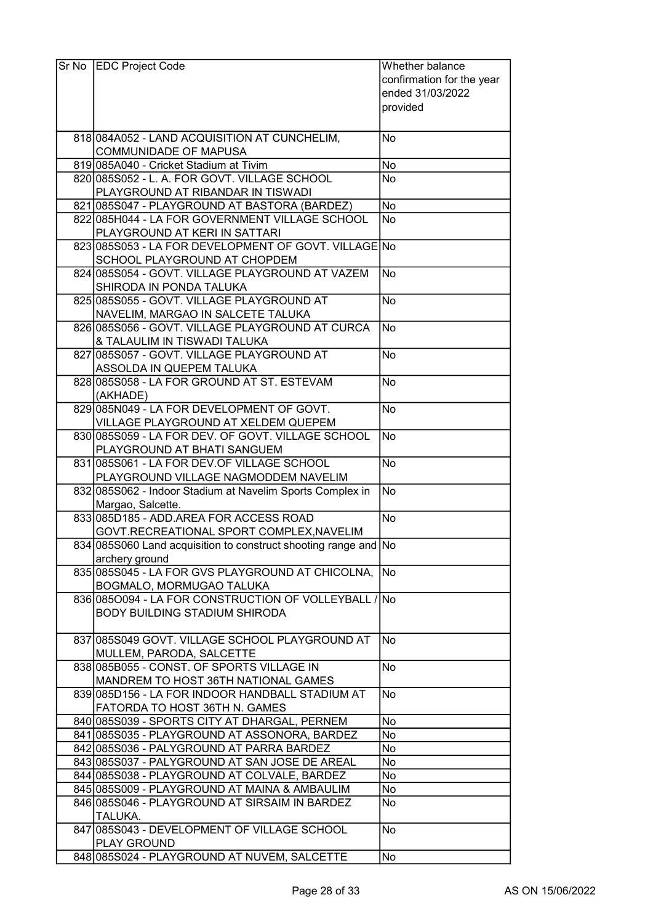| Sr No | <b>EDC Project Code</b>                                          | Whether balance           |
|-------|------------------------------------------------------------------|---------------------------|
|       |                                                                  | confirmation for the year |
|       |                                                                  | ended 31/03/2022          |
|       |                                                                  | provided                  |
|       |                                                                  |                           |
|       |                                                                  |                           |
|       | 818 084A052 - LAND ACQUISITION AT CUNCHELIM,                     | No                        |
|       | <b>COMMUNIDADE OF MAPUSA</b>                                     |                           |
|       | 819 085 A040 - Cricket Stadium at Tivim                          | <b>No</b>                 |
|       | 820 085 S052 - L. A. FOR GOVT. VILLAGE SCHOOL                    | <b>No</b>                 |
|       | PLAYGROUND AT RIBANDAR IN TISWADI                                |                           |
|       | 821 085 S047 - PLAY GROUND AT BASTORA (BARDEZ)                   | No                        |
|       | 822 085 H044 - LA FOR GOVERNMENT VILLAGE SCHOOL                  | No                        |
|       | PLAYGROUND AT KERI IN SATTARI                                    |                           |
|       | 823 085 S053 - LA FOR DEVELOPMENT OF GOVT. VILLAGE No            |                           |
|       | SCHOOL PLAYGROUND AT CHOPDEM                                     |                           |
|       | 824 085 S054 - GOVT. VILLAGE PLAYGROUND AT VAZEM                 | No                        |
|       | SHIRODA IN PONDA TALUKA                                          |                           |
|       | 825 085 S055 - GOVT. VILLAGE PLAYGROUND AT                       | <b>No</b>                 |
|       | NAVELIM, MARGAO IN SALCETE TALUKA                                |                           |
|       | 826 085 S056 - GOVT. VILLAGE PLAYGROUND AT CURCA                 | No                        |
|       | & TALAULIM IN TISWADI TALUKA                                     |                           |
|       | 827 085S057 - GOVT. VILLAGE PLAYGROUND AT                        | <b>No</b>                 |
|       | ASSOLDA IN QUEPEM TALUKA                                         |                           |
|       | 828 085 S058 - LA FOR GROUND AT ST. ESTEVAM                      | No                        |
|       |                                                                  |                           |
|       | (AKHADE)                                                         |                           |
|       | 829 085 N049 - LA FOR DEVELOPMENT OF GOVT.                       | No                        |
|       | VILLAGE PLAYGROUND AT XELDEM QUEPEM                              |                           |
|       | 830 085 S059 - LA FOR DEV. OF GOVT. VILLAGE SCHOOL               | No                        |
|       | PLAYGROUND AT BHATI SANGUEM                                      |                           |
|       | 831 085 S061 - LA FOR DEV. OF VILLAGE SCHOOL                     | <b>No</b>                 |
|       | PLAYGROUND VILLAGE NAGMODDEM NAVELIM                             |                           |
|       | 832 085 S062 - Indoor Stadium at Navelim Sports Complex in       | No                        |
|       | Margao, Salcette.                                                |                           |
|       | 833 085 D185 - ADD AREA FOR ACCESS ROAD                          | $\overline{\text{No}}$    |
|       | GOVT.RECREATIONAL SPORT COMPLEX, NAVELIM                         |                           |
|       | 834 085 S060 Land acquisition to construct shooting range and No |                           |
|       | archery ground                                                   |                           |
|       | 835 085 S045 - LA FOR GVS PLAYGROUND AT CHICOLNA,                | <b>INo</b>                |
|       | BOGMALO, MORMUGAO TALUKA                                         |                           |
|       | 836 085 0094 - LA FOR CONSTRUCTION OF VOLLEY BALL / No           |                           |
|       | <b>BODY BUILDING STADIUM SHIRODA</b>                             |                           |
|       |                                                                  |                           |
|       | 837 085 S049 GOVT. VILLAGE SCHOOL PLAYGROUND AT                  | No                        |
|       | MULLEM, PARODA, SALCETTE                                         |                           |
|       | 838 085 B055 - CONST. OF SPORTS VILLAGE IN                       | No                        |
|       | MANDREM TO HOST 36TH NATIONAL GAMES                              |                           |
|       | 839 085 D156 - LA FOR INDOOR HANDBALL STADIUM AT                 | No                        |
|       | FATORDA TO HOST 36TH N. GAMES                                    |                           |
|       | 840 085 S039 - SPORTS CITY AT DHARGAL, PERNEM                    | No                        |
|       | 841 085 S035 - PLAYGROUND AT ASSONORA, BARDEZ                    | No                        |
|       | 842 085 S036 - PALYGROUND AT PARRA BARDEZ                        | No                        |
|       |                                                                  | No                        |
|       | 843 085 S037 - PALYGROUND AT SAN JOSE DE AREAL                   |                           |
|       | 844 085 S038 - PLAYGROUND AT COLVALE, BARDEZ                     | No                        |
|       | 845 085 S009 - PLAYGROUND AT MAINA & AMBAULIM                    | No                        |
|       | 846 085 S046 - PLAYGROUND AT SIRSAIM IN BARDEZ                   | No                        |
|       | TALUKA.                                                          |                           |
|       | 847 085 S043 - DEVELOPMENT OF VILLAGE SCHOOL                     | No                        |
|       | <b>PLAY GROUND</b>                                               |                           |
|       | 848 085 S024 - PLAYGROUND AT NUVEM, SALCETTE                     | No                        |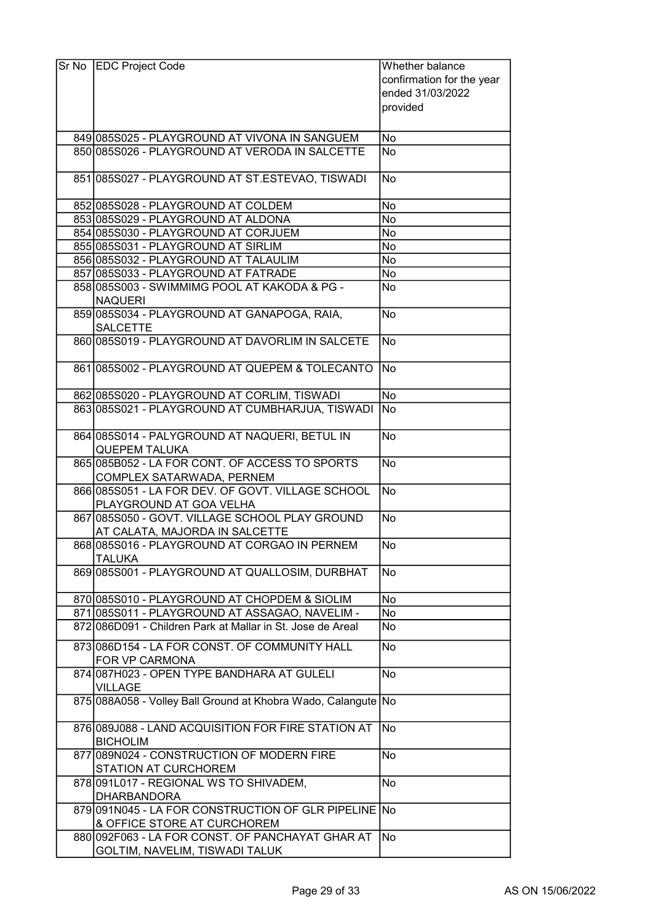| Sr No | <b>EDC Project Code</b>                                                             | Whether balance           |
|-------|-------------------------------------------------------------------------------------|---------------------------|
|       |                                                                                     | confirmation for the year |
|       |                                                                                     | ended 31/03/2022          |
|       |                                                                                     | provided                  |
|       |                                                                                     |                           |
|       | 849 085 S025 - PLAYGROUND AT VIVONA IN SANGUEM                                      | No                        |
|       | 850 085 S026 - PLAYGROUND AT VERODA IN SALCETTE                                     | No                        |
|       |                                                                                     |                           |
|       | 851 085 S027 - PLAYGROUND AT ST. ESTEVAO, TISWADI                                   | <b>No</b>                 |
|       | 852 085 S028 - PLAYGROUND AT COLDEM                                                 | No                        |
|       | 853 085 S029 - PLAYGROUND AT ALDONA                                                 | No                        |
|       | 854 085 S030 - PLAYGROUND AT CORJUEM                                                | No                        |
|       | 855 085 S031 - PLAYGROUND AT SIRLIM                                                 | No                        |
|       | 856 085 S032 - PLAYGROUND AT TALAULIM                                               | No                        |
|       | 857 085 S033 - PLAYGROUND AT FATRADE                                                | No                        |
|       | 858 085 S003 - SWIMMIMG POOL AT KAKODA & PG -                                       | No                        |
|       | NAQUERI                                                                             |                           |
|       | 859 085 S034 - PLAYGROUND AT GANAPOGA, RAIA,                                        | <b>No</b>                 |
|       | <b>SALCETTE</b>                                                                     |                           |
|       | 860 085 S019 - PLAYGROUND AT DAVORLIM IN SALCETE                                    | No                        |
|       | 861 085 S002 - PLAYGROUND AT QUEPEM & TOLECANTO                                     | No                        |
|       | 862 085 S020 - PLAYGROUND AT CORLIM, TISWADI                                        | <b>No</b>                 |
|       | 863 085 S021 - PLAYGROUND AT CUMBHARJUA, TISWADI                                    | No.                       |
|       |                                                                                     |                           |
|       | 864 085 S014 - PALYGROUND AT NAQUERI, BETUL IN                                      | <b>No</b>                 |
|       | <b>QUEPEM TALUKA</b>                                                                |                           |
|       | 865 085 B052 - LA FOR CONT. OF ACCESS TO SPORTS                                     | No                        |
|       | COMPLEX SATARWADA, PERNEM                                                           |                           |
|       | 866 085 S051 - LA FOR DEV. OF GOVT. VILLAGE SCHOOL<br>PLAYGROUND AT GOA VELHA       | No                        |
|       | 867 085 S050 - GOVT. VILLAGE SCHOOL PLAY GROUND                                     | No                        |
|       | AT CALATA, MAJORDA IN SALCETTE                                                      |                           |
|       | 868 085 S016 - PLAYGROUND AT CORGAO IN PERNEM                                       | lNo.                      |
|       | <b>TALUKA</b>                                                                       |                           |
|       | 869 085 S001 - PLAYGROUND AT QUALLOSIM, DURBHAT                                     | No.                       |
|       | 870 085 S010 - PLAYGROUND AT CHOPDEM & SIOLIM                                       | No                        |
|       | 871 085 S011 - PLAYGROUND AT ASSAGAO, NAVELIM -                                     | No                        |
|       | 872 086 D091 - Children Park at Mallar in St. Jose de Areal                         | No                        |
|       | 873 086D154 - LA FOR CONST. OF COMMUNITY HALL                                       | $\overline{No}$           |
|       | FOR VP CARMONA                                                                      |                           |
|       | 874 087 H023 - OPEN TYPE BANDHARA AT GULELI                                         | No                        |
|       | <b>VILLAGE</b>                                                                      |                           |
|       | 875 088A058 - Volley Ball Ground at Khobra Wado, Calangute No                       |                           |
|       | 876 089 J088 - LAND ACQUISITION FOR FIRE STATION AT<br><b>BICHOLIM</b>              | No)                       |
|       | 877 089 NO24 - CONSTRUCTION OF MODERN FIRE                                          | <b>No</b>                 |
|       | <b>STATION AT CURCHOREM</b><br>878 091 L017 - REGIONAL WS TO SHIVADEM,              | <b>No</b>                 |
|       | <b>DHARBANDORA</b>                                                                  |                           |
|       | 879 091 N045 - LA FOR CONSTRUCTION OF GLR PIPELINE No                               |                           |
|       | & OFFICE STORE AT CURCHOREM                                                         |                           |
|       | 880 092 F063 - LA FOR CONST. OF PANCHAYAT GHAR AT<br>GOLTIM, NAVELIM, TISWADI TALUK | No                        |
|       |                                                                                     |                           |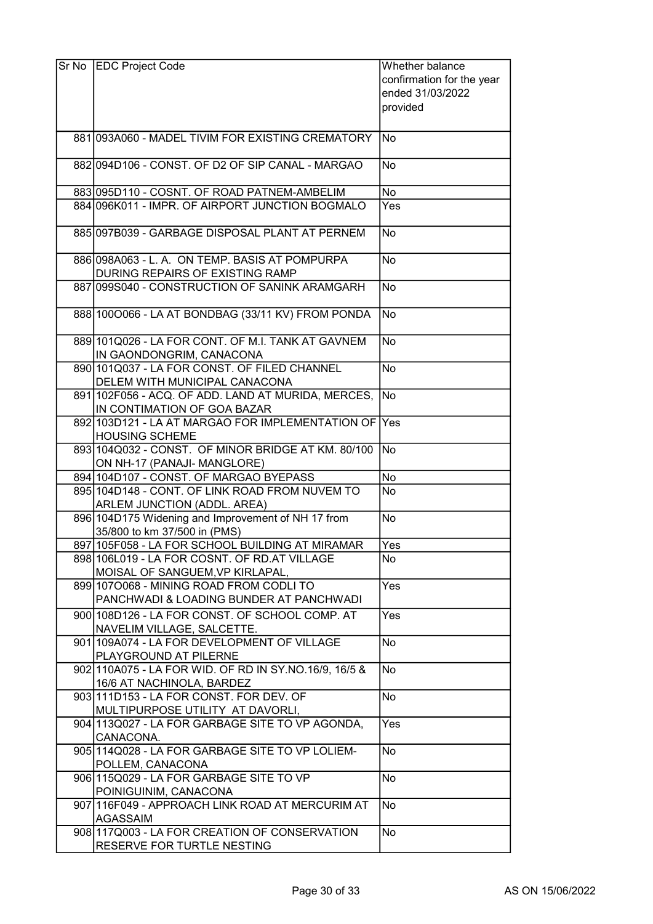| Sr No EDC Project Code                                                          | Whether balance           |
|---------------------------------------------------------------------------------|---------------------------|
|                                                                                 | confirmation for the year |
|                                                                                 | ended 31/03/2022          |
|                                                                                 | provided                  |
|                                                                                 |                           |
| 881 093A060 - MADEL TIVIM FOR EXISTING CREMATORY                                | lNo                       |
| 882 094 D106 - CONST. OF D2 OF SIP CANAL - MARGAO                               | No                        |
| 883 095 D110 - COSNT. OF ROAD PATNEM-AMBELIM                                    | No                        |
| 884 096K011 - IMPR. OF AIRPORT JUNCTION BOGMALO                                 | Yes                       |
| 885 097 B039 - GARBAGE DISPOSAL PLANT AT PERNEM                                 | No                        |
| 886 098 A063 - L. A. ON TEMP. BASIS AT POMPURPA                                 | No                        |
| DURING REPAIRS OF EXISTING RAMP                                                 |                           |
| 887 099 S040 - CONSTRUCTION OF SANINK ARAMGARH                                  | No                        |
| 888 100 0066 - LA AT BONDBAG (33/11 KV) FROM PONDA                              | $\overline{\text{No}}$    |
| 889 101 Q 026 - LA FOR CONT. OF M.I. TANK AT GAVNEM<br>IN GAONDONGRIM, CANACONA | No                        |
| 890 101 Q037 - LA FOR CONST. OF FILED CHANNEL<br>DELEM WITH MUNICIPAL CANACONA  | No                        |
| 891 102F056 - ACQ. OF ADD. LAND AT MURIDA, MERCES,                              | No)                       |
| IN CONTIMATION OF GOA BAZAR                                                     |                           |
| 892 103D121 - LA AT MARGAO FOR IMPLEMENTATION OF Yes                            |                           |
| <b>HOUSING SCHEME</b>                                                           |                           |
| 893 104 Q 032 - CONST. OF MINOR BRIDGE AT KM. 80/100                            | No                        |
| ON NH-17 (PANAJI- MANGLORE)<br>894 104 D107 - CONST. OF MARGAO BYEPASS          | No                        |
| 895 104D148 - CONT. OF LINK ROAD FROM NUVEM TO                                  | No                        |
| ARLEM JUNCTION (ADDL. AREA)                                                     |                           |
| 896 104D175 Widening and Improvement of NH 17 from                              | No                        |
| 35/800 to km 37/500 in (PMS)                                                    |                           |
| 897 105 F058 - LA FOR SCHOOL BUILDING AT MIRAMAR                                | <b>Yes</b>                |
| 898 106 L019 - LA FOR COSNT. OF RD. AT VILLAGE                                  | <b>No</b>                 |
| MOISAL OF SANGUEM, VP KIRLAPAL,                                                 |                           |
| 899 1070068 - MINING ROAD FROM CODLITO                                          | Yes                       |
| PANCHWADI & LOADING BUNDER AT PANCHWADI                                         |                           |
| 900 108 D126 - LA FOR CONST. OF SCHOOL COMP. AT<br>NAVELIM VILLAGE, SALCETTE.   | Yes                       |
| 901 109 A074 - LA FOR DEVELOPMENT OF VILLAGE<br>PLAYGROUND AT PILERNE           | No                        |
| 902 110A075 - LA FOR WID. OF RD IN SY. NO. 16/9, 16/5 &                         | No                        |
| 16/6 AT NACHINOLA, BARDEZ                                                       |                           |
| 903 111 D153 - LA FOR CONST. FOR DEV. OF<br>MULTIPURPOSE UTILITY AT DAVORLI,    | No                        |
| 904 113 Q 027 - LA FOR GARBAGE SITE TO VP AGONDA,<br>CANACONA.                  | Yes                       |
| 905 114 Q028 - LA FOR GARBAGE SITE TO VP LOLIEM-<br>POLLEM, CANACONA            | No                        |
| 906 115 Q 029 - LA FOR GARBAGE SITE TO VP                                       | No                        |
| POINIGUINIM, CANACONA                                                           |                           |
| 907 116 F049 - APPROACH LINK ROAD AT MERCURIM AT<br><b>AGASSAIM</b>             | No                        |
| 908 117 Q 003 - LA FOR CREATION OF CONSERVATION                                 | No                        |
| RESERVE FOR TURTLE NESTING                                                      |                           |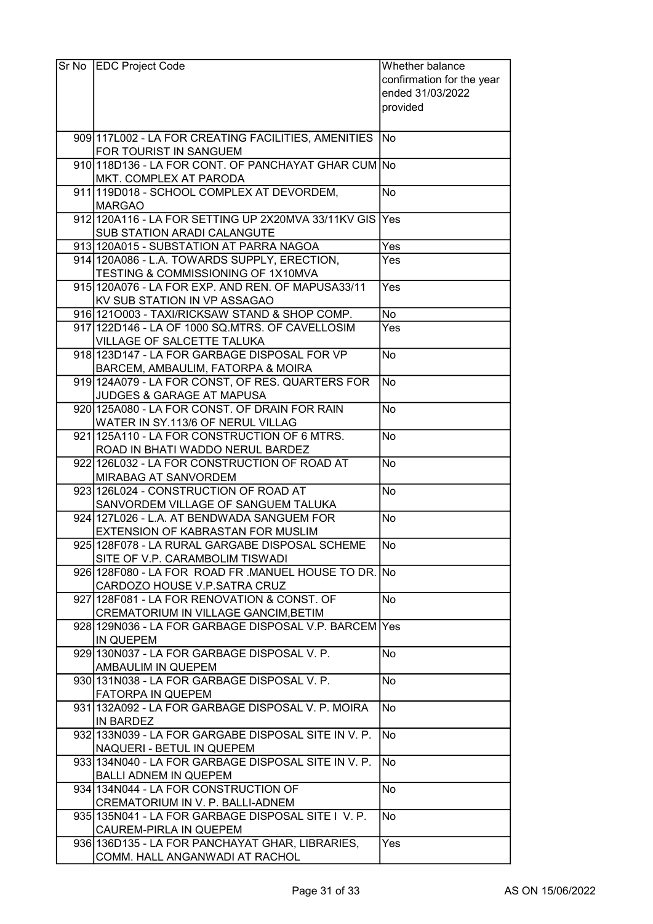| Sr No EDC Project Code                                                             | Whether balance           |
|------------------------------------------------------------------------------------|---------------------------|
|                                                                                    | confirmation for the year |
|                                                                                    | ended 31/03/2022          |
|                                                                                    | provided                  |
|                                                                                    |                           |
| 909 117 L002 - LA FOR CREATING FACILITIES, AMENITIES                               | <b>No</b>                 |
| FOR TOURIST IN SANGUEM                                                             |                           |
| 910 118 D136 - LA FOR CONT. OF PANCHAYAT GHAR CUM No                               |                           |
| MKT. COMPLEX AT PARODA                                                             |                           |
| 911 119D018 - SCHOOL COMPLEX AT DEVORDEM.                                          | <b>No</b>                 |
| <b>MARGAO</b>                                                                      |                           |
| 912 120A116 - LA FOR SETTING UP 2X20MVA 33/11KV GIS Yes                            |                           |
| <b>SUB STATION ARADI CALANGUTE</b>                                                 |                           |
| 913 120A015 - SUBSTATION AT PARRA NAGOA                                            | Yes                       |
| 914 120A086 - L.A. TOWARDS SUPPLY, ERECTION,                                       | Yes                       |
| TESTING & COMMISSIONING OF 1X10MVA                                                 |                           |
| 915 120 A 076 - LA FOR EXP. AND REN. OF MAPUSA 33/11                               | Yes                       |
| KV SUB STATION IN VP ASSAGAO                                                       |                           |
| 916 1210003 - TAXI/RICKSAW STAND & SHOP COMP.                                      | No                        |
| 917 122D146 - LA OF 1000 SQ.MTRS. OF CAVELLOSIM                                    | Yes                       |
| VILLAGE OF SALCETTE TALUKA                                                         |                           |
| 918 123 D147 - LA FOR GARBAGE DISPOSAL FOR VP                                      | No                        |
| BARCEM, AMBAULIM, FATORPA & MOIRA                                                  |                           |
| 919 124A079 - LA FOR CONST, OF RES. QUARTERS FOR                                   | No                        |
| JUDGES & GARAGE AT MAPUSA                                                          |                           |
| 920 125A080 - LA FOR CONST. OF DRAIN FOR RAIN                                      | No                        |
| WATER IN SY.113/6 OF NERUL VILLAG                                                  |                           |
| 921 125A110 - LA FOR CONSTRUCTION OF 6 MTRS.                                       | No.                       |
| ROAD IN BHATI WADDO NERUL BARDEZ                                                   |                           |
| 922 126 L032 - LA FOR CONSTRUCTION OF ROAD AT                                      | No                        |
| MIRABAG AT SANVORDEM                                                               |                           |
| 923 126 L024 - CONSTRUCTION OF ROAD AT                                             | No                        |
| SANVORDEM VILLAGE OF SANGUEM TALUKA<br>924 127 L026 - L.A. AT BENDWADA SANGUEM FOR | No                        |
| EXTENSION OF KABRASTAN FOR MUSLIM                                                  |                           |
| 925 128F078 - LA RURAL GARGABE DISPOSAL SCHEME                                     | $\overline{\mathsf{No}}$  |
| SITE OF V.P. CARAMBOLIM TISWADI                                                    |                           |
| 926 128 F080 - LA FOR ROAD FR. MANUEL HOUSE TO DR. No                              |                           |
| CARDOZO HOUSE V.P.SATRA CRUZ                                                       |                           |
| 927 128 F081 - LA FOR RENOVATION & CONST. OF                                       | No                        |
| CREMATORIUM IN VILLAGE GANCIM, BETIM                                               |                           |
| 928 129N036 - LA FOR GARBAGE DISPOSAL V.P. BARCEM Yes                              |                           |
| IN QUEPEM                                                                          |                           |
| 929 130N037 - LA FOR GARBAGE DISPOSAL V. P.                                        | No.                       |
| AMBAULIM IN QUEPEM                                                                 |                           |
| 930 131 NO38 - LA FOR GARBAGE DISPOSAL V. P.                                       | No                        |
| <b>FATORPA IN QUEPEM</b>                                                           |                           |
| 931 132A092 - LA FOR GARBAGE DISPOSAL V. P. MOIRA                                  | No                        |
| <b>IN BARDEZ</b>                                                                   |                           |
| 932 133N039 - LA FOR GARGABE DISPOSAL SITE IN V. P.                                | No                        |
| NAQUERI - BETUL IN QUEPEM                                                          |                           |
| 933 134 NO40 - LA FOR GARBAGE DISPOSAL SITE IN V. P.                               | <b>No</b>                 |
| <b>BALLI ADNEM IN QUEPEM</b>                                                       |                           |
| 934 134 NO44 - LA FOR CONSTRUCTION OF                                              | No                        |
| CREMATORIUM IN V. P. BALLI-ADNEM                                                   |                           |
| 935 135 NO41 - LA FOR GARBAGE DISPOSAL SITE I V. P.                                | No.                       |
| CAUREM-PIRLA IN QUEPEM                                                             |                           |
| 936 136 D135 - LA FOR PANCHAYAT GHAR, LIBRARIES,                                   | Yes                       |
| COMM. HALL ANGANWADI AT RACHOL                                                     |                           |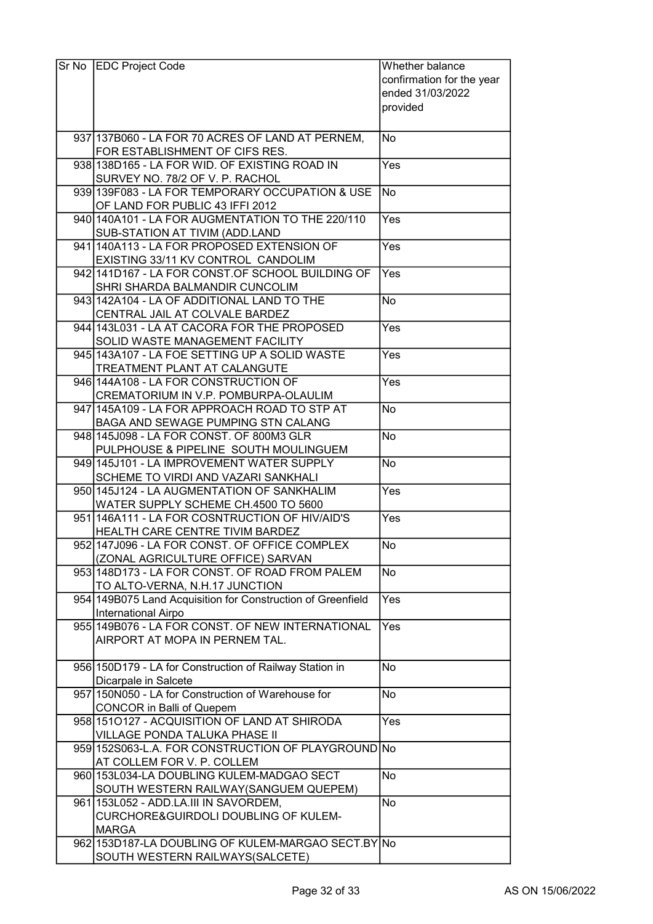| Sr No | <b>EDC Project Code</b>                                                                | Whether balance<br>confirmation for the year<br>ended 31/03/2022 |
|-------|----------------------------------------------------------------------------------------|------------------------------------------------------------------|
|       |                                                                                        | provided                                                         |
|       | 937 137 B 060 - LA FOR 70 ACRES OF LAND AT PERNEM,<br>FOR ESTABLISHMENT OF CIFS RES.   | No                                                               |
|       | 938 138 D165 - LA FOR WID. OF EXISTING ROAD IN<br>SURVEY NO. 78/2 OF V. P. RACHOL      | Yes                                                              |
|       | 939 139 F083 - LA FOR TEMPORARY OCCUPATION & USE<br>OF LAND FOR PUBLIC 43 IFFI 2012    | <b>No</b>                                                        |
|       | 940 140 A 101 - LA FOR AUGMENTATION TO THE 220/110<br>SUB-STATION AT TIVIM (ADD.LAND   | Yes                                                              |
|       | 941 140A113 - LA FOR PROPOSED EXTENSION OF<br>EXISTING 33/11 KV CONTROL CANDOLIM       | Yes                                                              |
|       | 942 141 D167 - LA FOR CONST. OF SCHOOL BUILDING OF<br>SHRI SHARDA BALMANDIR CUNCOLIM   | Yes                                                              |
|       | 943 142A 104 - LA OF ADDITIONAL LAND TO THE<br>CENTRAL JAIL AT COLVALE BARDEZ          | <b>No</b>                                                        |
|       | 944 143 L031 - LA AT CACORA FOR THE PROPOSED<br>SOLID WASTE MANAGEMENT FACILITY        | Yes                                                              |
|       | 945 143A 107 - LA FOE SETTING UP A SOLID WASTE<br>TREATMENT PLANT AT CALANGUTE         | Yes                                                              |
|       | 946 144A 108 - LA FOR CONSTRUCTION OF<br>CREMATORIUM IN V.P. POMBURPA-OLAULIM          | Yes                                                              |
|       | 947 145A109 - LA FOR APPROACH ROAD TO STP AT<br>BAGA AND SEWAGE PUMPING STN CALANG     | <b>No</b>                                                        |
|       | 948 145 J098 - LA FOR CONST. OF 800M3 GLR<br>PULPHOUSE & PIPELINE SOUTH MOULINGUEM     | No                                                               |
|       | 949 145 J101 - LA IMPROVEMENT WATER SUPPLY<br>SCHEME TO VIRDI AND VAZARI SANKHALI      | <b>No</b>                                                        |
|       | 950 145J124 - LA AUGMENTATION OF SANKHALIM<br>WATER SUPPLY SCHEME CH.4500 TO 5600      | $\bar{Y}$ es                                                     |
|       | 951 146A111 - LA FOR COSNTRUCTION OF HIV/AID'S<br>HEALTH CARE CENTRE TIVIM BARDEZ      | $\bar{Y}$ es                                                     |
|       | 952 147 J096 - LA FOR CONST. OF OFFICE COMPLEX<br>(ZONAL AGRICULTURE OFFICE) SARVAN    | lNo                                                              |
|       | 953 148D173 - LA FOR CONST. OF ROAD FROM PALEM<br>TO ALTO-VERNA, N.H.17 JUNCTION       | <b>No</b>                                                        |
|       | 954 149B075 Land Acquisition for Construction of Greenfield<br>International Airpo     | Yes                                                              |
|       | 955 149 B076 - LA FOR CONST. OF NEW INTERNATIONAL<br>AIRPORT AT MOPA IN PERNEM TAL.    | Yes                                                              |
|       | 956 150D179 - LA for Construction of Railway Station in<br>Dicarpale in Salcete        | <b>No</b>                                                        |
|       | 957 150N050 - LA for Construction of Warehouse for<br><b>CONCOR</b> in Balli of Quepem | <b>No</b>                                                        |
|       | 958 1510127 - ACQUISITION OF LAND AT SHIRODA<br>VILLAGE PONDA TALUKA PHASE II          | Yes                                                              |
|       | 959 152S063-L.A. FOR CONSTRUCTION OF PLAYGROUND No<br>AT COLLEM FOR V. P. COLLEM       |                                                                  |
|       | 960 153L034-LA DOUBLING KULEM-MADGAO SECT<br>SOUTH WESTERN RAILWAY(SANGUEM QUEPEM)     | <b>No</b>                                                        |
|       | 961 153 L052 - ADD.LA.III IN SAVORDEM,<br>CURCHORE&GUIRDOLI DOUBLING OF KULEM-         | <b>No</b>                                                        |
|       | <b>MARGA</b>                                                                           |                                                                  |
|       | 962 153D187-LA DOUBLING OF KULEM-MARGAO SECT.BY No<br>SOUTH WESTERN RAILWAYS(SALCETE)  |                                                                  |